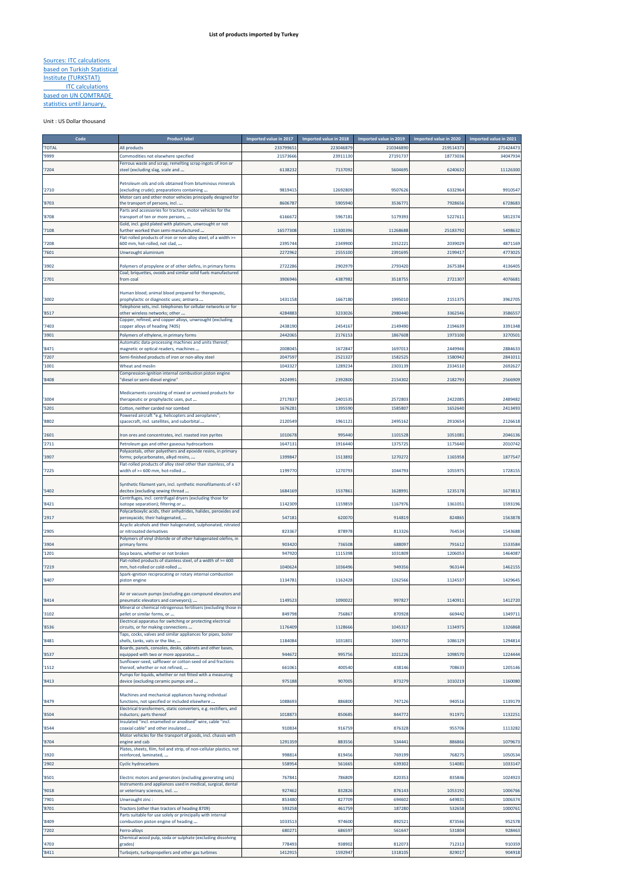## Sources: ITC calculations based on Turkish Statistical Institute (TURKSTAT) **ITC calculations** based on UN COMTRADE statistics until January,

## Unit : US Dollar thousand

ń

| Code         | <b>Product labe</b>                                                                                                        | Imported value in 2017 | Imported value in 2018 | Imported value in 2019 | Imported value in 2020 | Imported value in 2021 |
|--------------|----------------------------------------------------------------------------------------------------------------------------|------------------------|------------------------|------------------------|------------------------|------------------------|
| <b>TOTAL</b> | All products                                                                                                               | 233799651              | 223046879              | 210346890              | 219514373              | 271424473              |
| '9999        | Commodities not elsewhere specified                                                                                        | 21573666               | 23911130               | 27191737               | 18773036               | 34047934               |
|              | Ferrous waste and scrap; remelting scrap ingots of iron or                                                                 |                        |                        |                        |                        |                        |
| '7204        | steel (excluding slag, scale and                                                                                           | 6138232                | 7137092                | 5604695                | 6240632                | 11126300               |
|              | Petroleum oils and oils obtained from bituminous minerals                                                                  |                        |                        |                        |                        |                        |
| '2710        | (excluding crude); preparations containing                                                                                 | 981941                 | 12692809               | 9507626                | 6332964                | 9910547                |
|              | Motor cars and other motor vehicles principally designed for                                                               |                        |                        |                        |                        |                        |
| '8703        | the transport of persons, incl                                                                                             | 8606787                | 5905940                | 353677                 | 7928656                | 672868                 |
|              | Parts and accessories for tractors, motor vehicles for the                                                                 |                        |                        |                        |                        |                        |
| '8708        | transport of ten or more persons,                                                                                          | 6166672                | 5967181                | 5179393                | 5227611                | 5812374                |
| '7108        | Gold, incl. gold plated with platinum, unwrought or not<br>further worked than semi-manufactured                           | 16577308               | 11300396               | 11268688               | 25183792               | 5498632                |
|              | Flat-rolled products of iron or non-alloy steel, of a width >=                                                             |                        |                        |                        |                        |                        |
| '7208        | 600 mm, hot-rolled, not clad,                                                                                              | 2395744                | 2349900                | 2352221                | 2039029                | 4871169                |
| '7601        | Unwrought aluminium                                                                                                        | 2272962                | 2555100                | 2391695                | 2199417                | 477302                 |
|              |                                                                                                                            |                        |                        |                        |                        |                        |
| '3902        | Polymers of propylene or of other olefins, in primary forms                                                                | 2722286                | 2902979                | 2793420                | 2675384                | 4136405                |
| '2701        | Coal; briquettes, ovoids and similar solid fuels manufactured<br>from coal                                                 | 390694                 | 4387982                | 3518755                | 2721307                | 407668                 |
|              |                                                                                                                            |                        |                        |                        |                        |                        |
|              | Human blood; animal blood prepared for therapeutic,                                                                        |                        |                        |                        |                        |                        |
| '3002        | prophylactic or diagnostic uses; antisera                                                                                  | 1431158                | 1667180                | 1995010                | 2151375                | 3962705                |
|              | Telephone sets, incl. telephones for cellular networks or for                                                              |                        |                        |                        |                        |                        |
| '8517        | other wireless networks; other                                                                                             | 4284883                | 3233026                | 2980440                | 3362546                | 358655                 |
| '7403        | Copper, refined, and copper alloys, unwrought (excluding<br>copper alloys of heading 7405)                                 | 2438190                | 2454167                | 2149490                | 2194639                | 3391348                |
| '3901        | Polymers of ethylene, in primary forms                                                                                     | 2442065                | 2176153                | 1867608                | 1973100                | 3270501                |
|              | Automatic data-processing machines and units thereof;                                                                      |                        |                        |                        |                        |                        |
| '8471        | magnetic or optical readers, machines                                                                                      | 2008045                | 1672847                | 1697013                | 2449946                | 2884633                |
| '7207        | Semi-finished products of iron or non-alloy steel                                                                          | 2047597                | 2521327                | 1582525                | 1580942                | 2841013                |
| '1001        | Wheat and meslin                                                                                                           | 1043327                | 1289234                | 2303139                | 2334510                | 2692627                |
|              | Compression-ignition internal combustion piston engine                                                                     |                        |                        |                        |                        |                        |
| '8408        | 'diesel or semi-diesel engine"                                                                                             | 2424991                | 2392800                | 2154302                | 218279                 | 2566909                |
|              |                                                                                                                            |                        |                        |                        |                        |                        |
|              | Medicaments consisting of mixed or unmixed products for                                                                    |                        |                        |                        |                        |                        |
| '3004        | therapeutic or prophylactic uses, put                                                                                      | 2717837                | 2401535                | 2572803                | 2422085                | 2489482                |
| '5201        | Cotton, neither carded nor combed                                                                                          | 167628                 | 1395590                | 1585807                | 1652640                | 2413493                |
| '8802        | Powered aircraft "e.g. helicopters and aeroplanes";<br>spacecraft, incl. satellites, and suborbital                        | 2120549                | 1961121                | 2495162                | 2910654                | 2126618                |
|              |                                                                                                                            |                        |                        |                        |                        |                        |
| '2601        | ron ores and concentrates, incl. roasted iron pyrites                                                                      | 1010678                | 995440                 | 1101528                | 1051081                | 2046136                |
| '2711        | Petroleum gas and other gaseous hydrocarbons                                                                               | 164713                 | 1916440                | 1375725                | 1175640                | 2010742                |
|              | Polyacetals, other polyethers and epoxide resins, in primary                                                               |                        |                        |                        |                        |                        |
| '3907        | orms; polycarbonates, alkyd resins,                                                                                        | 139984                 | 1513892                | 1270272                | 1165958                | 1877547                |
|              | Flat-rolled products of alloy steel other than stainless, of a                                                             |                        |                        |                        |                        |                        |
| '7225        | width of >= 600 mm, hot-rolled                                                                                             | 1199770                | 1270793                | 1044793                | 1055975                | 172815                 |
|              | Synthetic filament yarn, incl. synthetic monofilaments of < 67                                                             |                        |                        |                        |                        |                        |
| '5402        | decitex (excluding sewing thread                                                                                           | 1684169                | 1537861                | 1628991                | 1235178                | 167381                 |
|              | Centrifuges, incl. centrifugal dryers (excluding those for                                                                 |                        |                        |                        |                        |                        |
| '8421        | isotope separation); filtering or                                                                                          | 1142309                | 1159859                | 1167976                | 1361051                | 1593196                |
|              | Polycarboxylic acids, their anhydrides, halides, peroxides and                                                             |                        |                        |                        |                        |                        |
| '2917        | peroxyacids; their halogenated,                                                                                            | 54718                  | 620070                 | 914819                 | 82486                  | 156387                 |
| '2905        | Acyclic alcohols and their halogenated, sulphonated, nitrated<br>or nitrosated derivatives                                 | 823367                 | 878978                 | 813326                 | 764534                 | 1543688                |
|              | Polymers of vinyl chloride or of other halogenated olefins, in                                                             |                        |                        |                        |                        |                        |
| '3904        | primary forms                                                                                                              | 903420                 | 736508                 | 688097                 | 791612                 | 153358                 |
| '1201        | Soya beans, whether or not broken                                                                                          | 947920                 | 1115398                | 1031809                | 1206053                | 1464087                |
|              | Flat-rolled products of stainless steel, of a width of >= 600                                                              |                        |                        |                        |                        |                        |
| '7219        | mm, hot-rolled or cold-rolled                                                                                              | 1040624                | 1036496                | 949356                 | 963144                 | 146215                 |
|              | Spark-ignition reciprocating or rotary internal combustion                                                                 |                        |                        |                        |                        |                        |
| '8407        | piston engine                                                                                                              | 1134783                | 1162428                | 1262566                | 1124537                | 1429645                |
|              | Air or vacuum pumps (excluding gas compound elevators and                                                                  |                        |                        |                        |                        |                        |
| '8414        | oneumatic elevators and conveyors);                                                                                        | 114952                 | 1090022                | 997827                 | 1140911                | 1412720                |
|              | Mineral or chemical nitrogenous fertilisers (excluding those in                                                            |                        |                        |                        |                        |                        |
| 3102         | bellet or similar forms, or                                                                                                | 849798                 | 75686.                 | 870928                 | 669442                 | 1349711                |
|              | Electrical apparatus for switching or protecting electrical                                                                |                        |                        |                        |                        |                        |
| '8536        | circuits, or for making connections                                                                                        | 1176409                | 1128666                | 1045317                | 1134975                | 1326868                |
| '8481        | Taps, cocks, valves and similar appliances for pipes, boiler<br>shells, tanks, vats or the like,                           | 1184084                | 1031801                | 1069750                | 1086129                | 1294814                |
|              | Boards, panels, consoles, desks, cabinets and other bases,                                                                 |                        |                        |                        |                        |                        |
| '8537        | equipped with two or more apparatus                                                                                        | 944672                 | 995756                 | 1021226                | 1098570                | 1224444                |
|              | Sunflower-seed, safflower or cotton-seed oil and fractions                                                                 |                        |                        |                        |                        |                        |
| '1512        | thereof, whether or not refined,                                                                                           | 661061                 | 400540                 | 438146                 | 708633                 | 1205146                |
| '8413        | Pumps for liquids, whether or not fitted with a measuring<br>device (excluding ceramic pumps and                           | 975188                 | 907005                 | 873279                 | 1010219                | 1160080                |
|              |                                                                                                                            |                        |                        |                        |                        |                        |
|              | Machines and mechanical appliances having individual                                                                       |                        |                        |                        |                        |                        |
| '8479        | functions, not specified or included elsewhere                                                                             | 1088693                | 886800                 | 747126                 | 940516                 | 1139179                |
|              | Electrical transformers, static converters, e.g. rectifiers, and                                                           |                        |                        |                        |                        |                        |
| '8504        | nductors; parts thereof<br>insulated "incl. enamelled or anodised" wire, cable "incl.                                      | 1018873                | 850685                 | 844772                 | 911971                 | 1132251                |
| '8544        | coaxial cable" and other insulated                                                                                         | 910834                 | 916759                 | 876328                 | 955706                 | 1113282                |
|              | Motor vehicles for the transport of goods, incl. chassis with                                                              |                        |                        |                        |                        |                        |
| '8704        | engine and cab                                                                                                             | 1291359                | 883556                 | 534441                 | 886866                 | 1079673                |
|              | Plates, sheets, film, foil and strip, of non-cellular plastics, not                                                        |                        |                        |                        |                        |                        |
| '3920        | reinforced, laminated,                                                                                                     | 998814                 | 819456                 | 769199                 | 768275                 | 1050534                |
| '2902        | <b>Cyclic hydrocarbons</b>                                                                                                 | 558954                 | 561665                 | 639302                 | 514081                 | 1033147                |
| '8501        |                                                                                                                            | 767841                 | 786809                 | 820353                 | 835846                 |                        |
|              | Electric motors and generators (excluding generating sets)<br>Instruments and appliances used in medical, surgical, dental |                        |                        |                        |                        | 1024923                |
| '9018        | or veterinary sciences, incl                                                                                               | 927462                 | 832826                 | 876143                 | 1053192                | 1006766                |
| '7901        | Unwrought zinc :                                                                                                           | 853480                 | 827709                 | 694602                 | 649831                 | 1006374                |
| '8701        | Tractors (other than tractors of heading 8709)                                                                             | 593258                 | 461759                 | 187280                 | 532658                 | 1000761                |
|              | Parts suitable for use solely or principally with internal                                                                 |                        |                        |                        |                        |                        |
| '8409        | combustion piston engine of heading                                                                                        | 1033513                | 974600                 | 892521                 | 873566                 | 952578                 |
| '7202        | erro-alloys                                                                                                                | 68027                  | 686597                 | 561647                 | 531804                 | 928463                 |
|              | Chemical wood pulp, soda or sulphate (excluding dissolving                                                                 |                        |                        |                        |                        |                        |
| '4703        | grades)                                                                                                                    | 778493                 | 938902                 | 812073                 | 712313                 | 910359                 |
| '8411        | Turbojets, turbopropellers and other gas turbines                                                                          | 1412915                | 1592947                | 1318105                | 829017                 | 904918                 |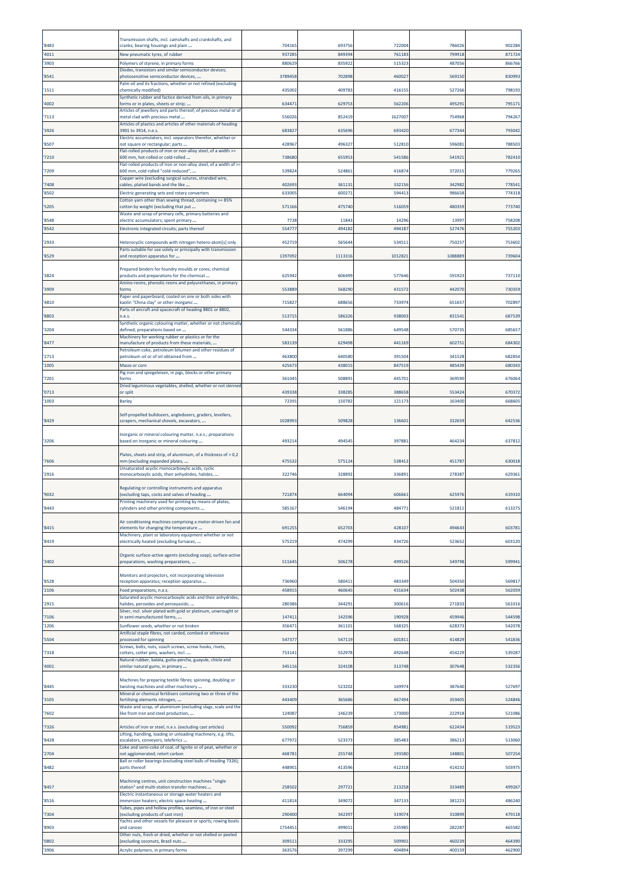|              | Transmission shafts, incl. camshafts and crankshafts, and                                                                  |                  |                  |                  |                  |                  |
|--------------|----------------------------------------------------------------------------------------------------------------------------|------------------|------------------|------------------|------------------|------------------|
| 8483         | cranks; bearing housings and plain                                                                                         | 704165           | 693756           | 722004           | 786026           | 902284           |
| 4011<br>3903 | New pneumatic tyres, of rubber<br>Polymers of styrene, in primary forms                                                    | 937285<br>880629 | 849394<br>835922 | 761183<br>515323 | 799918<br>487056 | 871724<br>866766 |
|              | Diodes, transistors and similar semiconductor devices;                                                                     |                  |                  |                  |                  |                  |
| 8541         | photosensitive semiconductor devices,<br>Palm oil and its fractions, whether or not refined (excluding                     | 3789458          | 702898           | 460027           | 56915            | 830993           |
| 1511         | chemically modified)<br>Synthetic rubber and factice derived from oils, in primary                                         | 435002           | 409783           | 41615            | 527266           | 798193           |
| 4002         | forms or in plates, sheets or strip;<br>Articles of jewellery and parts thereof, of precious metal or of                   | 63447            | 629753           | 56220            | 49529            | 795171           |
| 7113         | metal clad with precious metal<br>Articles of plastics and articles of other materials of heading                          | 556026           | 852419           | 1627007          | 754968           | 794267           |
| 3926         | 3901 to 3914, n.e.s.<br>Electric accumulators, incl. separators therefor, whether or                                       | 68382            | 63569            | 693420           | 67734            | 793042           |
| 8507         | not square or rectangular; parts                                                                                           | 428967           | 49632            | 512810           | 59608            | 788503           |
| 7210         | Flat-rolled products of iron or non-alloy steel, of a width >=<br>600 mm, hot-rolled or cold-rolled                        | 738680           | 655953           | 541586           | 54192            | 782410           |
| 7209         | Flat-rolled products of iron or non-alloy steel, of a width of >=<br>500 mm, cold-rolled "cold-reduced",                   | 539824           | 524861           | 416874           | 372015           | 779265           |
| 7408         | Copper wire (excluding surgical sutures, stranded wire,<br>cables, plaited bands and the like                              | 40269            | 36113            | 33215            | 342982           | 778543           |
| 8502         | Electric generating sets and rotary converters                                                                             | 633005           | 60027            | 594413           | 98665            | 774318           |
| 5205         | Cotton yarn other than sewing thread, containing >= 85%<br>cotton by weight (excluding that put                            | 571166           | 475740           | 516059           | 480359           | 773740           |
| 8548         | Waste and scrap of primary cells, primary batteries and<br>electric accumulators; spent primary                            | 7728             | 1184             | 1429             | 1399             | 758208           |
| 8542         | Electronic integrated circuits; parts thereof                                                                              | 554777           | 494182           | 494187           | 527476           | 755203           |
| 2933         | Heterocyclic compounds with nitrogen hetero-atom[s] only<br>Parts suitable for use solely or principally with transmission | 452719           | 56564            | 53451            | 75025            | 753602           |
| 8529         | and reception apparatus for                                                                                                | 1397092          | 111331           | 1012821          | 1088889          | 739604           |
|              | Prepared binders for foundry moulds or cores; chemical                                                                     |                  |                  |                  |                  |                  |
| 3824         | products and preparations for the chemical<br>Amino-resins, phenolic resins and polyurethanes, in primary                  | 625942           | 606499           | 577646           | 591923           | 737110           |
| 3909         | forms<br>Paper and paperboard, coated on one or both sides with                                                            | 553889           | 568290           | 431572           | 44207            | 730359           |
| 4810         | kaolin "China clay" or other inorganic<br>Parts of aircraft and spacecraft of heading 8801 or 8802,                        | 71582            | 688656           | 733974           | 65165            | 70289            |
| 8803         | n.e.s.<br>Synthetic organic colouring matter, whether or not chemically                                                    | 51371            | 586326           | 938003           | 83154            | 687539           |
| 3204         | defined; preparations based on                                                                                             | 544334           | 56188            | 649548           | 570735           | 685657           |
| 8477         | Machinery for working rubber or plastics or for the<br>manufacture of products from these materials,                       | 583139           | 629498           | 441169           | 60275            | 684302           |
| 2713         | Petroleum coke, petroleum bitumen and other residues of<br>petroleum oil or of oil obtained from                           | 463800           | 640580           | 391504           | 341528           | 68285            |
| 1005         | Maize or corn<br>Pig iron and spiegeleisen, in pigs, blocks or other primary                                               | 425673           | 438015           | 847519           | 485439           | 680343           |
| 7201         | forms                                                                                                                      | 361045           | 508893           | 445701           | 369590           | 676064           |
| '0713        | Dried leguminous vegetables, shelled, whether or not skinned<br>or split                                                   | 439338           | 338285           | 388658           | 55342            | 670372           |
| 1003         | <b>Barley</b>                                                                                                              | 72391            | 150782           | 121173           | 163400           | 66860            |
| 8429         | Self-propelled bulldozers, angledozers, graders, levellers,<br>scrapers, mechanical shovels, excavators,                   | 1028993          | 509828           | 136601           | 332659           | 642536           |
| 3206         | Inorganic or mineral colouring matter, n.e.s.; preparations<br>based on inorganic or mineral colouring                     | 493214           | 49454            | 397881           | 46423            | 637812           |
| 7606         | Plates, sheets and strip, of aluminium, of a thickness of > 0,2<br>mm (excluding expanded plates,                          | 47553            | 57512            | 53841            | 45178            | 630018           |
| 2916         | Unsaturated acyclic monocarboxylic acids, cyclic<br>monocarboxylic acids, their anhydrides, halides,                       | 322746           | 328892           | 336893           | 278387           | 62936:           |
|              | Regulating or controlling instruments and apparatus                                                                        |                  |                  |                  |                  |                  |
| 9032         | (excluding taps, cocks and valves of heading<br>Printing machinery used for printing by means of plates,                   | 721874           | 66409            | 606661           | 625976           | 619310           |
| 8443         | cylinders and other printing components                                                                                    | 585167           | 54619            | 484771           | 521811           | 613275           |
| 8415         | Air conditioning machines comprising a motor-driven fan and<br>elements for changing the temperature                       | 691255           | 652703           | 428107           | 494643           | 603781           |
| 8419         | Machinery, plant or laboratory equipment whether or not<br>electrically heated (excluding furnaces,                        | 575219           | 474299           | 434726           | 523652           | 603120           |
| 3402         | Organic surface-active agents (excluding soap); surface-active<br>preparations, washing preparations,                      | 51164            | 506278           | 499526           | 549798           | 599941           |
|              | Monitors and projectors, not incorporating television                                                                      |                  |                  |                  |                  |                  |
| 8528<br>2106 | reception apparatus; reception apparatus<br>Food preparations, n.e.s.                                                      | 736960<br>45891  | 58041<br>46064   | 483349<br>431634 | 504350<br>502438 | 569817<br>562059 |
|              | Saturated acyclic monocarboxylic acids and their anhydrides,<br>halides, peroxides and peroxyacids;                        |                  |                  | 300616           |                  | 561016           |
| 2915         | Silver, incl. silver plated with gold or platinum, unwrought or                                                            | 280386           | 34429            |                  | 271833           |                  |
| 7106<br>1206 | in semi-manufactured forms,<br>Sunflower seeds, whether or not broken                                                      | 14741<br>356471  | 142596<br>361101 | 190928<br>56832  | 459946<br>628373 | 544598<br>542078 |
| 5504         | Artificial staple fibres, not carded, combed or otherwise<br>processed for spinning                                        | 547377           | 547119           | 601811           | 414829           | 541836           |
| 7318         | Screws, bolts, nuts, coach screws, screw hooks, rivets,<br>cotters, cotter pins, washers, incl.                            | 753141           | 552978           | 492648           | 454229           | 539287           |
| 4001         | Natural rubber, balata, gutta-percha, guayule, chicle and                                                                  | 34511            | 324108           | 313748           | 307648           | 532356           |
|              | similar natural gums, in primary                                                                                           |                  |                  |                  |                  |                  |
| 8445         | Machines for preparing textile fibres; spinning, doubling or<br>twisting machines and other machinery                      | 333230           | 523202           | 169974           | 387640           | 527697           |
| 3105         | Mineral or chemical fertilisers containing two or three of the<br>fertilising elements nitrogen,                           | 443409           | 365686           | 467494           | 359405           | 524846           |
| 7602         | Waste and scrap, of aluminium (excluding slags, scale and the<br>ike from iron and steel production,                       | 124087           | 146239           | 173000           | 222918           | 521086           |
| 7326         | Articles of iron or steel, n.e.s. (excluding cast articles)                                                                | 550092           | 756859           | 854981           | 622434           | 519523           |
| 8428         | Lifting, handling, loading or unloading machinery, e.g. lifts,<br>escalators, conveyors, teleferics                        | 677972           | 523373           | 385483           | 386213           | 513060           |
| 2704         | Coke and semi-coke of coal, of lignite or of peat, whether or<br>not agglomerated; retort carbon                           | 468781           | 255748           | 193580           | 148801           | 507254           |
| 8482         | Ball or roller bearings (excluding steel balls of heading 7326);<br>parts thereof                                          | 448901           | 413596           | 412318           | 414232           | 503975           |
|              | Machining centres, unit construction machines "single                                                                      |                  |                  |                  |                  |                  |
| 8457         | station" and multi-station transfer machines<br>Electric instantaneous or storage water heaters and                        | 258502           | 29772            | 213258           | 333489           | 499267           |
| 8516         | immersion heaters; electric space-heating<br>Tubes, pipes and hollow profiles, seamless, of iron or steel                  | 411814           | 349072           | 347133           | 381223           | 486240           |
| 7304         | (excluding products of cast iron)<br>Yachts and other vessels for pleasure or sports; rowing boats                         | 290400           | 342397           | 319074           | 310899           | 479118           |
| 8903         | and canoes<br>Other nuts, fresh or dried, whether or not shelled or peeled                                                 | 1754451          | 499011           | 235985           | 282287           | 465582           |
| 0802         | excluding coconuts, Brazil nuts                                                                                            | 309511           | 333295           | 509901           | 460239           | 464390           |
| 3906         | Acrylic polymers, in primary forms                                                                                         | 363576           | 397299           | 404894           | 400159           | 462900           |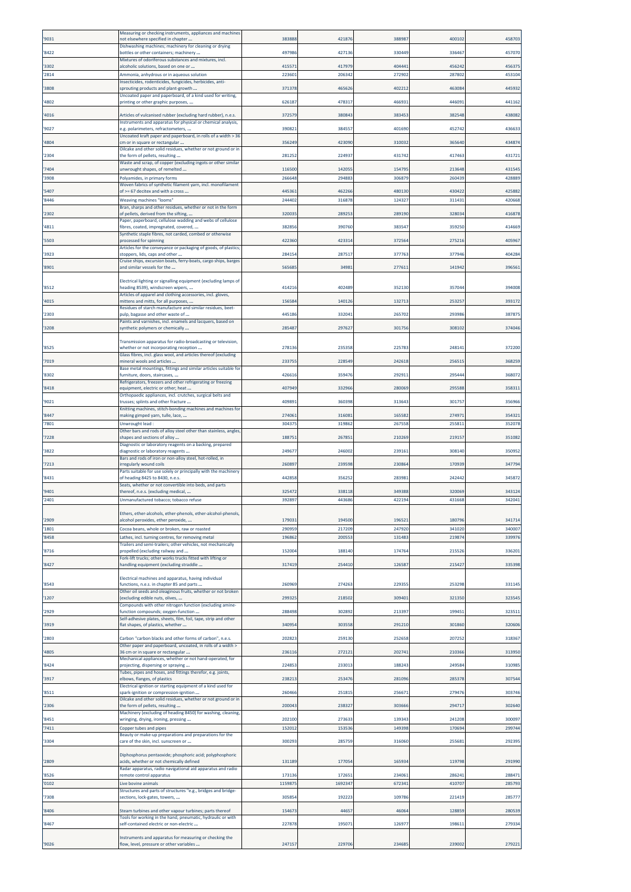| '9031          | Measuring or checking instruments, appliances and machines<br>not elsewhere specified in chapter                              | 38388            | 421876           | 388987           | 400102           | 458703           |
|----------------|-------------------------------------------------------------------------------------------------------------------------------|------------------|------------------|------------------|------------------|------------------|
| '8422          | Dishwashing machines; machinery for cleaning or drying<br>bottles or other containers; machinery                              | 49798            | 42713            | 330449           | 336467           | 457070           |
| '3302          | Mixtures of odoriferous substances and mixtures, incl.<br>alcoholic solutions, based on one or                                | 41557            | 417979           | 404441           | 456242           | 45637            |
| '2814          | Ammonia, anhydrous or in aqueous solution<br>Insecticides, rodenticides, fungicides, herbicides, anti-                        | 22360            | 206342           | 272902           | 287802           | 453104           |
| '3808          | sprouting products and plant-growth<br>Uncoated paper and paperboard, of a kind used for writing,                             | 37137            | 46562            | 402212           | 46308            | 44593            |
| '4802          | printing or other graphic purposes,                                                                                           | 62618            | 47831            | 46693            | 446091           | 44116            |
| '4016          | Articles of vulcanised rubber (excluding hard rubber), n.e.s.<br>Instruments and apparatus for physical or chemical analysis, | 37257            | 38084            | 383453           | 382548           | 438082           |
| '9027          | e.g. polarimeters, refractometers,<br>Uncoated kraft paper and paperboard, in rolls of a width > 36                           | 39082            | 38455            | 401690           | 45274            | 43663            |
| '4804          | cm or in square or rectangular<br>Oilcake and other solid residues, whether or not ground or in                               | 35624            | 423090           | 310032           | 365640           | 434874           |
| '2304          | the form of pellets, resulting<br>Waste and scrap, of copper (excluding ingots or other similar                               | 28125            | 224937           | 431742           | 417463           | 431723           |
| '7404<br>'3908 | unwrought shapes, of remelted<br>Polyamides, in primary forms                                                                 | 116500<br>266648 | 14205<br>294883  | 154795<br>306879 | 213648<br>260439 | 43154<br>42888   |
| '5407          | Woven fabrics of synthetic filament yarn, incl. monofilament<br>of >= 67 decitex and with a cross                             | 44536            | 46226            | 480130           | 430422           | 42588            |
| '8446          | <b>Weaving machines "looms"</b><br>Bran, sharps and other residues, whether or not in the form                                | 24440            | 316878           | 124327           | 311431           | 420668           |
| '2302          | of pellets, derived from the sifting,<br>aper, paperboard, cellulose wadding and webs of cellulose                            | 32003            | 28925            | 289190           | 328034           | 41687            |
| '4811          | fibres, coated, impregnated, covered,<br>Synthetic staple fibres, not carded, combed or otherwise                             | 38285            | 390760           | 383547           | 359250           | 414669           |
| '5503          | processed for spinning<br>Articles for the conveyance or packaging of goods, of plastics;                                     | 42236            | 423314           | 372564           | 27521            | 40596            |
| '3923          | stoppers, lids, caps and other<br>Cruise ships, excursion boats, ferry-boats, cargo ships, barges                             | 28415            | 28751            | 377763           | 377946           | 404284           |
| '8901          | and similar vessels for the                                                                                                   | 56568            | 3498             | 277613           | 141942           | 39656            |
| '8512          | Electrical lighting or signalling equipment (excluding lamps of<br>heading 8539), windscreen wipers,                          | 41421            | 402489           | 352130           | 357044           | 394008           |
| '4015          | Articles of apparel and clothing accessories, incl. gloves,<br>mittens and mitts, for all purposes,                           | 15658            | 14012            | 132713           | 253257           | 39317            |
| '2303          | Residues of starch manufacture and similar residues, beet-<br>pulp, bagasse and other waste of                                | 44518            | 332041           | 265702           | 293986           | 38787            |
| '3208          | Paints and varnishes, incl. enamels and lacquers, based on<br>synthetic polymers or chemically                                | 28548            | 29762            | 301756           | 308102           | 37404            |
| '8525          | Transmission apparatus for radio-broadcasting or television,<br>whether or not incorporating reception                        | 27813            | 235358           | 225783           | 248141           | 372200           |
| '7019          | Glass fibres, incl. glass wool, and articles thereof (excluding<br>mineral wools and articles                                 | 23375            | 228549           | 242618           | 25651            | 368259           |
| '8302          | Base metal mountings, fittings and similar articles suitable for<br>furniture, doors, staircases,                             | 42661            | 359476           | 292911           | 29544            | 368072           |
| '8418          | Refrigerators, freezers and other refrigerating or freezing<br>equipment, electric or other; heat                             | 40794            | 33296            | 280069           | 295588           | 35831            |
| '9021          | Orthopaedic appliances, incl. crutches, surgical belts and<br>trusses; splints and other fracture                             | 40989            | 360398           | 313643           | 301757           | 356966           |
| '8447          | Knitting machines, stitch-bonding machines and machines for<br>making gimped yarn, tulle, lace,                               | 27406            | 316081           | 165582           | 274971           | 35432            |
| '7801          | Unwrought lead:<br>Other bars and rods of alloy steel other than stainless, angles,                                           | 304375           | 319862           | 267558           | 255811           | 352078           |
| '7228          | shapes and sections of alloy<br>Diagnostic or laboratory reagents on a backing, prepared                                      | 18875            | 26785            | 210269           | 219157           | 351082           |
| '3822          | diagnostic or laboratory reagents<br>Bars and rods of iron or non-alloy steel, hot-rolled, in                                 | 24967            | 246002           | 239161           | 308140           | 350952           |
| '7213          | rregularly wound coils<br>Parts suitable for use solely or principally with the machinery                                     | 26089            | 239598           | 230864           | 170939           | 347794           |
| '8431          | of heading 8425 to 8430, n.e.s.<br>Seats, whether or not convertible into beds, and parts                                     | 442858           | 356252           | 283981           | 242442           | 345872           |
| '9401<br>'2401 | thereof, n.e.s. (excluding medical,<br>Unmanufactured tobacco; tobacco refuse                                                 | 32547<br>39289   | 338118<br>443686 | 349388<br>422194 | 320069<br>431668 | 343124<br>342041 |
|                | Ethers, ether-alcohols, ether-phenols, ether-alcohol-phenols,                                                                 |                  |                  |                  |                  |                  |
| '2909<br>'1801 | alcohol peroxides, ether peroxide,<br>Cocoa beans, whole or broken, raw or roasted                                            | 17903<br>290959  | 194500<br>217209 | 196521<br>247920 | 180796<br>341020 | 341714<br>340007 |
| '8458          | athes, incl. turning centres, for removing metal                                                                              | 19686            | 20055            | 13148            | 21987            | 339976           |
| '8716          | Trailers and semi-trailers; other vehicles, not mechanically<br>propelled (excluding railway and                              | 15200            | 188140           | 174764           | 215526           | 336201           |
| '8427          | Fork-lift trucks; other works trucks fitted with lifting or<br>handling equipment (excluding straddle                         | 31741            | 254410           | 126587           | 215427           | 335398           |
| '8543          | Electrical machines and apparatus, having individual<br>functions, n.e.s. in chapter 85 and parts                             | 260969           | 274263           | 229355           | 253298           | 331145           |
| '1207          | Other oil seeds and oleaginous fruits, whether or not broken<br>excluding edible nuts, olives,                                | 29932            | 218502           | 309401           | 321350           | 323545           |
| '2929          | Compounds with other nitrogen function (excluding amine-<br>function compounds; oxygen-function                               | 288498           | 302892           | 213397           | 199451           | 323511           |
| '3919          | Self-adhesive plates, sheets, film, foil, tape, strip and other<br>flat shapes, of plastics, whether                          | 34095            | 303558           | 291210           | 301860           | 320606           |
| '2803          | Carbon "carbon blacks and other forms of carbon", n.e.s.                                                                      | 20282            | 259130           | 252658           | 207252           | 318367           |
| '4805          | Other paper and paperboard, uncoated, in rolls of a width ><br>36 cm or in square or rectangular                              | 23611            | 27212            | 202741           | 210366           | 313950           |
| '8424          | Mechanical appliances, whether or not hand-operated, for<br>projecting, dispersing or spraying                                | 224853           | 233013           | 188243           | 249584           | 310985           |
| '3917          | Tubes, pipes and hoses, and fittings therefor, e.g. joints,<br>elbows, flanges, of plastics                                   | 23821            | 25347            | 281096           | 285378           | 307544           |
| '8511          | Electrical ignition or starting equipment of a kind used for<br>spark-ignition or compression-ignition                        | 260466           | 25181            | 25667            | 279476           | 303746           |
| '2306          | Oilcake and other solid residues, whether or not ground or in<br>the form of pellets, resulting                               | 200043           | 238327           | 303666           | 294717           | 302640           |
| '8451          | Machinery (excluding of heading 8450) for washing, cleaning,<br>wringing, drying, ironing, pressing                           | 202100           | 273633           | 139343           | 241208           | 300097           |
| '7411          | Copper tubes and pipes<br>Beauty or make-up preparations and preparations for the                                             | 15201            | 15353            | 149398           | 170694           | 29974            |
| '3304          | care of the skin, incl. sunscreen or                                                                                          | 30029            | 285759           | 316060           | 255681           | 29239            |
| '2809          | Diphosphorus pentaoxide; phosphoric acid; polyphosphoric<br>acids, whether or not chemically defined                          | 13118            | 177054           | 165934           | 119798           | 291990           |
| '8526          | Radar apparatus, radio navigational aid apparatus and radio<br>remote control apparatus                                       | 173136           | 172651           | 234061           | 286241           | 288473           |
| '0102          | Live bovine animals<br>Structures and parts of structures "e.g., bridges and bridge-                                          | 115987           | 1692347          | 672341           | 410707           | 285793           |
| '7308          | sections, lock-gates, towers,                                                                                                 | 305854           | 192223           | 109786           | 221419           | 285777           |
| '8406          | Steam turbines and other vapour turbines; parts thereof<br>Fools for working in the hand, pneumatic, hydraulic or with        | 15467            | 4465             | 46064            | 128859           | 280539           |
| '8467          | self-contained electric or non-electric                                                                                       | 22787            | 195071           | 126977           | 198611           | 279334           |
|                | Instruments and apparatus for measuring or checking the                                                                       |                  |                  |                  |                  |                  |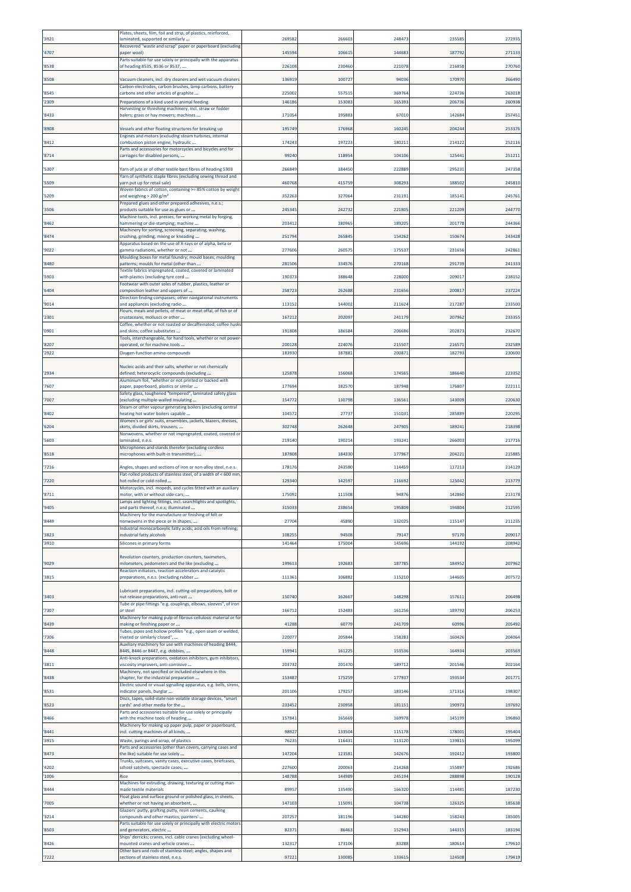| 3921         | Plates, sheets, film, foil and strip, of plastics, reinforced,<br>aminated, supported or similarly         | 269582           | 26660           | 248473           | 235585           | 27293            |
|--------------|------------------------------------------------------------------------------------------------------------|------------------|-----------------|------------------|------------------|------------------|
| 4707         | Recovered "waste and scrap" paper or paperboard (excluding<br>paper wool)                                  | 145594           | 10661           | 144683           | 187792           | 271133           |
| 8538         | Parts suitable for use solely or principally with the apparatus<br>of heading 8535, 8536 or 8537,          | 226108           | 230460          | 221078           | 216858           | 270760           |
| 8508         | Vacuum cleaners, incl. dry cleaners and wet vacuum cleaners                                                | 136919           | 100727          | 94036            | 170970           | 266490           |
| 8545         | Carbon electrodes, carbon brushes, lamp carbons, battery<br>carbons and other articles of graphite         | 225002           | 55751           | 369764           | 224736           | 263018           |
| 2309         | Preparations of a kind used in animal feeding                                                              | 146186           | 153083          | 165393           | 206736           | 260938           |
| 8433         | Harvesting or threshing machinery, incl. straw or fodder<br>balers; grass or hay mowers; machines          | 171054           | 19588           | 67010            | 142684           | 25745            |
| 8908         | Vessels and other floating structures for breaking up                                                      | 195749           | 176968          | 160245           | 20424            | 253376           |
| 8412         | Engines and motors (excluding steam turbines, internal<br>:ombustion piston engine, hydraulic              | 174243           | 197223          | 18021:           | 214122           | 252116           |
| 8714         | Parts and accessories for motorcycles and bicycles and for<br>carriages for disabled persons,              | 99240            | 11895           | 104106           | 125441           | 251211           |
| 5307         | Yarn of jute or of other textile bast fibres of heading 5303                                               | 26684            | 18445           | 222889           | 29523            | 247358           |
| 5509         | Yarn of synthetic staple fibres (excluding sewing thread and<br>varn put up for retail sale)               | 460768           | 415759          | 308293           | 188502           | 245810           |
| 5209         | Woven fabrics of cotton, containing >= 85% cotton by weight<br>and weighing > 200 g/m²                     | 352263           | 32706           | 23119:           | 185141           | 24576            |
| 3506         | Prepared glues and other prepared adhesives, n.e.s.;<br>products suitable for use as glues or              | 24534            | 242732          | 221805           | 221209           | 244770           |
| 8462         | Machine tools, incl. presses, for working metal by forging,<br>hammering or die-stamping; machine          | 203412           | 18096           | 189205           | 201778           | 244366           |
| 8474         | Machinery for sorting, screening, separating, washing,<br>crushing, grinding, mixing or kneading           | 251794           | 265845          | 154262           | 150674           | 243428           |
| '9022        | Apparatus based on the use of X-rays or of alpha, beta or                                                  | 277606           | 26057           | 175537           | 231656           | 24286            |
|              | gamma radiations, whether or not<br>Moulding boxes for metal foundry; mould bases; moulding                |                  |                 |                  |                  |                  |
| 8480         | patterns; moulds for metal (other than<br>Textile fabrics impregnated, coated, covered or laminated        | 281506           | 334576          | 270168           | 291739           | 241333           |
| 5903         | with plastics (excluding tyre cord<br>Footwear with outer soles of rubber, plastics, leather or            | 190373           | 18864           | 228000           | 20901            | 23815            |
| 6404         | composition leather and uppers of<br>Direction finding compasses; other navigational instruments           | 25872            | 262688          | 231656           | 200817           | 23722            |
| '9014        | and appliances (excluding radio<br>Flours, meals and pellets, of meat or meat offal, of fish or of         | 11315            | 14400           | 211624           | 217287           | 233500           |
| 2301         | crustaceans, molluscs or other<br>Coffee, whether or not roasted or decaffeinated; coffee husks            | 16721            | 20209           | 241179           | 207962           | 23335            |
| '0901        | and skins; coffee substitutes<br>Tools, interchangeable, for hand tools, whether or not power              | 191808           | 18658           | 206686           | 20287            | 232670           |
| 8207<br>2922 | operated, or for machine tools<br>Oxygen-function amino-compounds                                          | 200128<br>183930 | 22407<br>187881 | 215507<br>200871 | 21657<br>182793  | 23258<br>230600  |
|              | Nucleic acids and their salts, whether or not chemically                                                   |                  |                 |                  |                  |                  |
| 2934         | defined; heterocyclic compounds (excluding<br>Aluminium foil, "whether or not printed or backed with       | 12587            | 156068          | 174565           | 186640           | 223352           |
| '7607        | paper, paperboard, plastics or similar                                                                     | 177694           | 182570          | 187948           | 176807           | 222111           |
| 7007         | Safety glass, toughened "tempered", laminated safety glass<br>excluding multiple-walled insulating         | 154772           | 130798          | 136561           | 143009           | 220630           |
| 8402         | Steam or other vapour generating boilers (excluding central<br>heating hot water boilers capable           | 10457            | 2773            | 151031           | 285889           | 22029            |
| 6204         | Women's or girls' suits, ensembles, jackets, blazers, dresses,<br>skirts, divided skirts, trousers,        | 302748           | 262648          | 247905           | 189241           | 21839            |
| 5603         | Nonwovens, whether or not impregnated, coated, covered or<br>aminated, n.e.s.                              | 219140           | 19021           | 193241           | 266003           | 217716           |
| 8518         | Microphones and stands therefor (excluding cordless<br>microphones with built-in transmitter);             | 187808           | 184330          | 177967           | 204221           | 21588            |
| 7216         | Angles, shapes and sections of iron or non-alloy steel, n.e.s.                                             | 178176           | 243580          | 114459           | 117213           | 214129           |
| 7220         | Flat-rolled products of stainless steel, of a width of < 600 mm<br>hot-rolled or cold-rolled               | 129340           | 142597          | 116692           | 125042           | 213779           |
| 8711         | Motorcycles, incl. mopeds, and cycles fitted with an auxiliary<br>motor, with or without side-cars;        | 175092           | 111508          | 94876            | 142860           | 213178           |
| 9405         | Lamps and lighting fittings, incl. searchlights and spotlights,<br>and parts thereof, n.e.s; illuminated   | 31503            | 238654          | 195809           | 194804           | 212595           |
| 8449         | Machinery for the manufacture or finishing of felt or<br>nonwovens in the piece or in shapes,              | 27704            | 4589            | 132025           | 115147           | 211235           |
| 3823         | Industrial monocarboxylic fatty acids; acid oils from refining;<br>ndustrial fatty alcohols                | 10825            | 94508           | 79147            | 97170            | 209017           |
| 3910         | Silicones in primary forms                                                                                 | 141464           | 175004          | 145696           | 144192           | 208942           |
|              | Revolution counters, production counters, taximeters,                                                      |                  |                 |                  |                  |                  |
| 9029         | milometers, pedometers and the like (excluding<br>Reaction initiators, reaction accelerators and catalytic | 19961            | 19268           | 187785           | 184952           | 207962           |
| 3815         | preparations, n.e.s. (excluding rubber                                                                     | 111361           | 106882          | 115210           | 144605           | 207572           |
| 3403         | Lubricant preparations, incl. cutting-oil preparations, bolt or<br>nut release preparations, anti-rust     | 15074            | 162667          | 148298           | 157611           | 206498           |
| 7307         | Tube or pipe fittings "e.g. couplings, elbows, sleeves", of iron<br>or steel                               | 166712           | 15248           | 161256           | 189792           | 20625            |
| 8439         | Machinery for making pulp of fibrous cellulosic material or for<br>making or finishing paper or            | 41288            | 60779           | 241709           | 60996            | 205492           |
| 7306         | Tubes, pipes and hollow profiles "e.g., open seam or welded,<br>riveted or similarly closed",              | 220077           | 20584           | 158283           | 160426           | 204064           |
| 8448         | Auxiliary machinery for use with machines of heading 8444,<br>3445, 8446 or 8447, e.g. dobbies,            | 15994            | 16122           | 153536           | 164934           | 203569           |
| 3811         | Anti-knock preparations, oxidation inhibitors, gum inhibitors,<br>viscosity improvers, anti-corrosive      | 203732           | 201470          | 189712           | 201546           | 202164           |
| 8438         | Machinery, not specified or included elsewhere in this<br>chapter, for the industrial preparation          | 153487           | 175259          | 177937           | 193534           | 201771           |
| '8531        | Electric sound or visual signalling apparatus, e.g. bells, sirens,<br>indicator panels, burglar            | 201106           | 179257          | 183146           | 171316           | 198307           |
| 8523         | Discs, tapes, solid-state non-volatile storage devices, "smart<br>:ards" and other media for the           | 233452           | 230958          | 181151           | 190973           | 197692           |
| 8466         | Parts and accessories suitable for use solely or principally<br>with the machine tools of heading          | 157841           | 165669          | 169978           | 145199           | 196860           |
|              | Machinery for making up paper pulp, paper or paperboard,                                                   |                  |                 |                  |                  |                  |
| 8441<br>3915 | incl. cutting machines of all kinds,<br>Waste, parings and scrap, of plastics                              | 98927<br>76235   | 13350<br>116431 | 115178<br>113120 | 178001<br>139815 | 195404<br>195099 |
| 8473         | Parts and accessories (other than covers, carrying cases and<br>the like) suitable for use solely          | 147204           | 123581          | 142676           | 192412           | 193800           |
| 4202         | Trunks, suitcases, vanity cases, executive-cases, briefcases,<br>school satchels, spectacle cases,         | 227600           | 200063          | 214268           | 155897           | 192686           |
| 1006         | Rice                                                                                                       | 148788           | 144989          | 245194           | 288898           | 190128           |
| 8444         | Machines for extruding, drawing, texturing or cutting man-<br>made textile materials                       | 89957            | 135490          | 166320           | 114481           | 187230           |
| 7005         | Float glass and surface ground or polished glass, in sheets,<br>whether or not having an absorbent,        | 147103           | 11509:          | 104738           | 126325           | 185638           |
| 3214         | Glaziers' putty, grafting putty, resin cements, caulking<br>compounds and other mastics; painters'         | 207257           | 181196          | 144280           | 158243           | 185005           |
| 8503         | Parts suitable for use solely or principally with electric motors<br>and generators, electric              | 82371            | 86463           | 152943           | 144315           | 183194           |
| 8426         | Ships' derricks; cranes, incl. cable cranes (excluding wheel-<br>mounted cranes and vehicle cranes         | 132317           | 17310           | 83288            | 180614           | 179610           |
| 7222         | Other bars and rods of stainless steel; angles, shapes and<br>sections of stainless steel, n.e.s.          | 97221            | 130085          | 133615           | 124508           | 179419           |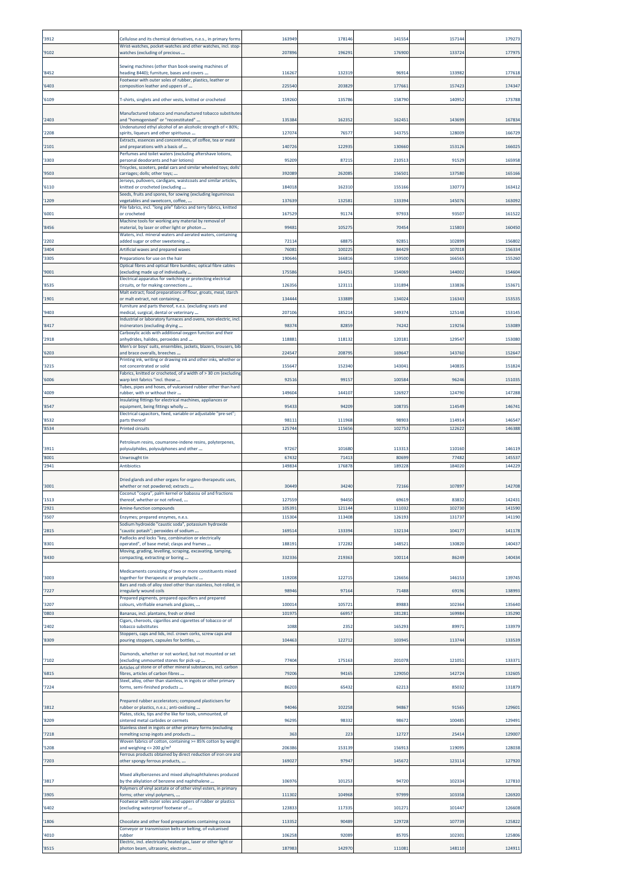| 3912         | Cellulose and its chemical derivatives, n.e.s., in primary forms                                                   | 163949           | 17814          | 141554          | 15714            | 17927            |
|--------------|--------------------------------------------------------------------------------------------------------------------|------------------|----------------|-----------------|------------------|------------------|
| 9102         | Wrist-watches, pocket-watches and other watches, incl. stop<br>watches (excluding of precious                      | 207896           | 19629:         | 176900          | 13372            | 177975           |
|              | Sewing machines (other than book-sewing machines of                                                                |                  |                |                 |                  |                  |
| 8452         | neading 8440); furniture, bases and covers                                                                         | 116267           | 13231          | 96914           | 133982           | 177618           |
| 6403         | Footwear with outer soles of rubber, plastics, leather or<br>composition leather and uppers of                     | 225540           | 203829         | 177661          | 157423           | 174347           |
| 6109         | T-shirts, singlets and other vests, knitted or crocheted                                                           | 159260           | 13578          | 158790          | 140952           | 173788           |
|              | Manufactured tobacco and manufactured tobacco substitutes                                                          |                  |                |                 |                  |                  |
| 2403         | and "homogenised" or "reconstituted"<br>Undenatured ethyl alcohol of an alcoholic strength of < 80%;               | 135384           | 16235          | 16245           | 143699           | 167834           |
| 2208         | spirits, liqueurs and other spirituous<br>Extracts, essences and concentrates, of coffee, tea or maté              | 127074           | 7657           | 143755          | 128009           | 166729           |
| 2101         | and preparations with a basis of<br>Perfumes and toilet waters (excluding aftershave lotions,                      | 14072            | 12293          | 130660          | 153126           | 16602            |
| 3303         | personal deodorants and hair lotions)<br>Tricycles, scooters, pedal cars and similar wheeled toys; dolls           | 95209            | 8721           | 210513          | 91529            | 16595            |
| 9503         | carriages; dolls; other toys;                                                                                      | 392089           | 262085         | 156501          | 137580           | 16516            |
| 6110         | lerseys, pullovers, cardigans, waistcoats and similar articles,<br>cnitted or crocheted (excluding                 | 184018           | 16231          | 155166          | 130773           | 16341            |
| 1209         | Seeds, fruits and spores, for sowing (excluding leguminous<br>vegetables and sweetcorn, coffee,                    | 137639           | 13258:         | 133394          | 145076           | 163092           |
| 6001         | Pile fabrics, incl. "long pile" fabrics and terry fabrics, knitted<br>or crocheted                                 | 167529           | 9117           | 97933           | 93507            | 16152            |
| 8456         | Machine tools for working any material by removal of<br>material, by laser or other light or photon                | 99481            | 10527          | 70454           | 115803           | 160450           |
| 2202         | Waters, incl. mineral waters and aerated waters, containing<br>added sugar or other sweetening                     | 72114            | 6887           | 9285            | 102899           | 156802           |
| 3404         | Artificial waxes and prepared waxes                                                                                | 7608             | 10022          | 84429           | 107018           | 15633            |
| 3305         | Preparations for use on the hair<br>Optical fibres and optical fibre bundles; optical fibre cables                 | 190646           | 16681          | 159500          | 166565           | 155260           |
| 9001         | excluding made up of individually<br>Electrical apparatus for switching or protecting electrical                   | 17558            | 16425          | 154069          | 144002           | 154604           |
| 8535         | circuits, or for making connections                                                                                | 126356           | 12311          | 131894          | 133836           | 15367            |
| 1901         | Malt extract; food preparations of flour, groats, meal, starch<br>or malt extract, not containing                  | 134444           | 133889         | 134024          | 116343           | 153535           |
| 9403         | Furniture and parts thereof, n.e.s. (excluding seats and<br>medical, surgical, dental or veterinary                | 207106           | 18521          | 149374          | 125148           | 15314            |
| 8417         | Industrial or laboratory furnaces and ovens, non-electric, incl.<br>incinerators (excluding drying                 | 98374            | 8285           | 74242           | 119256           | 153089           |
| 2918         | Carboxylic acids with additional oxygen function and their<br>anhydrides, halides, peroxides and                   | 11888            | 11813          | 120181          | 12954            | 15308            |
| 6203         | Men's or boys' suits, ensembles, jackets, blazers, trousers, bib<br>and brace overalls, breeches                   | 224547           | 20879          | 169647          | 143760           | 152647           |
| 3215         | Printing ink, writing or drawing ink and other inks, whether or<br>not concentrated or solid                       | 15564            | 15234          | 143043          | 14083            | 15182            |
| 6006         | Fabrics, knitted or crocheted, of a width of > 30 cm (excluding<br>warp knit fabrics "incl. those                  | 9251             | 9915           | 100584          | 96246            | 15103            |
|              | Tubes, pipes and hoses, of vulcanised rubber other than hard                                                       |                  |                |                 |                  |                  |
| 4009         | rubber, with or without their<br>Insulating fittings for electrical machines, appliances or                        | 149604           | 144107         | 126927          | 124790           | 147288           |
| 8547         | equipment, being fittings wholly<br>Electrical capacitors, fixed, variable or adjustable "pre-set";                | 95433            | 94209          | 108735          | 114549           | 146741           |
| 8532<br>8534 | parts thereof<br>Printed circuits                                                                                  | 9811<br>125744   | 11196<br>11565 | 98903<br>102753 | 11491<br>12262   | 14654<br>146388  |
|              |                                                                                                                    |                  |                |                 |                  |                  |
|              |                                                                                                                    |                  |                |                 |                  |                  |
| 3911         | Petroleum resins, coumarone-indene resins, polyterpenes,<br>polysulphides, polysulphones and other                 | 97267            | 101680         | 113313          | 110160           | 146119           |
| 8001<br>2941 | Unwrought tin<br>Antibiotics                                                                                       | 67432<br>14983   | 7141<br>17687  | 80699<br>189228 | 77482<br>18402   | 145537<br>14422  |
|              |                                                                                                                    |                  |                |                 |                  |                  |
| 3001         | Dried glands and other organs for organo-therapeutic uses,<br>whether or not powdered; extracts                    | 30449            | 3424           | 72166           | 107897           | 142708           |
| 1513         | Coconut "copra", palm kernel or babassu oil and fractions<br>thereof, whether or not refined,                      | 127559           | 94450          | 69619           | 83832            | 142431           |
| 2921         | Amine-function compounds                                                                                           | 105391           | 121144         | 111032          | 102730           | 141590           |
| 3507         | Enzymes; prepared enzymes, n.e.s.<br>Sodium hydroxide "caustic soda", potassium hydroxide                          | 115304           | 11340          | 12619           | 13173            | 141190           |
| 2815         | caustic potash"; peroxides of sodium<br>Padlocks and locks "key, combination or electrically                       | 169514           | 133394         | 132134          | 104177           | 141178           |
| 8301         | operated", of base metal; clasps and frames<br>Moving, grading, levelling, scraping, excavating, tamping,          | 188191           | 172282         | 148521          | 130820           | 140437           |
| 8430         | compacting, extracting or boring                                                                                   | 332336           | 219363         | 100114          | 86249            | 140434           |
| 3003         | Medicaments consisting of two or more constituents mixed<br>:ogether for therapeutic or prophylactic               | 119208           | 12271          | 126656          | 146153           | 139745           |
| 7227         | Bars and rods of alloy steel other than stainless, hot-rolled, in<br>rregularly wound coils                        | 98946            | 97164          | 71488           | 69196            | 138993           |
| 3207         | Prepared pigments, prepared opacifiers and prepared<br>colours, vitrifiable enamels and glazes,                    | 100014           | 10572          | 89883           | 102364           | 135640           |
| 0803         | Bananas, incl. plantains, fresh or dried                                                                           | 101975           | 6695           | 181281          | 169984           | 135290           |
| 2402         | Cigars, cheroots, cigarillos and cigarettes of tobacco or of<br>tobacco substitutes                                | 1088             | 235            | 165293          | 89971            | 133979           |
| 8309         | Stoppers, caps and lids, incl. crown corks, screw caps and<br>pouring stoppers, capsules for bottles,              | 104463           | 122712         | 103945          | 113744           | 133539           |
|              | Diamonds, whether or not worked, but not mounted or set                                                            |                  |                |                 |                  |                  |
| 7102         | excluding unmounted stones for pick-up<br>Articles of stone or of other mineral substances, incl. carbon           | 77404            | 17516          | 201078          | 121051           | 133371           |
| 6815         | fibres, articles of carbon fibres                                                                                  | 79206            | 94165          | 129050          | 142724           | 132605           |
| 7224         | Steel, alloy, other than stainless, in ingots or other primary<br>forms, semi-finished products                    | 86203            | 6543           | 62213           | 85032            | 13187            |
|              | Prepared rubber accelerators; compound plasticisers for                                                            |                  |                |                 |                  |                  |
| 3812         | rubber or plastics, n.e.s.; anti-oxidising<br>Plates, sticks, tips and the like for tools, unmounted, of           | 94046            | 102258         | 94867           | 91565            | 129601           |
| 8209         | sintered metal carbides or cermets<br>Stainless steel in ingots or other primary forms (excluding                  | 96295            | 9833           | 98672           | 100485           | 129491           |
| 7218         | remelting scrap ingots and products<br>Woven fabrics of cotton, containing >= 85% cotton by weight                 | 363              | 223            | 12727           | 25414            | 129007           |
| 5208         | and weighing $\leq$ 200 g/m <sup>2</sup><br>Ferrous products obtained by direct reduction of iron ore and          | 206386           | 153139         | 156913          | 119095           | 128038           |
| 7203         | other spongy ferrous products,                                                                                     | 169027           | 97947          | 145672          | 12311            | 127920           |
| 3817         | Mixed alkylbenzenes and mixed alkylnaphthalenes produced<br>by the alkylation of benzene and naphthalene           | 106976           | 10125          | 94720           | 102334           | 127810           |
| 3905         | Polymers of vinyl acetate or of other vinyl esters, in primary                                                     | 111302           | 104968         | 97999           | 103358           | 126920           |
|              | forms; other vinyl polymers,<br>Footwear with outer soles and uppers of rubber or plastics                         |                  |                |                 |                  |                  |
| 6402         | excluding waterproof footwear of                                                                                   | 123833           | 11733          | 101271          | 101447           | 126608           |
| 1806         | Chocolate and other food preparations containing cocoa<br>Conveyor or transmission belts or belting, of vulcanised | 113352           | 90489          | 129728          | 107739           | 125822           |
| 4010<br>8515 | rubber<br>Electric, incl. electrically heated gas, laser or other light or<br>photon beam, ultrasonic, electron    | 106258<br>187983 | 9208<br>142970 | 85705<br>111081 | 102301<br>148110 | 125806<br>124911 |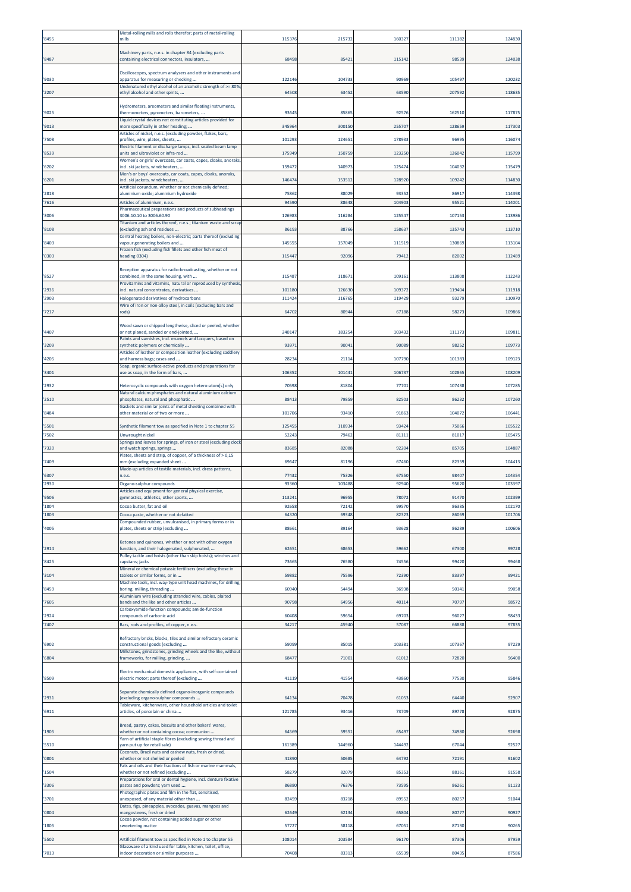| '8455          | Metal-rolling mills and rolls therefor; parts of metal-rolling<br>mills                                                                                        | 115376          | 21573          | 16032          | 11118          | 124830           |
|----------------|----------------------------------------------------------------------------------------------------------------------------------------------------------------|-----------------|----------------|----------------|----------------|------------------|
| '8487          | Machinery parts, n.e.s. in chapter 84 (excluding parts<br>containing electrical connectors, insulators,                                                        | 68498           | 8542           | 115142         | 98539          | 124038           |
|                | Oscilloscopes, spectrum analysers and other instruments and                                                                                                    |                 |                |                |                |                  |
| '9030          | apparatus for measuring or checking<br>Undenatured ethyl alcohol of an alcoholic strength of >= 80%                                                            | 122146          | 10473          | 90969          | 105497         | 120232           |
| '2207          | ethyl alcohol and other spirits,                                                                                                                               | 64508           | 6345           | 63590          | 207592         | 11863            |
| '9025          | Hydrometers, areometers and similar floating instruments,<br>thermometers, pyrometers, barometers,                                                             | 93645           | 8586           | 92576          | 162510         | 117875           |
| '9013          | Liquid crystal devices not constituting articles provided for<br>more specifically in other heading;                                                           | 345964          | 300150         | 255707         | 128659         | 11730            |
| '7508          | Articles of nickel, n.e.s. (excluding powder, flakes, bars,<br>profiles, wire, plates, sheets,<br>Electric filament or discharge lamps, incl. sealed beam lamp | 101293          | 12465          | 178933         | 96995          | 116074           |
| '8539          | units and ultraviolet or infra-red<br>Women's or girls' overcoats, car coats, capes, cloaks, anoraks,                                                          | 175949          | 150759         | 123250         | 126042         | 115799           |
| '6202          | incl. ski jackets, windcheaters,<br>Aen's or boys' overcoats, car coats, capes, cloaks, anoraks,                                                               | 159472          | 14097          | 125474         | 10403          | 11547            |
| '6201          | ncl. ski jackets, windcheaters,<br>Artificial corundum, whether or not chemically defined;                                                                     | 146474          | 15351          | 128920         | 109242         | 114830           |
| '2818<br>'7616 | aluminium oxide; aluminium hydroxide<br>Articles of aluminium, n.e.s.                                                                                          | 75862<br>94590  | 8802<br>8864   | 93352<br>10490 | 86917<br>9552  | 114398<br>11400  |
| '3006          | Pharmaceutical preparations and products of subheadings<br>3006.10.10 to 3006.60.90                                                                            | 126983          | 11628          | 125547         | 107153         | 113986           |
| '8108          | Titanium and articles thereof, n.e.s.; titanium waste and scrap<br>excluding ash and residues                                                                  | 86193           | 8876           | 158637         | 135743         | 113710           |
| '8403          | Central heating boilers, non-electric; parts thereof (excluding<br>vapour generating boilers and                                                               | 145555          | 157049         | 111519         | 130869         | 113104           |
| '0303          | Frozen fish (excluding fish fillets and other fish meat of<br>eading 0304)                                                                                     | 11544           | 92096          | 7941           | 82002          | 112489           |
| '8527          | Reception apparatus for radio-broadcasting, whether or not<br>combined, in the same housing, with                                                              | 115487          | 11867          | 109161         | 113808         | 112243           |
| '2936          | Provitamins and vitamins, natural or reproduced by synthesis<br>ncl. natural concentrates, derivatives                                                         | 101180          | 126630         | 109372         | 119404         | 111918           |
| '2903          | Halogenated derivatives of hydrocarbons<br>Wire of iron or non-alloy steel, in coils (excluding bars and                                                       | 111424          | 116765         | 119429         | 93279          | 110970           |
| '7217          | rods)                                                                                                                                                          | 64702           | 8094           | 67188          | 5827           | 109866           |
| '4407          | Wood sawn or chipped lengthwise, sliced or peeled, whether<br>or not planed, sanded or end-jointed,                                                            | 240147          | 18325          | 103432         | 11117          | 10981            |
| '3209          | Paints and varnishes, incl. enamels and lacquers, based on<br>ynthetic polymers or chemically                                                                  | 9397:           | 9004           | 90089          | 9825           | 10977            |
| '4205          | Articles of leather or composition leather (excluding saddlery<br>and harness bags; cases and                                                                  | 28234           | 2111           | 107790         | 101383         | 109123           |
| '3401          | Soap; organic surface-active products and preparations for<br>use as soap, in the form of bars,                                                                | 106352          | 10144          | 106737         | 10286          | 108209           |
| '2932          | Heterocyclic compounds with oxygen hetero-atom[s] only<br>Natural calcium phosphates and natural aluminium calcium                                             | 70598           | 8180           | 77701          | 107438         | 107285           |
| '2510          | ohosphates, natural and phosphatic<br>Gaskets and similar joints of metal sheeting combined with                                                               | 8841            | 7985           | 82503          | 86232          | 107260           |
| '8484          | other material or of two or more                                                                                                                               | 101706          | 93410          | 91863          | 104072         | 106441           |
| '5501<br>'7502 | Synthetic filament tow as specified in Note 1 to chapter 55<br>Unwrought nickel                                                                                | 125455<br>52243 | 11093<br>79462 | 93424<br>81111 | 75066<br>81017 | 10552<br>10547   |
| '7320          | Springs and leaves for springs, of iron or steel (excluding clock<br>and watch springs, springs                                                                | 83685           | 8208           | 92204          | 8570           | 10488            |
| '7409          | Plates, sheets and strip, of copper, of a thickness of > 0,15<br>mm (excluding expanded sheet                                                                  | 69647           | 81196          | 67460          | 82359          | 10441            |
| '6307          | Made-up articles of textile materials, incl. dress patterns,<br>i.e.s                                                                                          | 77432           | 7532           | 67550          | 98407          | 10435            |
| '2930          | Organo-sulphur compounds<br>Articles and equipment for general physical exercise,                                                                              | 93360           | 10348          | 92940          | 95620          | 10339            |
| '9506<br>'1804 | gymnastics, athletics, other sports,<br>Cocoa butter, fat and oil                                                                                              | 11324<br>9265   | 9695<br>7214   | 7807<br>99570  | 91470<br>8638  | 102399<br>102170 |
| '1803          | Cocoa paste, whether or not defatted<br>Compounded rubber, unvulcanised, in primary forms or in                                                                | 64320           | 6934           | 82323          | 86069          | 101706           |
| '4005          | plates, sheets or strip (excluding                                                                                                                             | 88661           | 8916           | 93628          | 86289          | 100606           |
| '2914          | Ketones and quinones, whether or not with other oxygen<br>function, and their halogenated, sulphonated,                                                        | 62651           | 6865           | 59662          | 67300          | 99728            |
| '8425          | Pulley tackle and hoists (other than skip hoists); winches and<br>apstans; jacks                                                                               | 73665           | 76580          | 74556          | 99420          | 99468            |
| '3104          | Mineral or chemical potassic fertilisers (excluding those in<br>tablets or similar forms, or in                                                                | 59882           | 7559           | 72390          | 83397          | 99421            |
| '8459          | Machine tools, incl. way-type unit head machines, for drilling,<br>boring, milling, threading<br>Aluminium wire (excluding stranded wire, cables, plaited      | 60940           | 5449           | 36938          | 50141          | 99058            |
| '7605          | bands and the like and other articles<br>Carboxyamide-function compounds; amide-function                                                                       | 90798           | 6495           | 40114          | 70797          | 9857             |
| '2924<br>'7407 | compounds of carbonic acid<br>Bars, rods and profiles, of copper, n.e.s.                                                                                       | 60408<br>34217  | 5965<br>4594   | 6970<br>5708   | 96027<br>66888 | 98433<br>9783    |
|                | Refractory bricks, blocks, tiles and similar refractory ceramic                                                                                                |                 |                |                |                |                  |
| '6902          | constructional goods (excluding<br>Millstones, grindstones, grinding wheels and the like, without                                                              | 59099           | 8501           | 10338          | 107367         | 97229            |
| '6804          | frameworks, for milling, grinding,                                                                                                                             | 68477           | 7100           | 61012          | 72820          | 96400            |
| '8509          | Electromechanical domestic appliances, with self-contained<br>electric motor; parts thereof (excluding                                                         | 41119           | 4155           | 43860          | 77530          | 95846            |
| '2931          | Separate chemically defined organo-inorganic compounds<br>excluding organo-sulphur compounds                                                                   | 64134           | 7047           | 6105           | 64440          | 92907            |
| '6911          | Tableware, kitchenware, other household articles and toilet<br>articles, of porcelain or china                                                                 | 121785          | 9341           | 73709          | 89778          | 92875            |
|                | Bread, pastry, cakes, biscuits and other bakers' wares,                                                                                                        |                 |                |                |                |                  |
| '1905          | whether or not containing cocoa; communion<br>Yarn of artificial staple fibres (excluding sewing thread and                                                    | 64569           | 5955           | 65497          | 74980          | 92698            |
| '5510          | yarn put up for retail sale)<br>Coconuts, Brazil nuts and cashew nuts, fresh or dried,                                                                         | 161389          | 144960         | 144492         | 67044          | 92527            |
| '0801          | vhether or not shelled or peeled<br>ats and oils and their fractions of fish or marine mammals,                                                                | 41890           | 5068           | 64792          | 72191          | 91602            |
| '1504<br>'3306 | whether or not refined (excluding<br>Preparations for oral or dental hygiene, incl. denture fixative<br>bastes and powders; yarn used                          | 58279<br>86880  | 82079<br>7637  | 85353<br>73595 | 88161<br>86261 | 91558<br>91123   |
| '3701          | Photographic plates and film in the flat, sensitised,<br>unexposed, of any material other than                                                                 | 82459           | 8321           | 89552          | 80257          | 91044            |
| '0804          | Dates, figs, pineapples, avocados, guavas, mangoes and<br>nangosteens, fresh or dried                                                                          | 62649           | 6213           | 6580           | 80777          | 90927            |
| '1805          | Cocoa powder, not containing added sugar or other<br>sweetening matter                                                                                         | 57727           | 5811           | 6705           | 87130          | 90265            |
| '5502          | Artificial filament tow as specified in Note 1 to chapter 55                                                                                                   | 108014          | 10358          | 96170          | 87306          | 87959            |
| '7013          | Glassware of a kind used for table, kitchen, toilet, office,<br>indoor decoration or similar purposes                                                          | 70408           | 83313          | 65539          | 80435          | 87586            |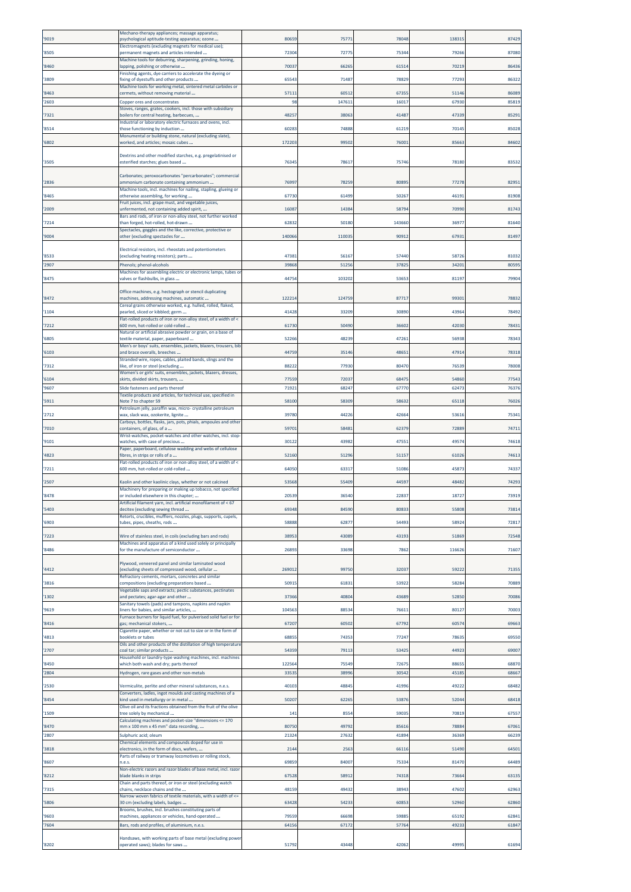| 9019          | Mechano-therapy appliances; massage apparatus;<br>psychological aptitude-testing apparatus; ozone                                                                     | 80659           | 7577           | 78048          | 138319         | 87429          |
|---------------|-----------------------------------------------------------------------------------------------------------------------------------------------------------------------|-----------------|----------------|----------------|----------------|----------------|
| 8505          | Electromagnets (excluding magnets for medical use);<br>permanent magnets and articles intended                                                                        | 72304           | 7277           | 75344          | 79266          | 87080          |
| 8460          | Machine tools for deburring, sharpening, grinding, honing,<br>apping, polishing or otherwise                                                                          | 70037           | 6626           | 61514          | 70219          | 86436          |
| 3809          | Finishing agents, dye carriers to accelerate the dyeing or<br>ixing of dyestuffs and other products                                                                   | 65543           | 7148           | 78829          | 77293          | 86322          |
| 8463          | Machine tools for working metal, sintered metal carbides or<br>cermets, without removing material                                                                     | 57113           | 6051           | 67355          | 51146          | 86089          |
| 2603          | <b>Copper ores and concentrates</b><br>Stoves, ranges, grates, cookers, incl. those with subsidiary                                                                   | 98              | 14761          | 1601           | 67930          | 8581           |
| 7321          | boilers for central heating, barbecues,<br>Industrial or laboratory electric furnaces and ovens, incl.                                                                | 48257           | 3806           | 41487          | 47339          | 8529           |
| 8514          | those functioning by induction<br>Monumental or building stone, natural (excluding slate),                                                                            | 6028            | 7488           | 61219          | 70145          | 8502           |
| 6802          | worked, and articles; mosaic cubes                                                                                                                                    | 172203          | 9950           | 76001          | 85663          | 8460           |
| 3505          | Dextrins and other modified starches, e.g. pregelatinised or<br>esterified starches; glues based                                                                      | 7634            | 7861           | 75746          | 78180          | 8353           |
| 2836          | Carbonates; peroxocarbonates "percarbonates"; commercial<br>ammonium carbonate containing ammonium<br>Machine tools, incl. machines for nailing, stapling, glueing or | 76997           | 7825           | 80895          | 77278          | 82951          |
| 8465          | otherwise assembling, for working<br>Fruit juices, incl. grape must, and vegetable juices,                                                                            | 67730           | 6149           | 50267          | 46191          | 81908          |
| 2009          | unfermented, not containing added spirit,<br>Bars and rods, of iron or non-alloy steel, not further worked                                                            | 16087           | 1438           | 58794          | 70990          | 8174           |
| 7214          | than forged, hot-rolled, hot-drawn<br>Spectacles, goggles and the like, corrective, protective or                                                                     | 62832           | 5018           | 143660         | 36977          | 81640          |
| 9004          | other (excluding spectacles for                                                                                                                                       | 140066          | 11003          | 90912          | 67931          | 81497          |
| 8533          | Electrical resistors, incl. rheostats and potentiometers<br>(excluding heating resistors); parts                                                                      | 47381           | 5616           | 57440          | 58726          | 81032          |
| 2907          | Phenols; phenol-alcohols                                                                                                                                              | 39868           | 5125           | 37825          | 34201          | 80595          |
| 8475          | Machines for assembling electric or electronic lamps, tubes or<br>valves or flashbulbs, in glass                                                                      | 4475            | 10320          | 53653          | 81197          | 7990           |
| 8472          | Office machines, e.g. hectograph or stencil duplicating<br>machines, addressing machines, automatic                                                                   | 12221           | 12475          | 87717          | 99301          | 78832          |
| 1104          | Cereal grains otherwise worked, e.g. hulled, rolled, flaked,<br>bearled, sliced or kibbled; germ                                                                      | 41428           | 3320           | 30890          | 43964          | 7849           |
| 7212          | Flat-rolled products of iron or non-alloy steel, of a width of <<br>500 mm, hot-rolled or cold-rolled                                                                 | 61730           | 5049           | 36602          | 42030          | 78431          |
| 6805          | Natural or artificial abrasive powder or grain, on a base of<br>textile material, paper, paperboard                                                                   | 52266           | 4823           | 47261          | 56938          | 7834           |
| 6103          | Men's or boys' suits, ensembles, jackets, blazers, trousers, bib<br>and brace overalls, breeches                                                                      | 44759           | 3514           | 48651          | 47914          | 78318          |
| 7312          | Stranded wire, ropes, cables, plaited bands, slings and the<br>ike, of iron or steel (excluding                                                                       | 88222           | 7793           | 80470          | 76539          | 78008          |
| 6104          | Women's or girls' suits, ensembles, jackets, blazers, dresses,<br>skirts, divided skirts, trousers,                                                                   | 77559           | 7203           | 68475          | 54860          | 77543          |
| '9607         | Slide fasteners and parts thereof<br>Fextile products and articles, for technical use, specified in                                                                   | 71921           | 6824           | 67770          | 62473          | 7637           |
| 5911          | Note 7 to chapter 59<br>Petroleum jelly, paraffin wax, micro- crystalline petroleum                                                                                   | 58100           | 5830           | 58632          | 65118          | 7602           |
| 2712          | wax, slack wax, ozokerite, lignite<br>Carboys, bottles, flasks, jars, pots, phials, ampoules and other                                                                | 39780           | 4422           | 42664          | 53616          | 7534           |
| 7010          | containers, of glass, of a<br>Wrist-watches, pocket-watches and other watches, incl. stop                                                                             | 59701           | 5848           | 62379          | 72889          | 7471           |
| 9101          | watches, with case of precious<br>Paper, paperboard, cellulose wadding and webs of cellulose                                                                          | 30122           | 4398           | 47553          | 49574          | 74618          |
| 4823          | ibres, in strips or rolls of a<br>Flat-rolled products of iron or non-alloy steel, of a width of <                                                                    | 52160           | 5129           | 51157          | 61026          | 74613          |
| 7211          | 600 mm, hot-rolled or cold-rolled                                                                                                                                     | 64050           | 6331           | 51086          | 45873          | 74337          |
| 2507          | Kaolin and other kaolinic clays, whether or not calcined<br>Machinery for preparing or making up tobacco, not specified                                               | 53568<br>20539  | 55409<br>3654  | 44597<br>22837 | 48482          | 7429<br>73919  |
| 8478<br>5403  | or included elsewhere in this chapter;<br>Artificial filament yarn, incl. artificial monofilament of < 67<br>decitex (excluding sewing thread                         | 69348           | 84590          | 80833          | 18727<br>55808 | 73814          |
| 6903          | Retorts, crucibles, mufflers, nozzles, plugs, supports, cupels,<br>tubes, pipes, sheaths, rods                                                                        | 58888           | 6287           | 54493          | 58924          | 72817          |
| 7223          | Wire of stainless steel, in coils (excluding bars and rods)                                                                                                           | 38953           | 4308           | 43193          | 51869          | 72548          |
| 8486          | Machines and apparatus of a kind used solely or principally<br>for the manufacture of semiconductor                                                                   | 26893           | 33698          | 7862           | 116626         | 71607          |
|               | <sup>9</sup> lywood, veneered panel and similar laminated wood                                                                                                        | 269012          | 99750          |                |                |                |
| 4412          | excluding sheets of compressed wood, cellular<br>Refractory cements, mortars, concretes and similar                                                                   |                 |                | 32037          | 59222          | 71355          |
| 3816          | compositions (excluding preparations based<br>Vegetable saps and extracts; pectic substances, pectinates                                                              | 50915           | 6183           | 53922          | 58284          | 70889          |
| 1302<br>'9619 | and pectates; agar-agar and other<br>Sanitary towels (pads) and tampons, napkins and napkin<br>iners for babies, and similar articles,                                | 37366<br>104563 | 4080<br>8853   | 43689<br>76611 | 52850<br>80127 | 70086<br>70003 |
| 8416          | Furnace burners for liquid fuel, for pulverised solid fuel or for<br>gas; mechanical stokers,                                                                         | 67207           | 6050           | 67792          | 60574          | 69663          |
| 4813          | Cigarette paper, whether or not cut to size or in the form of<br>booklets or tubes                                                                                    | 68855           | 7435           | 77247          | 78635          | 69550          |
| 2707          | Oils and other products of the distillation of high temperature<br>coal tar; similar products                                                                         | 54359           | 7911           | 53425          | 44923          | 69007          |
| 8450          | Household or laundry-type washing machines, incl. machines<br>which both wash and dry; parts thereof                                                                  | 122564          | 75549          | 72675          | 88655          | 68870          |
| 2804          | Hydrogen, rare gases and other non-metals                                                                                                                             | 33535           | 38996          | 30542          | 45185          | 68667          |
| '2530         | Vermiculite, perlite and other mineral substances, n.e.s.<br>Converters, ladles, ingot moulds and casting machines of a                                               | 40103           | 4884           | 41996          | 49222          | 68482          |
| 8454          | kind used in metallurgy or in metal<br>Olive oil and its fractions obtained from the fruit of the olive                                                               | 50207           | 6226           | 53876          | 52044          | 68418          |
| 1509          | tree solely by mechanical<br>Calculating machines and pocket-size "dimensions <= 170                                                                                  | 14 <sub>2</sub> | 8554           | 59035          | 70819          | 67557          |
| 8470<br>2807  | mm x 100 mm x 45 mm" data recording,<br>Sulphuric acid; oleum                                                                                                         | 80750<br>21324  | 49792<br>27632 | 85616<br>41894 | 78884<br>36369 | 67061<br>66239 |
| 3818          | Chemical elements and compounds doped for use in<br>electronics, in the form of discs, wafers,                                                                        | 2144            | 256            | 66116          | 51490          | 64501          |
| '8607         | Parts of railway or tramway locomotives or rolling stock,<br>n.e.s.                                                                                                   | 69859           | 84007          | 75334          | 81470          | 64489          |
| 8212          | Non-electric razors and razor blades of base metal, incl. razor<br>blade blanks in strips                                                                             | 67528           | 5891           | 74318          | 73664          | 63135          |
| 7315          | Chain and parts thereof, or iron or steel (excluding watch<br>chains, necklace chains and the                                                                         | 48159           | 49432          | 38943          | 47602          | 62963          |
| 5806          | Narrow woven fabrics of textile materials, with a width of <=<br>30 cm (excluding labels, badges                                                                      | 63428           | 5423           | 60853          | 52960          | 62860          |
| 9603          | Brooms, brushes, incl. brushes constituting parts of<br>machines, appliances or vehicles, hand-operated                                                               | 79559           | 6669           | 59885          | 65192          | 62841          |
| 7604          | Bars, rods and profiles, of aluminium, n.e.s.                                                                                                                         | 64156           | 6717           | 57764          | 49233          | 61847          |
| '8202         | Handsaws, with working parts of base metal (excluding power<br>operated saws); blades for saws                                                                        | 51792           | 43448          | 42062          | 49995          | 61694          |
|               |                                                                                                                                                                       |                 |                |                |                |                |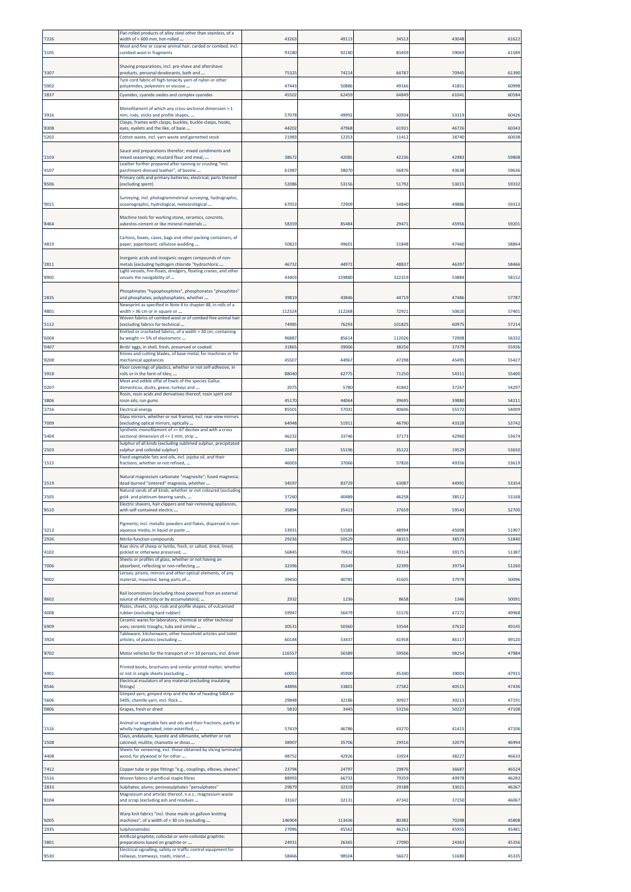| '7226          | Flat-rolled products of alloy steel other than stainless, of a<br>width of < 600 mm, hot-rolled                                                                        | 43263          | 4911           | 34513          | 43048          | 61622          |
|----------------|------------------------------------------------------------------------------------------------------------------------------------------------------------------------|----------------|----------------|----------------|----------------|----------------|
| '5105          | Wool and fine or coarse animal hair, carded or combed, incl.<br>combed wool in fragments                                                                               | 9318           | 92180          | 83459          | 59069          | 61589          |
|                | Shaving preparations, incl. pre-shave and aftershave                                                                                                                   |                |                |                |                |                |
| '3307          | products, personal deodorants, bath and<br>Tyre cord fabric of high-tenacity yarn of nylon or other                                                                    | 75325          | 74214          | 64787          | 70945          | 61390          |
| '5902<br>'2837 | polyamides, polyesters or viscose<br>Cyanides, cyanide oxides and complex cyanides                                                                                     | 47443<br>45502 | 50886<br>62459 | 49166<br>64849 | 41851<br>61041 | 60998<br>60584 |
|                | Monofilament of which any cross-sectional dimension > 1                                                                                                                |                |                |                |                |                |
| '3916          | mm, rods, sticks and profile shapes,<br>Clasps, frames with clasps, buckles, buckle-clasps, hooks,                                                                     | 57078          | 4999           | 50934          | 53319          | 60426          |
| '8308<br>'5202 | eyes, eyelets and the like, of base<br>Cotton waste, incl. yarn waste and garnetted stock                                                                              | 44202<br>2198  | 47968<br>1235  | 61931<br>11412 | 46726<br>18740 | 60343<br>60038 |
|                | Sauce and preparations therefor; mixed condiments and                                                                                                                  |                |                |                |                |                |
| '2103          | mixed seasonings; mustard flour and meal,<br>Leather further prepared after tanning or crusting "incl.                                                                 | 38672          | 4208           | 42236          | 42983          | 59808          |
| '4107          | parchment-dressed leather", of bovine<br>Primary cells and primary batteries, electrical; parts thereof                                                                | 61987          | 58070          | 56876          | 43638          | 5963           |
| '8506          | (excluding spent)                                                                                                                                                      | 52086          | 5315           | 51792          | 53015          | 59332          |
| '9015          | Surveying, incl. photogrammetrical surveying, hydrographic,<br>oceanographic, hydrological, meteorological                                                             | 6705           | 7290           | 54840          | 49886          | 5931           |
| '8464          | Machine tools for working stone, ceramics, concrete,<br>asbestos-cement or like mineral materials                                                                      | 5835           | 8548           | 29473          | 45956          | 5920           |
| '4819          | Cartons, boxes, cases, bags and other packing containers, of<br>paper, paperboard, cellulose wadding                                                                   | 5082           | 49601          | 51848          | 47460          | 58864          |
| '2811          | Inorganic acids and inorganic oxygen compounds of non-<br>metals (excluding hydrogen chloride "hydrochloric                                                            | 4673           | 4497           | 48837          | 46397          | 5846           |
| '8905          | Light-vessels, fire-floats, dredgers, floating cranes, and other<br>vessels the navigability of                                                                        | 4340           | 159880         | 322319         | 53884          | 58152          |
|                | Phosphinates "hypophosphites", phosphonates "phosphites"                                                                                                               |                |                |                |                |                |
| '2835          | and phosphates; polyphosphates, whether<br>Newsprint as specified in Note 4 to chapter 48, in rolls of a                                                               | 3981           | 4384           | 44719          | 47486          | 5778           |
| '4801          | width > 36 cm or in square or<br>Woven fabrics of combed wool or of combed fine animal hair                                                                            | 11252          | 112268         | 72921          | 50620          | 57401          |
| '5112          | lexcluding fabrics for technical<br>Knitted or crocheted fabrics, of a width > 30 cm, containing                                                                       | 7498           | 7629           | 101825         | 60975          | 57214          |
| '6004          | by weight >= 5% of elastomeric                                                                                                                                         | 96887          | 8561           | 112026         | 72908          | 56332          |
| '0407          | Birds' eggs, in shell, fresh, preserved or cooked<br>Knives and cutting blades, of base metal, for machines or for                                                     | 31865          | 39006          | 38256          | 37379          | 55936          |
| '8208          | mechanical appliances<br>Floor coverings of plastics, whether or not self-adhesive, in                                                                                 | 45507          | 44967          | 47298          | 45495          | 55427          |
| '3918          | rolls or in the form of tiles;<br>Meat and edible offal of fowls of the species Gallus                                                                                 | 88040          | 6277           | 71250          | 54311          | 55400          |
| '0207          | domesticus, ducks, geese, turkeys and<br>Rosin, resin acids and derivatives thereof; rosin spirit and                                                                  | 207            | 5780           | 41842          | 37267          | 54297          |
| '3806<br>2716  | rosin oils; run gums<br><b>Electrical energy</b>                                                                                                                       | 4517<br>8550   | 4406<br>57031  | 39695<br>40606 | 39880<br>55572 | 54211<br>54009 |
| '7009          | Glass mirrors, whether or not framed, incl. rear-view mirrors<br>(excluding optical mirrors, optically                                                                 | 6494           | 5191           | 46790          | 43328          | 53742          |
| '5404          | Synthetic monofilament of >= 67 decitex and with a cross<br>sectional dimension of <= 1 mm; strip                                                                      | 4623           | 33746          | 37173          | 42960          | 53674          |
| '2503          | Sulphur of all kinds (excluding sublimed sulphur, precipitated<br>sulphur and colloidal sulphur)                                                                       | 3249           | 5519           | 35122          | 19529          | 53650          |
| '1515          | Fixed vegetable fats and oils, incl. jojoba oil, and their<br>fractions, whether or not refined,                                                                       | 4600           | 37066          | 57826          | 49356          | 53619          |
|                |                                                                                                                                                                        |                |                |                |                |                |
| '2519          | Natural magnesium carbonate "magnesite"; fused magnesia;<br>dead-burned "sintered" magnesia, whether<br>Natural sands of all kinds, whether or not coloured (excluding | 3459           | 8372           | 63087          | 44991          | 5335           |
| '2505          | gold- and platinum-bearing sands,                                                                                                                                      | 3726           | 40489          | 46258          | 3851           | 53168          |
| '8510          | with self-contained electric                                                                                                                                           | 3589           | 3541           | 37659          | 5954           | 52700          |
| '3212          | Pigments, incl. metallic powders and flakes, dispersed in non-<br>aqueous media, in liquid or paste                                                                    | 5393           | 51583          | 48994          | 45008          | 51907          |
| '2926          | Nitrile-function compounds<br>Raw skins of sheep or lambs, fresh, or salted, dried, limed,                                                                             | 29236          | 5052           | 38315          | 38573          | 51840          |
| '4102          | pickled or otherwise preserved,                                                                                                                                        | 56845          | 70432          | 70314          | 39175          | 51387          |
| '7006          | Sheets or profiles of glass, whether or not having an<br>absorbent, reflecting or non-reflecting<br>Lenses, prisms, mirrors and other optical elements, of any         | 3239           | 35349          | 32399          | 39754          | 51260          |
| '9002          | material, mounted, being parts of                                                                                                                                      | 39450          | 40785          | 41605          | 37978          | 50096          |
| '8602          | Rail locomotives (excluding those powered from an external<br>source of electricity or by accumulators);                                                               | 2932           | 123            | 8658           | 1346           | 50091          |
| '4008          | lates, sheets, strip, rods and profile shapes, of vulcanised<br>rubber (excluding hard rubber)                                                                         | 59947          | 56479          | 51576          | 47172          | 49968          |
| '6909          | Ceramic wares for laboratory, chemical or other technical<br>uses; ceramic troughs, tubs and similar                                                                   | 3053:          | 50360          | 33544          | 37610          | 49145          |
| '3924          | Tableware, kitchenware, other household articles and toilet<br>articles, of plastics (excluding                                                                        | 60144          | 53437          | 41958          | 46117          | 49120          |
| '8702          | Motor vehicles for the transport of >= 10 persons, incl. driver                                                                                                        | 11655          | 56589          | 59506          | 98254          | 47984          |
| '4901          | Printed books, brochures and similar printed matter, whether<br>or not in single sheets (excluding                                                                     | 60053          | 45900          | 45340          | 39003          | 47915          |
| '8546          | Electrical insulators of any material (excluding insulating<br>fittings)                                                                                               | 44896          | 33801          | 27582          | 40515          | 47436          |
| '5606          | Gimped yarn, gimped strip and the like of heading 5404 or<br>5405; chenille yarn, incl. flock                                                                          | 29848          | 32186          | 30927          | 30213          | 47191          |
| '0806          | Grapes, fresh or dried                                                                                                                                                 | 5810           | 3445           | 53156          | 50227          | 47108          |
| '1516          | Animal or vegetable fats and oils and their fractions, partly or                                                                                                       | 57419          | 46786          | 43270          | 41415          | 47106          |
|                | wholly hydrogenated, inter-esterified,<br>Clays, andalusite, kyanite and sillimanite, whether or not                                                                   |                |                |                |                |                |
| '2508<br>'4408 | calcined; mullite; chamotte or dinas<br>Sheets for veneering, incl. those obtained by slicing laminated<br>wood, for plywood or for other                              | 38907<br>48752 | 35706<br>42926 | 29916<br>33924 | 32079<br>38227 | 4699<br>46633  |
| '7412          | Copper tube or pipe fittings "e.g., couplings, elbows, sleeves"                                                                                                        | 23794          | 2479           | 29876          | 36687          | 46524          |
| '5516          | Woven fabrics of artificial staple fibres                                                                                                                              | 88993          | 66733          | 79359          | 49978          | 46283          |
| '2833          | Sulphates; alums; peroxosulphates "persulphates"<br>Magnesium and articles thereof, n.e.s.; magnesium waste                                                            | 2987           | 32319          | 29188          | 33021          | 46267          |
| '8104          | and scrap (excluding ash and residues                                                                                                                                  | 33167          | 32131          | 47342          | 37250          | 46067          |
| '6005          | Warp knit fabrics "incl. those made on galloon knitting<br>machines", of a width of > 30 cm (excluding                                                                 | 146904         | 113436         | 80382          | 70298          | 45808          |
| '2935          | Sulphonamides<br>Artificial graphite; colloidal or semi-colloidal graphite;                                                                                            | 27096          | 45562          | 46253          | 45955          | 45481          |
| '3801          | preparations based on graphite or<br>Electrical signalling, safety or traffic control equipment for                                                                    | 2493:          | 26365          | 27090          | 24363          | 45356          |
| '8530          | railways, tramways, roads, inland                                                                                                                                      | 58466          | 98504          | 56672          | 51680          | 45335          |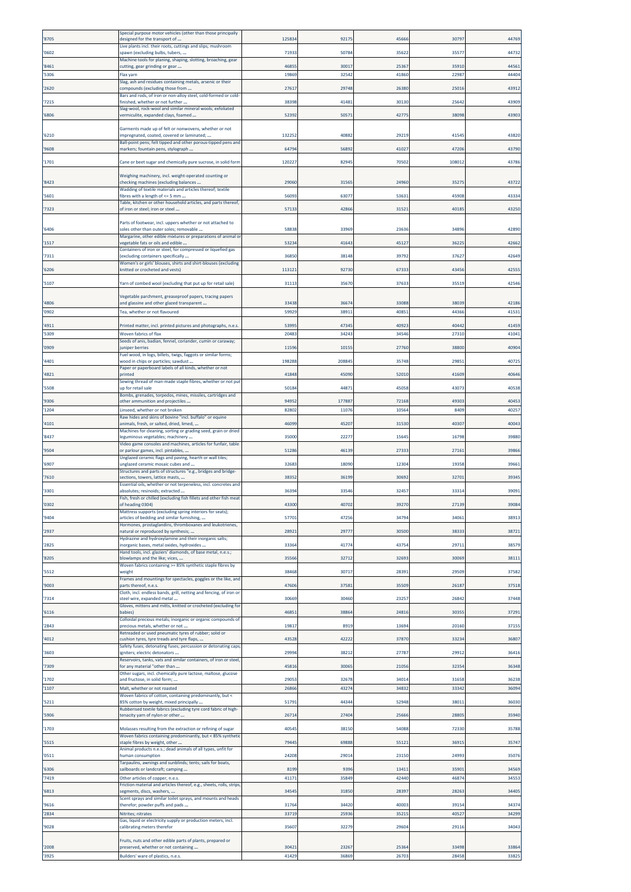| '8705          | Special purpose motor vehicles (other than those principally<br>designed for the transport of             | 125834         | 9217          | 4566           | 3079           | 44769          |
|----------------|-----------------------------------------------------------------------------------------------------------|----------------|---------------|----------------|----------------|----------------|
| '0602          | Live plants incl. their roots, cuttings and slips; mushroom<br>spawn (excluding bulbs, tubers,            | 71933          | 5078          | 35622          | 3557           | 44732          |
|                | Machine tools for planing, shaping, slotting, broaching, gear                                             |                |               |                |                |                |
| '8461<br>'5306 | utting, gear grinding or gear<br>lax yarn                                                                 | 46855<br>19869 | 3001<br>3254  | 2536<br>41860  | 35910<br>22987 | 4456<br>4440   |
| '2620          | Slag, ash and residues containing metals, arsenic or their<br>compounds (excluding those from             | 27617          | 2974          | 26380          | 2501           | 4391           |
|                | Bars and rods, of iron or non-alloy steel, cold-formed or cold-                                           |                |               |                |                |                |
| '7215          | finished, whether or not further<br>Slag-wool, rock-wool and similar mineral wools; exfoliated            | 38398          | 4148          | 30130          | 25642          | 43909          |
| '6806          | vermiculite, expanded clays, foamed                                                                       | 52392          | 5057          | 42775          | 38098          | 4390           |
| '6210          | Garments made up of felt or nonwovens, whether or not<br>impregnated, coated, covered or laminated;       | 132252         | 4088          | 29219          | 41545          | 43820          |
| '9608          | Ball-point pens; felt tipped and other porous-tipped pens and<br>markers; fountain pens, stylograph       | 64794          | 5689          | 4102           | 4720           | 4379           |
|                |                                                                                                           | 12022          | 8294          | 70502          | 10801          | 4378           |
| '1701          | Cane or beet sugar and chemically pure sucrose, in solid form                                             |                |               |                |                |                |
| '8423          | Weighing machinery, incl. weight-operated counting or<br>checking machines (excluding balances            | 29060          | 3156          | 24960          | 3527           | 43722          |
| '5601          | Wadding of textile materials and articles thereof; textile<br>fibres with a length of <= 5 mm             | 5609           | 6307          | 5363           | 45908          | 4333           |
| '7323          | Table, kitchen or other household articles, and parts thereof,<br>of iron or steel; iron or steel         | 5713           | 4286          | 31521          | 40185          | 43250          |
|                | Parts of footwear, incl. uppers whether or not attached to                                                |                |               |                |                |                |
| '6406          | soles other than outer soles; removable<br>Margarine, other edible mixtures or preparations of animal or  | 58838          | 33969         | 23636          | 34896          | 4289           |
| '1517          | vegetable fats or oils and edible<br>Containers of iron or steel, for compressed or liquefied gas         | 53234          | 4164          | 45127          | 36225          | 42662          |
| '7311          | excluding containers specifically                                                                         | 36850          | 3814          | 39792          | 37627          | 42649          |
| '6206          | Women's or girls' blouses, shirts and shirt-blouses (excluding<br>knitted or crocheted and vests)         | 11312          | 9273          | 67333          | 4345           | 4255           |
| '5107          | Yarn of combed wool (excluding that put up for retail sale)                                               | 31113          | 3567          | 37633          | 35519          | 42546          |
|                | Vegetable parchment, greaseproof papers, tracing papers                                                   |                |               |                |                |                |
| '4806<br>'0902 | and glassine and other glazed transparent<br>Tea, whether or not flavoured                                | 33438<br>59929 | 3667<br>38911 | 3308<br>4085   | 38039<br>44366 | 4218<br>41531  |
| '4911          | Printed matter, incl. printed pictures and photographs, n.e.s                                             | 53995          | 4734          | 4092           | 40442          | 41459          |
| '5309          | Woven fabrics of flax                                                                                     | 20483          | 3424          | 34546          | 27310          | 41041          |
| '0909          | Seeds of anis, badian, fennel, coriander, cumin or caraway;<br>uniper berries                             | 11596          | 1015          | 2776           | 38800          | 4090           |
| '4401          | Fuel wood, in logs, billets, twigs, faggots or similar forms;<br>wood in chips or particles; sawdust      | 198288         | 20884         | 35748          | 29851          | 4072           |
| '4821          | Paper or paperboard labels of all kinds, whether or not<br>printed                                        | 41848          | 4509          | 52010          | 41609          | 4064           |
| '5508          | Sewing thread of man-made staple fibres, whether or not put<br>up for retail sale                         | 50184          | 4487          | 45058          | 43073          | 40538          |
| '9306          | Bombs, grenades, torpedos, mines, missiles, cartridges and<br>other ammunition and projectiles            | 94952          | 17788         | 7216           | 49303          | 4045           |
| '1204          | inseed, whether or not broken                                                                             | 82802          | 1107          | 1056           | 8409           | 4025           |
| '4101          | Raw hides and skins of bovine "incl. buffalo" or equine<br>animals, fresh, or salted, dried, limed,       | 46099          | 4520          | 3153           | 40307          | 40043          |
| '8437          | Machines for cleaning, sorting or grading seed, grain or dried<br>leguminous vegetables; machinery        | 35000          | 2227          | 15645          | 16798          | 3988           |
| '9504          | Video game consoles and machines, articles for funfair, table<br>or parlour games, incl. pintables,       | 51286          | 4613          | 27333          | 27161          | 3986           |
| '6907          | Unglazed ceramic flags and paving, hearth or wall tiles;<br>unglazed ceramic mosaic cubes and             | 32683          | 1809          | 12304          | 19358          | 3966           |
|                | Structures and parts of structures "e.g., bridges and bridge-                                             | 38352          |               | 30692          | 32701          |                |
| '7610          | sections, towers, lattice masts,<br>Essential oils, whether or not terpeneless, incl. concretes and       |                | 3619          |                |                | 3934           |
| '3301          | absolutes; resinoids; extracted<br>Fish, fresh or chilled (excluding fish fillets and other fish meat     | 36394          | 3354          | 32457          | 3331           | 3909           |
| '0302          | f heading 0304)<br>Mattress supports (excluding spring interiors for seats);                              |                | 4070          |                |                |                |
| '9404          | articles of bedding and similar furnishing,<br>lormones, prostaglandins, thromboxanes and leukotrienes,   | 57701          | 47256         | 34794          | 34061          | 38913          |
| '2937          | natural or reproduced by synthesis;<br>Hydrazine and hydroxylamine and their inorganic salts;             | 28921          | 2977          | 30500          | 38333          | 38721          |
| '2825          | inorganic bases, metal oxides, hydroxides<br>Hand tools, incl. glaziers' diamonds, of base metal, n.e.s.; | 33364          | 4177          | 43754          | 29711          | 38579          |
| '8205          | blowlamps and the like; vices,                                                                            | 35566          | 3271          | 32693          | 30069          | 3811:          |
| '5512          | Woven fabrics containing >= 85% synthetic staple fibres by<br>weight                                      | 38468          | 3071          | 2839           | 29509          | 37582          |
| '9003          | Frames and mountings for spectacles, goggles or the like, and<br>parts thereof, n.e.s.                    | 47606          | 37581         | 35509          | 26187          | 37518          |
| '7314          | Cloth, incl. endless bands, grill, netting and fencing, of iron or<br>steel wire, expanded metal          | 30669          | 30460         | 23257          | 26842          | 37448          |
| '6116          | Gloves, mittens and mitts, knitted or crocheted (excluding for<br>babies                                  | 46851          | 38864         | 24816          | 30355          | 37291          |
| '2843          | Colloidal precious metals; inorganic or organic compounds of<br>precious metals, whether or not           | 19817          | 8919          | 13694          | 20160          | 37155          |
| '4012          | Retreaded or used pneumatic tyres of rubber; solid or<br>cushion tyres, tyre treads and tyre flaps,       | 43528          | 42222         | 37870          | 33234          | 36807          |
| '3603          | Safety fuses; detonating fuses; percussion or detonating caps;<br>gniters; electric detonators            | 29994          | 3821          | 27787          | 29912          | 36416          |
|                | Reservoirs, tanks, vats and similar containers, of iron or steel,                                         |                |               |                |                |                |
| '7309          | for any material "other than<br>Other sugars, incl. chemically pure lactose, maltose, glucose             | 45816          | 30065         | 21056          | 32354          | 36348          |
| '1702<br>'1107 | and fructose, in solid form;<br>Malt, whether or not roasted                                              | 29053<br>26866 | 3267<br>4327  | 34014<br>34832 | 31658<br>33342 | 36238<br>36094 |
| '5211          | Woven fabrics of cotton, containing predominantly, but <<br>85% cotton by weight, mixed principally       | 51791          | 4434          | 52948          | 38011          | 36030          |
| '5906          | Rubberised textile fabrics (excluding tyre cord fabric of high-<br>tenacity yarn of nylon or other        | 26714          | 27404         | 25666          | 28805          | 35940          |
| '1703          | Molasses resulting from the extraction or refining of sugar                                               | 40545          | 38150         | 54088          | 72330          | 35788          |
|                | Woven fabrics containing predominantly, but < 85% synthetic                                               |                |               |                |                |                |
| '5515          | staple fibres by weight, other<br>Animal products n.e.s.; dead animals of all types, unfit for            | 79445          | 69888         | 5512           | 36915          | 35747          |
| '0511          | human consumption<br>Tarpaulins, awnings and sunblinds; tents; sails for boats,                           | 24208          | 2901          | 23150          | 24993          | 35076          |
| '6306<br>'7419 | sailboards or landcraft; camping<br>Other articles of copper, n.e.s.                                      | 8199<br>41171  | 9396<br>3584  | 1341<br>42440  | 35901<br>46874 | 34569<br>3455  |
| '6813          | riction material and articles thereof, e.g., sheets, rolls, strips<br>egments, discs, washers,            | 34545          | 31850         | 28397          | 28263          | 34405          |
|                | Scent sprays and similar toilet sprays, and mounts and heads                                              |                |               |                |                |                |
| '9616<br>2834  | therefor; powder puffs and pads<br>Nitrites; nitrates                                                     | 31764<br>33719 | 34420<br>2593 | 40003<br>3521  | 39154<br>40527 | 34374<br>34299 |
| '9028          | Gas, liquid or electricity supply or production meters, incl.<br>calibrating meters therefor              | 35607          | 3227          | 29604          | 29116          | 34043          |
|                | Fruits, nuts and other edible parts of plants, prepared or                                                |                |               |                |                |                |
| '2008          | preserved, whether or not containing                                                                      | 30421          | 23267         | 25364          | 33498          | 33864          |
| '3925          | Builders' ware of plastics, n.e.s.                                                                        | 41429          | 36869         | 26703          | 28458          | 33825          |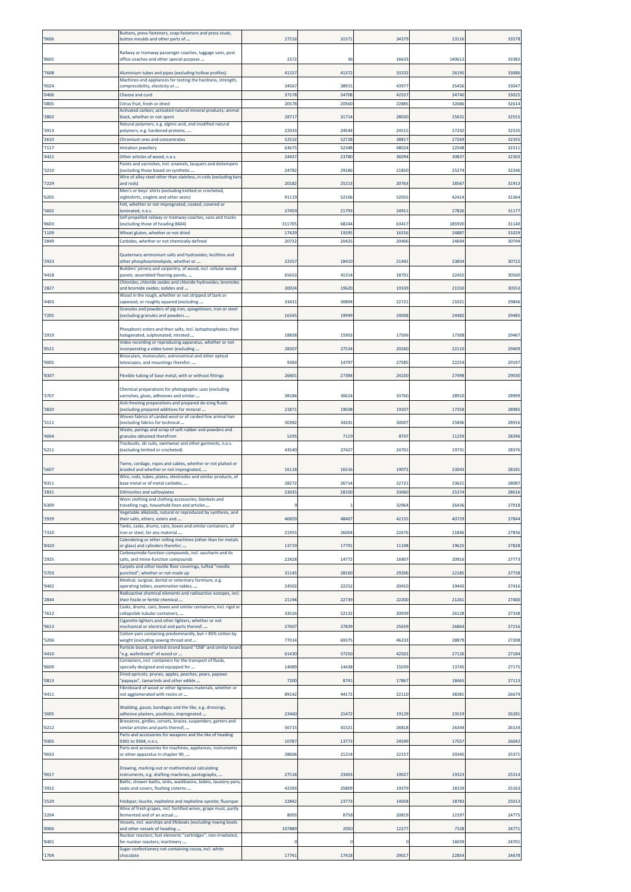| '9606          | Buttons, press-fasteners, snap-fasteners and press studs,<br>button moulds and other parts of                                    | 27216          | 3157           | 3437         | 2311           | 33578          |
|----------------|----------------------------------------------------------------------------------------------------------------------------------|----------------|----------------|--------------|----------------|----------------|
| '8605          | Railway or tramway passenger coaches, luggage vans, post<br>office coaches and other special purpose                             | 2372           | 36             | 1663         | 140612         | 33382          |
| '7608          | Aluminium tubes and pipes (excluding hollow profiles)                                                                            | 41157          | 41372          | 3323         | 26195          | 33086          |
| '9024          | Machines and appliances for testing the hardness, strength,<br>compressibility, elasticity or                                    | 34567          | 38915          | 4397         | 35456          | 33047          |
| '0406<br>'0805 | Cheese and curd<br>Citrus fruit, fresh or dried                                                                                  | 37578<br>20578 | 34708<br>20560 | 4255<br>2288 | 34740<br>32686 | 33025<br>32614 |
| '3802          | Activated carbon; activated natural mineral products; animal                                                                     | 28717          | 31714          | 28030        | 25631          | 32555          |
|                | black, whether or not spent<br>Vatural polymers, e.g. alginic acid, and modified natural                                         |                |                |              |                |                |
| '3913<br>'2610 | olymers, e.g. hardened proteins,<br>Chromium ores and concentrates                                                               | 2203<br>52532  | 24544<br>52728 | 2451<br>3881 | 27242<br>27269 | 32535<br>32355 |
| '7117          | mitation jewellery                                                                                                               | 6367           | 52348          | 48024        | 22548          | 32311          |
| '4421          | Other articles of wood, n.e.s.<br>Paints and varnishes, incl. enamels, lacquers and distempers                                   | 24437          | 23780          | 36094        | 30837          | 32303          |
| '3210          | excluding those based on synthetic<br>Wire of alloy steel other than stainless, in coils (excluding bars                         | 24782          | 29186          | 2185         | 2527           | 32246          |
| '7229          | and rods)<br>Men's or boys' shirts (excluding knitted or crocheted,                                                              | 20182          | 2521           | 2076         | 18567          | 31913          |
| '6205          | ightshirts, singlets and other vests)<br>elt, whether or not impregnated, coated, covered or                                     | 91119          | 52106          | 5205         | 4241           | 31364          |
| '5602          | aminated, n.e.s.<br>Self-propelled railway or tramway coaches, vans and trucks                                                   | 27459          | 21793          | 2491         | 27826          | 31177          |
| '8603          | excluding those of heading 8604)                                                                                                 | 31170          | 68244          | 6341         | 185920         | 31140          |
| '1109<br>'2849 | Wheat gluten, whether or not dried<br>Carbides, whether or not chemically defined                                                | 17429<br>2073  | 19295<br>2042  | 1655<br>2040 | 2488<br>24694  | 31029<br>30794 |
|                | Quaternary ammonium salts and hydroxides; lecithins and                                                                          |                |                |              |                |                |
| '2923          | other phosphoaminolipids, whether or                                                                                             | 22357          | 18410          | 2144         | 23834          | 30722          |
| '4418          | Builders' joinery and carpentry, of wood, incl. cellular wood<br>panels, assembled flooring panels,                              | 65653          | 41314          | 1870         | 22455          | 30560          |
| '2827          | Chlorides, chloride oxides and chloride hydroxides; bromides<br>and bromide oxides; iodides and                                  | 20024          | 19620          | 19339        | 21550          | 30553          |
| '4403          | Nood in the rough, whether or not stripped of bark or<br>apwood, or roughly squared (excluding                                   | 33431          | 30894          | 2272         | 2102           | 29846          |
| '7205          | Granules and powders of pig iron, spiegeleisen, iron or steel<br>excluding granules and powders                                  | 1634           | 19949          | 24008        | 24482          | 29485          |
|                | Phosphoric esters and their salts, incl. lactophosphates; their                                                                  |                |                |              |                |                |
| '2919          | alogenated, sulphonated, nitrated<br>Video recording or reproducing apparatus, whether or not                                    | 18858          | 15903          | 1750         | 17308          | 29467          |
| '8521          | ncorporating a video tuner (excluding<br>Binoculars, monoculars, astronomical and other optical                                  | 28307          | 2753           | 20260        | 22110          | 29409          |
| '9005          | elescopes, and mountings therefor;                                                                                               | 938            | 14797          | 2758         | 2225           | 29197          |
| '8307          | Flexible tubing of base metal, with or without fittings                                                                          | 2660           | 27384          | 24100        | 27498          | 29030          |
| '3707          | Chemical preparations for photographic uses (excluding<br>varnishes, glues, adhesives and similar                                | 38184          | 30624          | 33760        | 28910          | 28999          |
| '3820          | Anti-freezing preparations and prepared de-icing fluids<br>excluding prepared additives for mineral                              | 2187           | 19038          | 19207        | 17358          | 28985          |
| '5111          | Noven fabrics of carded wool or of carded fine animal hair<br>excluding fabrics for technical                                    | 30382          | 34241          | 3000         | 25846          | 28916          |
| '4004          | Waste, parings and scrap of soft rubber and powders and<br>tranules obtained therefrom                                           | 529            | 7119           | 870          | 11259          | 28396          |
| '6211          | Tracksuits, ski suits, swimwear and other garments, n.e.s.<br>excluding knitted or crocheted)                                    | 43540          | 27427          | 2470         | 19731          | 28376          |
|                |                                                                                                                                  |                |                |              |                |                |
|                |                                                                                                                                  |                |                |              |                |                |
| '5607          | Twine, cordage, ropes and cables, whether or not plaited or<br>braided and whether or not impregnated,                           | 16118          | 16516          | 1907         | 23043          | 2818           |
| '8311          | Wire, rods, tubes, plates, electrodes and similar products, of<br>ase metal or of metal carbides,                                | 28272          | 26714          | 2272         | 2362           | 28087          |
| '2831          | Dithionites and sulfoxylates                                                                                                     | 2303           | 28100          | 3306         | 2537           | 28016          |
| 5309           | Worn clothing and clothing accessories, blankets and<br>avelling rugs, household linen and articles                              |                |                |              | 2643           | 2791           |
| '2939          | /egetable alkaloids, natural or reproduced by synthesis, and<br>their salts, ethers, esters and                                  | 46859          | 48407          | 4215         | 40729          | 27844          |
| '7310          | Tanks, casks, drums, cans, boxes and similar containers, of<br>iron or steel, for any material                                   | 2195           | 26004          | 2267         | 21846          | 27836          |
| '8420          | Calendering or other rolling machines (other than for metals<br>or glass) and cylinders therefor;                                | 13719          | 17791          | 11198        | 19625          | 27828          |
| '2925          | Carboxyimide-function compounds, incl. saccharin and its<br>alts, and imine-function compounds                                   | 22428          | 14772          | 1690         | 20916          | 27773          |
| '5703          | Carpets and other textile floor coverings, tufted "needle<br>punched", whether or not made up                                    | 31145          | 28160          | 29206        | 22185          | 27728          |
| '9402          | Medical, surgical, dental or veterinary furniture, e.g.<br>operating tables, examination tables,                                 | 24502          | 22252          | 20410        | 19442          | 27416          |
| '2844          | Radioactive chemical elements and radioactive isotopes, incl.<br>their fissile or fertile chemical                               | 21194          | 22739          | 22200        | 21261          | 27400          |
| '7612          | Casks, drums, cans, boxes and similar containers, incl. rigid or<br>collapsible tubular containers,                              | 33526          | 52132          | 20939        | 26128          | 27338          |
| '9613          | Cigarette lighters and other lighters, whether or not<br>mechanical or electrical and parts thereof,                             | 27607          | 27839          | 25659        | 26864          | 27216          |
| '5206          | Cotton yarn containing predominantly, but < 85% cotton by                                                                        |                |                |              |                |                |
|                | weight (excluding sewing thread and<br>Particle board, oriented strand board "OSB" and similar board                             | 77014          | 69375          | 4623         | 28879          | 27208          |
| '4410          | 'e.g. waferboard" of wood or<br>Containers, incl. containers for the transport of fluids,                                        | 61430          | 57250          | 42502        | 27126          | 27184          |
| '8609          | specially designed and equipped for<br>Oried apricots, prunes, apples, peaches, pears, papaws                                    | 14089          | 14438          | 15039        | 13745          | 27175          |
| '0813          | papayas", tamarinds and other edible<br>Fibreboard of wood or other ligneous materials, whether or                               | 7200           | 8741           | 17867        | 18465          | 27113          |
| '4411          | not agglomerated with resins or                                                                                                  | 8914           | 44172          | 22110        | 38381          | 26679          |
| '3005          | Wadding, gauze, bandages and the like, e.g. dressings,<br>adhesive plasters, poultices, impregnated                              | 23460          | 21472          | 19129        | 23519          | 26281          |
| '6212          | Brassieres, girdles, corsets, braces, suspenders, garters and<br>similar articles and parts thereof,                             | 5671           | 41521          | 26818        | 26344          | 26134          |
| '9305          | arts and accessories for weapons and the like of heading<br>301 to 9304, n.e.s.                                                  | 10787          | 13773          | 24599        | 17557          | 26042          |
| '9033          | Parts and accessories for machines, appliances, instruments<br>or other apparatus in chapter 90,                                 | 28606          | 21214          | 22157        | 20345          | 25371          |
|                | Drawing, marking-out or mathematical calculating                                                                                 |                |                |              |                |                |
| '9017          | instruments, e.g. drafting machines, pantographs,<br>Baths, shower-baths, sinks, washbasins, bidets, lavatory pans,              | 27518          | 23403          | 1902         | 19323          | 25314          |
| '3922          | seats and covers, flushing cisterns                                                                                              | 42393          | 25809          | 19379        | 18159          | 25163          |
| '2529          | Feldspar; leucite, nepheline and nepheline syenite; fluorspar<br>Wine of fresh grapes, incl. fortified wines; grape must, partly | 22842          | 23773          | 14058        | 18783          | 25013          |
| '2204          | fermented and of an actual<br>Vessels, incl. warships and lifeboats (excluding rowing boats                                      | 809            | 8758           | 20819        | 12197          | 24775          |
| '8906          | and other vessels of heading<br>Nuclear reactors; fuel elements "cartridges", non-irradiated,                                    | 107889         | 2050           | 1227         | 7528           | 24771          |
| '8401          | for nuclear reactors; machinery<br>Sugar confectionery not containing cocoa, incl. white                                         |                |                |              | 16039          | 24701<br>24678 |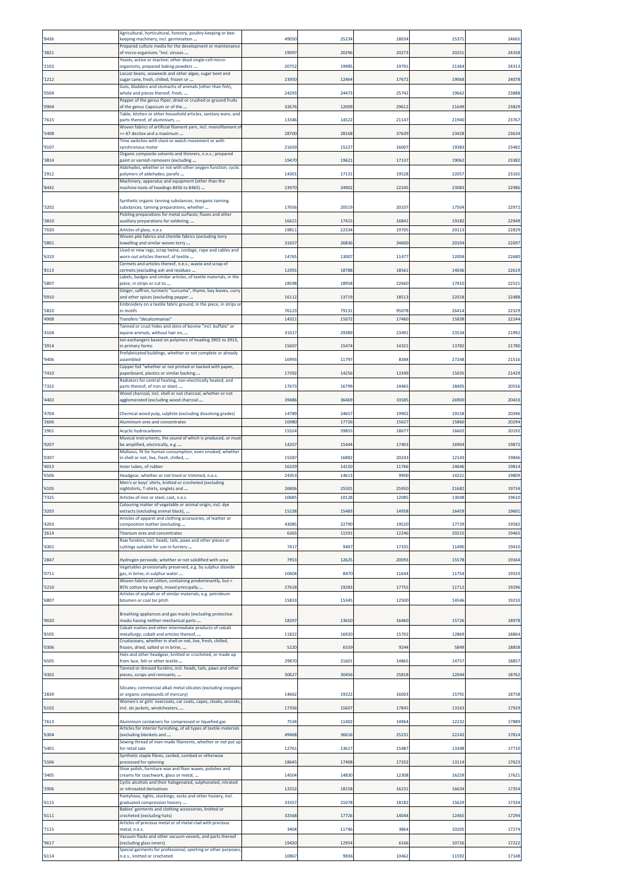| '8436          | Agricultural, horticultural, forestry, poultry-keeping or bee-<br>keeping machinery, incl. germination                      | 4905         | 25234          | 18034          | 25371          | 24665          |
|----------------|-----------------------------------------------------------------------------------------------------------------------------|--------------|----------------|----------------|----------------|----------------|
| '3821          | Prepared culture media for the development or maintenance<br>of micro-organisms "incl. viruses                              | 1909         | 2029           | 20273          | 20251          | 24358          |
| '2102          | Yeasts, active or inactive; other dead single-cell micro-<br>organisms, prepared baking powders                             | 20752        | 19985          | 19791          | 21364          | 24313          |
| '1212          | ocust beans, seaweeds and other algae, sugar beet and<br>ugar cane, fresh, chilled, frozen or                               | 23950        | 1246           | 17672          | 19068          | 24078          |
| '0504          | Guts, bladders and stomachs of animals (other than fish),<br>whole and pieces thereof, fresh,                               | 24293        | 24473          | 25742          | 19662          | 23888          |
| '0904          | Pepper of the genus Piper; dried or crushed or ground fruits<br>of the genus Capsicum or of the                             | 3267         | 1200           | 29612          | 21649          | 23829          |
| '7615          | Table, kitchen or other household articles, sanitary ware, and                                                              | 1334         | 1452           | 21147          | 21940          | 23767          |
|                | parts thereof, of aluminium,<br>Woven fabrics of artificial filament yarn, incl. monofilament o                             |              |                |                |                |                |
| '5408          | = 67 decitex and a maximum<br>Time switches with clock or watch movement or with                                            | 28700        | 2816           | 37639          | 23428          | 23634          |
| '9107          | synchronous motor<br>Organic composite solvents and thinners, n.e.s.; prepared                                              | 2165         | 15227          | 16007          | 19383          | 23482          |
| '3814          | paint or varnish removers (excluding<br>Aldehydes, whether or not with other oxygen function; cyclic                        | 1947         | 1962           | 17137          | 19062          | 23382          |
| '2912          | polymers of aldehydes; parafo<br>Machinery, apparatus and equipment (other than the                                         | 1430         | 17131          | 19528          | 22057          | 23165          |
| '8442          | machine-tools of headings 8456 to 8465)                                                                                     | 2397         | 2490           | 22245          | 23083          | 2298           |
| '3202          | Synthetic organic tanning substances; inorganic tanning<br>substances; tanning preparations, whether                        | 17656        | 20519          | 20107          | 17504          | 22972          |
| '3810          | Pickling preparations for metal surfaces; fluxes and other<br>auxiliary preparations for soldering,                         | 1662         | 17415          | 16841          | 19182          | 22949          |
| '7020          | Articles of glass, n.e.s.<br>Woven pile fabrics and chenille fabrics (excluding terry                                       | 19811        | 22334          | 19705          | 20113          | 22829          |
| '5801          | towelling and similar woven terry<br>Used or new rags, scrap twine, cordage, rope and cables and                            | 3165         | 26836          | 34600          | 20104          | 22697          |
| '6310          | worn-out articles thereof, of textile<br>Cermets and articles thereof, n.e.s.; waste and scrap of                           | 1476         | 13007          | 11477          | 12004          | 22680          |
| '8113          | cermets (excluding ash and residues                                                                                         | 1239         | 18788          | 18561          | 14036          | 22619          |
| 5807           | abels, badges and similar articles, of textile materials, in the<br>piece, in strips or cut to                              | 18598        | 1895           | 22660          | 17410          | 2252           |
| '0910          | Ginger, saffron, turmeric "curcuma", thyme, bay leaves, curry<br>and other spices (excluding pepper                         | 1611         | 13719          | 18513          | 22018          | 22488          |
| '5810          | Embroidery on a textile fabric ground, in the piece, in strips or<br>in motifs                                              | 7612         | 7913:          | 95078          | 26414          | 2232           |
| '4908          | Transfers "decalcomanias"<br>Tanned or crust hides and skins of bovine "incl. buffalo" or                                   | 14321        | 1507           | 17460          | 15838          | 22244          |
| '4104          | equine animals, without hair on,<br>lon-exchangers based on polymers of heading 3901 to 3913,                               | 31017        | 29389          | 23491          | 23534          | 21992          |
| '3914          | in primary forms<br>Prefabricated buildings, whether or not complete or already                                             | 1560         | 1547           | 14321          | 13782          | 21780          |
| '9406          | assembled<br>Copper foil "whether or not printed or backed with paper,                                                      | 16993        | 1179           | 8384           | 27248          | 21516          |
| '7410          | paperboard, plastics or similar backing<br>Radiators for central heating, non-electrically heated, and                      | 1739         | 1425           | 13349          | 15035          | 21429          |
| '7322          | parts thereof, of iron or steel;<br>Wood charcoal, incl. shell or nut charcoal, whether or not                              | 1767         | 16799          | 14465          | 18405          | 2055           |
| '4402          | agglomerated (excluding wood charcoal                                                                                       | 3948         | 36469          | 33585          | 26900          | 2043           |
| '4704          | Chemical wood pulp, sulphite (excluding dissolving grades)                                                                  | 14789        | 2465           | 19902          | 19158          | 20396          |
| '2606<br>'2901 | Aluminium ores and concentrates<br>Acyclic hydrocarbons                                                                     | 1698<br>1552 | 1772<br>3985   | 15627<br>18677 | 15860<br>16602 | 2029<br>2019   |
| '9207          | Musical instruments, the sound of which is produced, or must<br>be amplified, electrically, e.g.                            | 1420         | 1544           | 17403          | 16904          | 19872          |
| '0307          | Molluscs, fit for human consumption, even smoked, whether<br>in shell or not, live, fresh, chilled,                         | 1558         | 1688           | 20243          | 12143          | 19846          |
| '4013          | Inner tubes, of rubber                                                                                                      | 1632         | 14150          | 11766          | 14646          | 19814          |
| '6506          | Headgear, whether or not lined or trimmed, n.e.s.<br>Men's or boys' shirts, knitted or crocheted (excluding                 | 24353        | 14613          | 9900           | 14221          | 19809          |
| '6105<br>'7325 | nightshirts, T-shirts, singlets and<br>Articles of iron or steel, cast, n.e.s.                                              | 2680<br>1068 | 25501<br>10128 | 25950<br>12085 | 21682<br>13048 | 19734<br>19610 |
| '3203          | olouring matter of veget<br>extracts (excluding animal black),                                                              | 15238        | 15483          | 14958          | 16459          | 19601          |
|                | Articles of apparel and clothing accessories, of leather or<br>composition leather (excluding                               | 4308         |                |                | 17729          | 19582          |
| '4203<br>'2614 | <b>Titanium ores and concentrates</b>                                                                                       | 6365         | 22790<br>11591 | 19520<br>12246 | 20215          | 19465          |
| '4301          | Raw furskins, incl. heads, tails, paws and other pieces or<br>cuttings suitable for use in furriery                         | 7417         | 949            | 17335          | 11490          | 19410          |
| '2847          | Hydrogen peroxide, whether or not solidified with urea                                                                      | 7953         | 12625          | 20093          | 15578          | 19344          |
| '0711          | Vegetables provisionally preserved, e.g. by sulphur dioxide<br>gas, in brine, in sulphur water                              | 10604        | 8470           | 11644          | 11754          | 19333          |
| '5210          | Woven fabrics of cotton, containing predominantly, but <<br>85% cotton by weight, mixed principally                         | 27618        | 19283          | 17755          | 11712          | 19296          |
| '6807          | Articles of asphalt or of similar materials, e.g. petroleum<br>bitumen or coal tar pitch                                    | 15833        | 1534           | 12500          | 14546          | 19233          |
|                | Breathing appliances and gas masks (excluding protective                                                                    |              |                |                |                |                |
| '9020          | masks having neither mechanical parts<br>Cobalt mattes and other intermediate products of cobalt                            | 18297        | 13650          | 16460          | 15726          | 18978          |
| '8105          | metallurgy; cobalt and articles thereof,<br>Crustaceans, whether in shell or not, live, fresh, chilled,                     | 11822        | 16920          | 15702          | 12869          | 18864          |
| '0306          | frozen, dried, salted or in brine,<br>Hats and other headgear, knitted or crocheted, or made up                             | 5220         | 6539           | 9244           | 5849           | 18858          |
| '6505          | from lace, felt or other textile<br>Tanned or dressed furskins, incl. heads, tails, paws and other                          | 29870        | 21601          | 14865          | 14757          | 1885           |
| '4302          | pieces, scraps and remnants,                                                                                                | 30627        | 30456          | 25818          | 12044          | 18762          |
| '2839          | Silicates; commercial alkali metal silicates (excluding inorganic<br>or organic compounds of mercury)                       | 14662        | 19222          | 16003          | 15791          | 18758          |
| '6102          | Women's or girls' overcoats, car coats, capes, cloaks, anoraks,<br>incl. ski jackets, windcheaters,                         | 17356        | 15607          | 17845          | 13163          | 17929          |
|                |                                                                                                                             |              |                |                |                |                |
| '7613          | Aluminium containers for compressed or liquefied gas<br>Articles for interior furnishing, of all types of textile materials | 7534         | 11402          | 14964          | 12232          | 17889          |
| '6304          | (excluding blankets and<br>Sewing thread of man-made filaments, whether or not put up                                       | 49468        | 36616          | 25231          | 22142          | 17814          |
| '5401          | for retail sale<br>Synthetic staple fibres, carded, combed or otherwise                                                     | 12763        | 13617          | 15487          | 13348          | 17710          |
| '5506          | processed for spinning<br>Shoe polish, furniture wax and floor waxes, polishes and                                          | 18645        | 17408          | 17332          | 1311           | 17623          |
| '3405          | creams for coachwork, glass or metal,<br>Cyclic alcohols and their halogenated, sulphonated, nitrated                       | 1450         | 14830          | 12308          | 16259          | 17621          |
| '2906          | or nitrosated derivatives<br>Pantyhose, tights, stockings, socks and other hosiery, incl.                                   | 12552        | 18158          | 16231          | 16634          | 17354          |
| '6115          | graduated compression hosiery<br>Babies' garments and clothing accessories, knitted or                                      | 33357        | 21078          | 18182          | 15629          | 17334          |
| '6111          | crocheted (excluding hats)<br>Articles of precious metal or of metal clad with precious                                     | 32568        | 17726          | 14044          | 12465          | 17294          |
| '7115          | metal, n.e.s.<br>Vacuum flasks and other vacuum vessels, and parts thereof                                                  | 3404         | 11746          | 3864           | 10205          | 17274          |
| '9617          | excluding glass inners)<br>Special garments for professional, sporting or other purposes,                                   | 19420        | 12954          | 6166           | 10726          | 17222          |
| '6114          | n.e.s., knitted or crocheted                                                                                                | 10867        | 9836           | 10462          | 11592          | 17148          |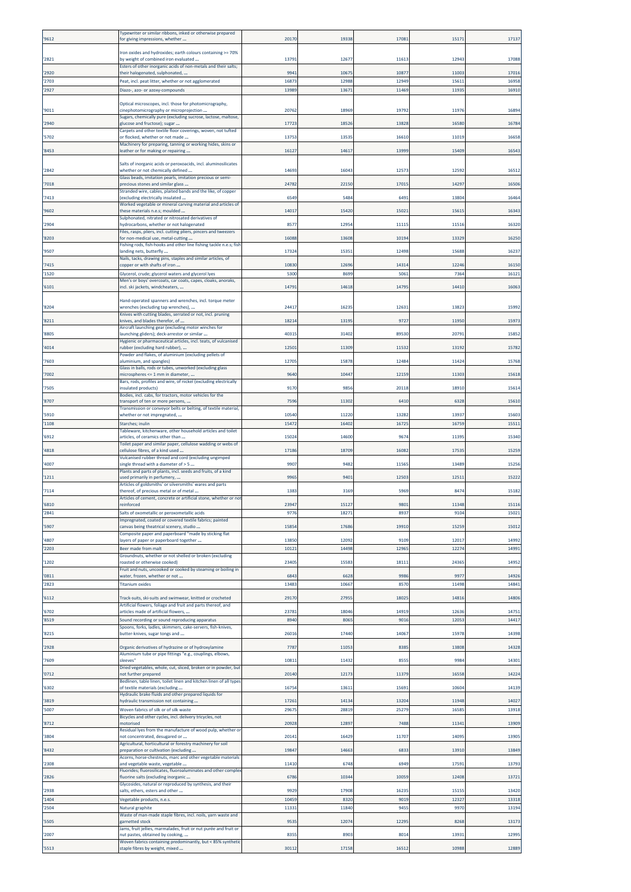| '9612          | lypewriter or similar ribbons, inked or otherwise prepared<br>for giving impressions, whether                      | 20170          | 1933          | 1708          | 1517           | 1713           |
|----------------|--------------------------------------------------------------------------------------------------------------------|----------------|---------------|---------------|----------------|----------------|
| '2821          | Iron oxides and hydroxides; earth colours containing >= 70%<br>by weight of combined iron evaluated                | 13791          | 1267          | 11613         | 12943          | 17088          |
| '2920          | Esters of other inorganic acids of non-metals and their salts;<br>their halogenated, sulphonated,                  | 9941           | 1067          | 10877         | 11003          | 1701           |
| '2703          | Peat, incl. peat litter, whether or not agglomerated                                                               | 1687           | 1298          | 12949         | 1561           | 16958          |
| '2927          | Diazo-, azo- or azoxy-compounds                                                                                    | 13989          | 1367          | 11469         | 11935          | 1691           |
| '9011          | Optical microscopes, incl. those for photomicrography,<br>cinephotomicrography or microprojection                  | 20762          | 18969         | 19792         | 11976          | 1689           |
| '2940          | Sugars, chemically pure (excluding sucrose, lactose, maltose,<br>glucose and fructose); sugar                      | 17723          | 1852          | 13828         | 16580          | 1678           |
| '5702          | arpets and other textile floor coverings, woven, not tufted<br>or flocked, whether or not made                     | 13753          | 1353          | 16610         | 11019          | 16658          |
| '8453          | Machinery for preparing, tanning or working hides, skins or<br>leather or for making or repairing                  | 16127          | 1461          | 13999         | 15409          | 1654           |
|                | Salts of inorganic acids or peroxoacids, incl. aluminosilicates                                                    |                |               |               |                |                |
| '2842          | whether or not chemically defined<br>Glass beads, imitation pearls, imitation precious or semi-                    | 14693          | 1604          | 12573         | 12592          | 1651           |
| '7018          | precious stones and similar glass<br>Stranded wire, cables, plaited bands and the like, of copper                  | 24782          | 2215          | 1701          | 14297          | 1650           |
| '7413          | excluding electrically insulated<br>Worked vegetable or mineral carving material and articles of                   | 6549           | 548           | 649           | 13804          | 16464          |
| '9602          | these materials n.e.s; moulded<br>Sulphonated, nitrated or nitrosated derivatives of                               | 14017          | 15420         | 1502          | 1561           | 1634           |
| '2904          | hydrocarbons, whether or not halogenated<br>iles, rasps, pliers, incl. cutting pliers, pincers and tweezers        | 8577           | 1295          | 1111          | 1151           | 16320          |
| '8203          | or non-medical use, metal-cutting<br>ishing rods, fish-hooks and other line fishing tackle n.e.s; fish             | 16088          | 1360          | 10194         | 13329          | 16250          |
| '9507          | anding nets, butterfly<br>Nails, tacks, drawing pins, staples and similar articles, of                             | 17324          | 1535          | 12498         | 15688          | 1623           |
| '7415          | copper or with shafts of iron                                                                                      | 10830          | 1269          | 1431          | 12246          | 16150          |
| '1520          | Glycerol, crude; glycerol waters and glycerol lyes<br>Men's or boys' overcoats, car coats, capes, cloaks, anoraks, | 5300           | 8699          | 5061          | 7364           | 1612           |
| '6101          | incl. ski jackets, windcheaters,                                                                                   | 14791          | 1461          | 1479          | 14410          | 1606           |
| '8204          | Hand-operated spanners and wrenches, incl. torque meter<br>wrenches (excluding tap wrenches),                      | 24417          | 1623          | 12633         | 13823          | 15992          |
| '8211          | Knives with cutting blades, serrated or not, incl. pruning<br>cnives, and blades therefor, of                      | 18214          | 1319          | 9727          | 11950          | 1597           |
| '8805          | Aircraft launching gear (excluding motor winches for<br>launching gliders); deck-arrestor or similar               | 40315          | 31402         | 89530         | 20791          | 15852          |
| '4014          | Hygienic or pharmaceutical articles, incl. teats, of vulcanised<br>ubber (excluding hard rubber),                  | 12501          | 1130          | 11532         | 13192          | 1578           |
| '7603          | Powder and flakes, of aluminium (excluding pellets of<br>aluminium, and spangles)                                  | 12705          | 1587          | 12484         | 11424          | 15768          |
| '7002          | Glass in balls, rods or tubes, unworked (excluding glass<br>microspheres <= 1 mm in diameter,                      | 9640           | 1044          | 12159         | 11303          | 15618          |
| '7505          | Bars, rods, profiles and wire, of nickel (excluding electrically<br>insulated products)                            | 9170           | 985           | 20118         | 18910          | 15614          |
| '8707          | Bodies, incl. cabs, for tractors, motor vehicles for the<br>transport of ten or more persons,                      | 7596           | 1130          | 6410          | 632            | 15610          |
| '5910          | Transmission or conveyor belts or belting, of textile material,<br>whether or not impregnated,                     | 10540          | 1122          | 13282         | 13937          | 1560           |
| '1108          | Starches; inulin                                                                                                   | 15472          | 1640          | 16725         | 16759          | 1551:          |
| '6912          | Tableware, kitchenware, other household articles and toilet<br>articles, of ceramics other than                    | 15024          | 14600         | 967           | 11395          | 15340          |
| '4818          | Toilet paper and similar paper, cellulose wadding or webs of<br>:ellulose fibres, of a kind used                   | 17186          | 1870          | 1608          | 17535          | 15259          |
| '4007          | Vulcanised rubber thread and cord (excluding ungimped<br>single thread with a diameter of > 5                      | 9907           | 948           | 11565         | 13489          | 1525           |
| '1211          | Plants and parts of plants, incl. seeds and fruits, of a kind<br>used primarily in perfumery,                      | 996            | 940           | 12503         | 1251:          | 15222          |
| '7114          | Articles of goldsmiths' or silversmiths' wares and parts<br>thereof, of precious metal or of metal                 | 1383           | 3169          | 5969          | 847            | 1518           |
| '6810          | Articles of cement, concrete or artificial stone, whether or not                                                   |                | 1512          | 980           |                | 1511           |
| '2841          | Salts of oxometallic or peroxometallic acids<br>Impregnated, coated or covered textile fabrics; painted            | 9776           | 1827          | 893           | 9104           | 15021          |
| '5907          | canvas being theatrical scenery, studio<br>Composite paper and paperboard "made by sticking flat                   | 15854          | 17686         | 19910         | 15259          | 15012          |
| '4807<br>'2203 | layers of paper or paperboard together<br>Beer made from malt                                                      | 13850<br>10121 | 12092<br>1449 | 9109<br>1296  | 12017<br>12274 | 14992<br>14991 |
|                | Groundnuts, whether or not shelled or broken (excluding                                                            |                |               |               |                |                |
| '1202          | oasted or otherwise cooked)<br>ruit and nuts, uncooked or cooked by steaming or boiling in                         | 23405          | 1558          | 1811          | 24365          | 14952          |
| '0811<br>'2823 | water, frozen, whether or not<br><b>Titanium oxides</b>                                                            | 6843<br>13483  | 6628<br>1066  | 9986<br>8570  | 9977<br>11498  | 14926<br>14841 |
| '6112          | Track-suits, ski-suits and swimwear, knitted or crocheted                                                          | 29170          | 27955         | 18025         | 14816          | 14806          |
| '6702          | Artificial flowers, foliage and fruit and parts thereof, and<br>articles made of artificial flowers,               | 23781          | 18046         | 14919         | 12636          | 14751          |
| '8519          | Sound recording or sound reproducing apparatus<br>Spoons, forks, ladles, skimmers, cake-servers, fish-knives,      | 8940           | 8065          | 9016          | 12053          | 14417          |
| '8215          | butter-knives, sugar tongs and                                                                                     | 26016          | 17440         | 14067         | 15978          | 14398          |
| '2928          | Organic derivatives of hydrazine or of hydroxylamine<br>Aluminium tube or pipe fittings "e.g., couplings, elbows,  | 7787           | 1105          | 8385          | 13808          | 14328          |
| '7609          | sleeves'<br>Dried vegetables, whole, cut, sliced, broken or in powder, but                                         | 10811          | 1143          | 8555          | 9984           | 14301          |
| '0712          | not further prepared<br>Bedlinen, table linen, toilet linen and kitchen linen of all types                         | 20140          | 12173         | 11379         | 16558          | 14224          |
| '6302          | of textile materials (excluding<br>Hydraulic brake fluids and other prepared liquids for                           | 16754          | 13611         | 15691         | 10604          | 14139          |
| '3819          | hydraulic transmission not containing                                                                              | 17261          | 1413          | 13204         | 11948          | 14027          |
| '5007          | Woven fabrics of silk or of silk waste<br>Bicycles and other cycles, incl. delivery tricycles, not                 | 29675          | 28819         | 25279         | 16585          | 13918          |
| '8712          | motorised<br>Residual lyes from the manufacture of wood pulp, whether or                                           | 20928          | 1289          | 7488          | 11341          | 13909          |
| '3804          | not concentrated, desugared or<br>Agricultural, horticultural or forestry machinery for soil                       | 2014:          | 1642          | 11707         | 14095          | 13905          |
| '8432          | preparation or cultivation (excluding<br>Acorns, horse-chestnuts, marc and other vegetable materials               | 19847          | 14663         | 6833          | 13910          | 13849          |
| '2308          | and vegetable waste, vegetable<br>Fluorides; fluorosilicates, fluoroaluminates and other complex                   | 11410          | 6748          | 6949          | 17591          | 13793          |
| '2826          | fluorine salts (excluding inorganic<br>Glycosides, natural or reproduced by synthesis, and their                   | 6786           | 1034          | 10059         | 12408          | 1372:          |
| '2938<br>'1404 | salts, ethers, esters and other<br>Vegetable products, n.e.s.                                                      | 9929<br>10459  | 17908<br>8320 | 16235<br>9019 | 15155<br>12327 | 13420<br>13318 |
| '2504          | Natural graphite                                                                                                   | 11331          | 11840         | 9455          | 9970           | 13194          |
| '5505          | Waste of man-made staple fibres, incl. noils, yarn waste and<br>garnetted stock                                    | 9535           | 1207          | 12295         | 8268           | 13173          |
| '2007          | Jams, fruit jellies, marmalades, fruit or nut purée and fruit or<br>nut pastes, obtained by cooking,               | 8355           | 8903          | 8014          | 13931          | 12995          |
| '5513          | Woven fabrics containing predominantly, but < 85% synthetic<br>staple fibres by weight, mixed                      | 30112          | 17158         | 16512         | 10988          | 12889          |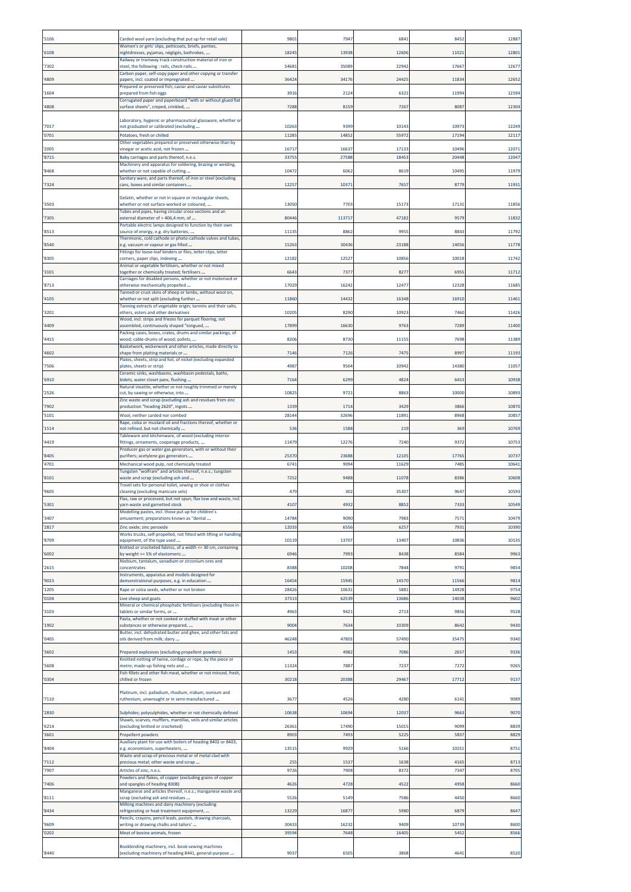| '5106          | Carded wool yarn (excluding that put up for retail sale)                                                                        | 980            | 794           | 684            | 845           | 1288          |
|----------------|---------------------------------------------------------------------------------------------------------------------------------|----------------|---------------|----------------|---------------|---------------|
| '6108          | Women's or girls' slips, petticoats, briefs, panties,<br>nightdresses, pyjamas, négligés, bathrobes,                            | 18245          | 1393          | 12606          | 11021         | 1280          |
|                | Railway or tramway track construction material of iron or                                                                       |                |               |                |               |               |
| '7302          | steel, the following : rails, check-rails<br>Carbon paper, self-copy paper and other copying or transfer                        | 54681          | 35089         | 2294           | 1766          | 1267          |
| '4809          | papers, incl. coated or impregnated<br>Prepared or preserved fish; caviar and caviar substitutes                                | 36424          | 3417          | 24425          | 11834         | 12652         |
| '1604          | orepared from fish eggs                                                                                                         | 3916           | 212           | 6321           | 1199          | 1259          |
| '4808          | Corrugated paper and paperboard "with or without glued flat<br>surface sheets", creped, crinkled,                               | 7288           | 815           | 7267           | 8087          | 1230          |
|                | Laboratory, hygienic or pharmaceutical glassware, whether or                                                                    |                |               |                |               |               |
| '7017<br>'0701 | not graduated or calibrated (excluding<br>Potatoes, fresh or chilled                                                            | 10263<br>11285 | 939<br>1485   | 1014<br>5597   | 1097<br>17194 | 1224<br>1211  |
|                | Other vegetables prepared or preserved otherwise than by                                                                        |                |               |                |               |               |
| '2005<br>'8715 | vinegar or acetic acid, not frozen<br>Baby carriages and parts thereof, n.e.s.                                                  | 16717<br>33755 | 1663<br>2758  | 1713<br>1845   | 1049<br>20448 | 1207<br>1204  |
|                | Machinery and apparatus for soldering, brazing or welding,                                                                      |                |               | 8619           |               |               |
| '8468          | whether or not capable of cutting<br>Sanitary ware, and parts thereof, of iron or steel (excluding                              | 10472          | 606           |                | 10495         | 11979         |
| '7324          | cans, boxes and similar containers                                                                                              | 12257          | 1037          | 765            | 8779          | 1193          |
| '3503          | Gelatin, whether or not in square or rectangular sheets,<br>whether or not surface-worked or coloured,                          | 13050          | 7703          | 1517           | 1713:         | 1185          |
| '7305          | Tubes and pipes, having circular cross-sections and an<br>external diameter of > 406,4 mm, of                                   | 80446          | 11371         | 47182          | 9579          | 1183          |
|                | Portable electric lamps designed to function by their own                                                                       |                |               |                |               |               |
| '8513          | source of energy, e.g. dry batteries,<br>Thermionic, cold cathode or photo-cathode valves and tubes                             | 11135          | 886           | 995            | 884           | 11792         |
| '8540          | .g. vacuum or vapour or gas filled<br>Fittings for loose-leaf binders or files, letter clips, letter                            | 15263          | 3043          | 23188          | 14056         | 11778         |
| '8305          | corners, paper clips, indexing                                                                                                  | 12182          | 1252          | 1085           | 1001          | 11742         |
| '3101          | Animal or vegetable fertilisers, whether or not mixed<br>ogether or chemically treated; fertilisers                             | 6643           | 737           | 827            | 6955          | 1171          |
| '8713          | Carriages for disabled persons, whether or not motorised or<br>otherwise mechanically propelled                                 | 17029          | 1624          | 1247           | 12328         | 1168          |
| '4105          | Tanned or crust skins of sheep or lambs, without wool on,<br>whether or not split (excluding further                            | 11860          | 1443          | 16348          | 16910         | 11461         |
|                | Tanning extracts of vegetable origin; tannins and their salts,                                                                  |                |               |                |               |               |
| '3201          | ethers, esters and other derivatives<br>Wood, incl. strips and friezes for parquet flooring, not                                | 10205          | 829           | 1092           | 7460          | 1142          |
| '4409          | assembled, continuously shaped "tongued,<br>Packing cases, boxes, crates, drums and similar packings, of                        | 17899          | 16630         | 9763           | 7289          | 11400         |
| '4415          | wood; cable-drums of wood; pallets,<br>Basketwork, wickerwork and other articles, made directly to                              | 8206           | 8730          | 11155          | 7698          | 11389         |
| '4602          | shape from plaiting materials or                                                                                                | 7146           | 712           | 7475           | 8997          | 11193         |
| '7506          | Plates, sheets, strip and foil, of nickel (excluding expanded<br>plates, sheets or strip)                                       | 4987           | 9504          | 10942          | 14380         | 11057         |
| '6910          | Ceramic sinks, washbasins, washbasin pedestals, baths,<br>oidets, water closet pans, flushing                                   | 7164           | 6299          | 4824           | 6453          | 10938         |
| '2526          | Natural steatite, whether or not roughly trimmed or merely<br>cut, by sawing or otherwise, into                                 | 10825          | 9721          | 8863           | 10000         | 10893         |
| '7902          | Zinc waste and scrap (excluding ash and residues from zinc                                                                      | 1339           | 171           | 3429           | 3866          | 10870         |
| '5101          | oroduction "heading 2620", ingots<br>Wool, neither carded nor combed                                                            | 28144          | 3269          | 11891          | 8968          | 1085          |
| '1514          | Rape, colza or mustard oil and fractions thereof, whether or<br>not refined, but not chemically                                 | 536            | 1588          | 219            | 369           | 10769         |
| '4419          | Tableware and kitchenware, of wood (excluding interior                                                                          | 11479          | 12276         | 7240           | 9372          | 10753         |
|                | ittings, ornaments, cooperage products,<br>Producer gas or water gas generators, with or without their                          |                |               |                |               |               |
| '8405<br>'4701 | purifiers; acetylene gas generators<br>Mechanical wood pulp, not chemically treated                                             | 25370<br>6741  | 23688<br>9094 | 12105<br>11629 | 17765<br>7485 | 1073<br>10641 |
|                | Tungsten "wolfram" and articles thereof, n.e.s.; tungsten                                                                       |                |               |                |               |               |
| '8101          | waste and scrap (excluding ash and<br>Travel sets for personal toilet, sewing or shoe or clothes                                | 7252           | 9488          | 11078          | 8386          | 10608         |
| '9605          | cleaning (excluding manicure sets)<br>Flax, raw or processed, but not spun; flax tow and waste, incl.                           | 479            | 302           | 35307          | 9647          | 10593         |
| 5301           | arn waste and garnetted stock<br>Modelling pastes, incl. those put up for children's                                            | 41U            | 493           |                | 133.          | 1054          |
| '3407          | amusement; preparations known as "dental                                                                                        | 14784          | 9090          | 7983           | 7571          | 10479         |
| '2817          | Zinc oxide; zinc peroxide<br>Works trucks, self-propelled, not fitted with lifting or handling                                  | 12033          | 655           | 625            | 7931          | 10390         |
| '8709          | equipment, of the type used<br>Knitted or crocheted fabrics, of a width <= 30 cm, containing                                    | 10119          | 13707         | 13407          | 10836         | 10135         |
| '6002          | by weight >= 5% of elastomeric                                                                                                  | 6946           | 799           | 8438           | 8584          | 9963          |
| '2615          | Niobium, tantalum, vanadium or zirconium ores and<br>concentrates                                                               | 8388           | 1020          | 7844           | 9791          | 9854          |
| '9023          | Instruments, apparatus and models designed for<br>demonstrational purposes, e.g. in education                                   | 16454          | 1594          | 14570          | 11566         | 9814          |
| '1205          | Rape or colza seeds, whether or not broken                                                                                      | 28426          | 1063          | 5881           | 14928         | 9754          |
| '0104          | Live sheep and goats<br>Mineral or chemical phosphatic fertilisers (excluding those in                                          | 37313          | 6253          | 13686          | 14038         | 9602          |
| '3103          | tablets or similar forms, or<br>Pasta, whether or not cooked or stuffed with meat or other                                      | 4963           | 9421          |                | 9856          | 9528          |
| '1902          |                                                                                                                                 |                |               | 2713           |               |               |
|                | substances or otherwise prepared,                                                                                               | 9004           | $763-$        | 10309          | 864           | 9430          |
| '0405          | Butter, incl. dehydrated butter and ghee, and other fats and<br>bils derived from milk; dairy                                   | 46248          | 47803         | 57490          | 3547          | 9340          |
| '3602          | Prepared explosives (excluding propellent powders)                                                                              | 1453           | 4982          | 7086           | 2657          | 9336          |
|                | Knotted netting of twine, cordage or rope, by the piece or                                                                      |                |               |                |               |               |
| '5608          | metre; made-up fishing nets and<br>Fish fillets and other fish meat, whether or not minced, fresh,                              | 11324          | 788           | 7237           | 7272          | 9265          |
| '0304          | chilled or frozen                                                                                                               | 30218          | 20388         | 29467          | 17712         | 9137          |
| '7110          | Platinum, incl. palladium, rhodium, iridium, osmium and<br>ruthenium, unwrought or in semi-manufactured                         | 367            | 452           | 4280           | 6141          | 9089          |
| '2830          |                                                                                                                                 | 10638          | 1069          |                | 9663          | 9070          |
|                | Sulphides; polysulphides, whether or not chemically defined<br>Shawls, scarves, mufflers, mantillas, veils and similar articles |                |               | 12037          |               |               |
| '6214<br>'3601 | (excluding knitted or crocheted)<br>Propellent powders                                                                          | 26361<br>8903  | 17490<br>7493 | 15015<br>5225  | 9099<br>5837  | 8839<br>8829  |
|                | Auxiliary plant for use with boilers of heading 8402 or 8403,                                                                   |                |               |                |               |               |
| '8404          | e.g. economizers, superheaters,<br>Waste and scrap of precious metal or of metal clad with                                      | 1351           | 9929          | 5166           | 10251         | 8751          |
| '7112<br>'7907 | precious metal; other waste and scrap<br>Articles of zinc, n.e.s.                                                               | 255<br>9726    | 1537<br>7908  | 1638<br>8372   | 4165<br>7347  | 8713<br>8705  |
|                | Powders and flakes, of copper (excluding grains of copper                                                                       |                |               |                |               |               |
| '7406          | and spangles of heading 8308)<br>Manganese and articles thereof, n.e.s.; manganese waste and                                    | 4626           | 4728          | 4522           | 4958          | 8660          |
| '8111          | scrap (excluding ash and residues<br>Milking machines and dairy machinery (excluding                                            | 5526           | 5149          | 7586           | 4450          | 8660          |
| '8434          | efrigerating or heat treatment equipment,<br>Pencils, crayons, pencil leads, pastels, drawing charcoals,                        | 13229          | 1687          | 5980           | 6879          | 8647          |
| '9609          | writing or drawing chalks and tailors'                                                                                          | 30433          | 1623          | 9409           | 10739         | 8600          |
| '0202          | Meat of bovine animals, frozen<br>Bookbinding machinery, incl. book-sewing machines                                             | 39594          | 7648          | 16405          | 5452          | 8566          |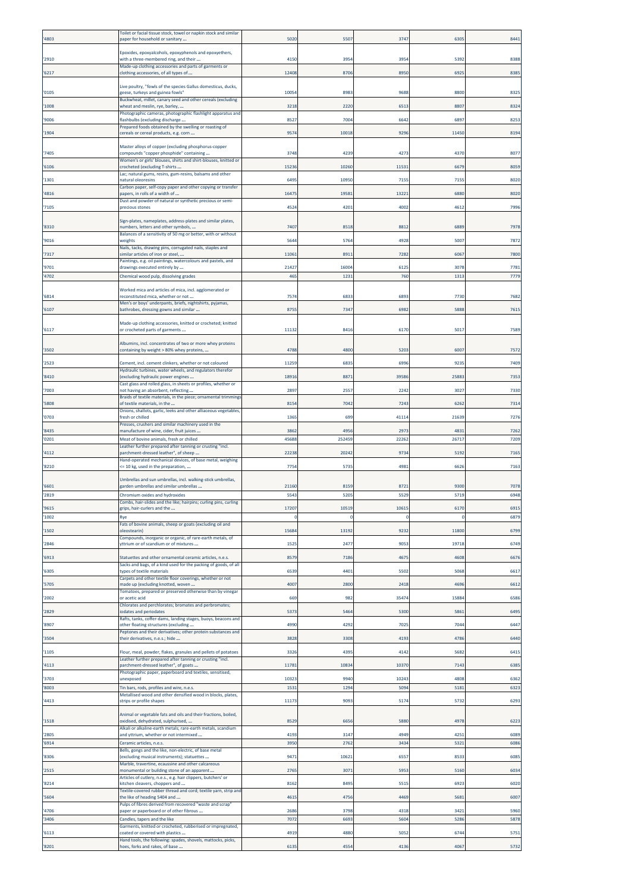| 4803         | Toilet or facial tissue stock, towel or napkin stock and similar<br>paper for household or sanitary                         | 5020          | 550            | 3747         | 630           | 8441         |
|--------------|-----------------------------------------------------------------------------------------------------------------------------|---------------|----------------|--------------|---------------|--------------|
| 2910         | Epoxides, epoxyalcohols, epoxyphenols and epoxyethers,<br>with a three-membered ring, and their                             | 4150          | 3954           | 3954         | 5392          | 8388         |
| 6217         | Made-up clothing accessories and parts of garments or<br>clothing accessories, of all types of                              | 12408         | 8706           | 8950         | 692           | 8385         |
|              | Live poultry, "fowls of the species Gallus domesticus, ducks,                                                               |               |                |              |               |              |
| '0105        | geese, turkeys and guinea fowls"<br>Buckwheat, millet, canary seed and other cereals (excluding                             | 10054         | 8983           | 9688         | 8800          | 8325         |
| 1008         | wheat and meslin, rye, barley,<br>Photographic cameras, photographic flashlight apparatus and                               | 3218          | 2220           | 6513         | 8807          | 8324         |
| 9006         | flashbulbs (excluding discharge<br>Prepared foods obtained by the swelling or roasting of                                   | 8527          | 700            | 6642         | 689           | 8253         |
| 1904         | cereals or cereal products, e.g. corn                                                                                       | 9574          | 10018          | 929          | 11450         | 8194         |
| 7405         | Master alloys of copper (excluding phosphorus-copper<br>compounds "copper phosphide" containing                             | 3748          | 4239           | 427          | 437           | 8077         |
| 6106         | Women's or girls' blouses, shirts and shirt-blouses, knitted or<br>crocheted (excluding T-shirts                            | 15236         | 10260          | 11531        | 6679          | 8059         |
| 1301         | Lac; natural gums, resins, gum-resins, balsams and other<br>natural oleoresins                                              | 6495          | 10950          | 715          | 715           | 8020         |
| 4816         | Carbon paper, self-copy paper and other copying or transfer<br>papers, in rolls of a width of                               | 16475         | 1958:          | 13221        | 6880          | 8020         |
| 7105         | Dust and powder of natural or synthetic precious or semi-<br>precious stones                                                | 4524          | 4201           | 4002         | 4612          | 7996         |
| 8310         | Sign-plates, nameplates, address-plates and similar plates,<br>numbers, letters and other symbols,                          | 7407          | 8518           | 881          | 688           | 7978         |
| 9016         | Balances of a sensitivity of 50 mg or better, with or without<br>weights                                                    | 5644          | 576            | 4928         | 5007          | 7872         |
| 7317         | Nails, tacks, drawing pins, corrugated nails, staples and<br>similar articles of iron or steel,                             | 11061         | 891            | 7282         | 6067          | 7800         |
| 9701         | Paintings, e.g. oil paintings, watercolours and pastels, and<br>drawings executed entirely by                               | 21427         | 1600           | 612          | 3078          | 7781         |
| 4702         | Chemical wood pulp, dissolving grades                                                                                       | 465           | 123            | 760          | 1313          | 7779         |
| 6814         | Worked mica and articles of mica, incl. agglomerated or<br>reconstituted mica, whether or not                               | 7574          | 6833           | 689          | 7730          | 7682         |
| 6107         | Men's or boys' underpants, briefs, nightshirts, pyjamas,<br>bathrobes, dressing gowns and similar                           | 8755          | 7347           | 6982         | 5888          | 7615         |
|              | Made-up clothing accessories, knitted or crocheted; knitted                                                                 |               |                |              |               |              |
| 6117         | or crocheted parts of garments                                                                                              | 11132         | 8416           | 6170         | 501           | 7589         |
| 3502         | Albumins, incl. concentrates of two or more whey proteins<br>containing by weight > 80% whey proteins,                      | 4788          | 4800           | 5203         | 6007          | 7572         |
| 2523         | Cement, incl. cement clinkers, whether or not coloured<br>Hydraulic turbines, water wheels, and regulators therefor         | 11259         | 6835           | 699          | 9235          | 7409         |
| 8410         | (excluding hydraulic power engines<br>Cast glass and rolled glass, in sheets or profiles, whether or                        | 18916         | 8871           | 39586        | 25883         | 7353         |
| 7003         | not having an absorbent, reflecting<br>Braids of textile materials, in the piece; ornamental trimmings                      | 2897          | 2557           | 2242         | 3027          | 7330         |
| 5808         | of textile materials, in the<br>Onions, shallots, garlic, leeks and other alliaceous vegetables,                            | 8154          | 7042           | 7243         | 6262          | 7314         |
| 0703         | resh or chilled<br>Presses, crushers and similar machinery used in the                                                      | 1365          | 699            | 41114        | 21639         | 7276         |
| 8435<br>0201 | manufacture of wine, cider, fruit juices<br>Meat of bovine animals, fresh or chilled                                        | 3862<br>45688 | 4956<br>252459 | 2973<br>2226 | 4831<br>26717 | 7262<br>7209 |
| 4112         | Leather further prepared after tanning or crusting "incl.<br>parchment-dressed leather", of sheep                           | 22238         | 20242          | 9734         | 5192          | 7165         |
| 8210         | Hand-operated mechanical devices, of base metal, weighing<br><= 10 kg, used in the preparation,                             | 7754          | 5735           | 4981         | 6626          | 7163         |
|              | Umbrellas and sun umbrellas, incl. walking-stick umbrellas,                                                                 |               |                |              |               |              |
| 6601<br>2819 | earden umbrellas and similar umbrellas<br>Chromium oxides and hydroxides                                                    | 21160<br>5543 | 8159<br>5205   | 8723<br>5529 | 9300<br>5719  | 7078<br>6948 |
| '9615        | Combs, hair-slides and the like; hairpins; curling pins, curling<br>grips, hair-curlers and the                             | 17207         | 10519          | 1061         | 6170          | 6915         |
| 1002         | Rye<br>Fats of bovine animals, sheep or goats (excluding oil and                                                            |               | C              |              | 0             | 6879         |
| 1502         | oleostearin)<br>Compounds, inorganic or organic, of rare-earth metals, of                                                   | 15684         | 13192          | 9232         | 11800         | 6799         |
| 2846         | yttrium or of scandium or of mixtures                                                                                       | 1525          | 2477           | 9053         | 19718         | 6749         |
| 6913         | Statuettes and other ornamental ceramic articles, n.e.s.<br>Sacks and bags, of a kind used for the packing of goods, of all | 8579          | 7186           | 4675         | 4608          | 6676         |
| 6305         | types of textile materials<br>Carpets and other textile floor coverings, whether or not                                     | 6539          | 4401           | 5502         | 5068          | 6617         |
| 5705         | made up (excluding knotted, woven<br>Tomatoes, prepared or preserved otherwise than by vinegar                              | 4007          | 2800           | 2418         | 4696          | 6612         |
| '2002        | or acetic acid<br>Chlorates and perchlorates; bromates and perbromates;<br>odates and periodates                            | 669           | 982            | 35474        | 15884         | 6586         |
| 2829<br>8907 | Rafts, tanks, coffer-dams, landing stages, buoys, beacons and<br>other floating structures (excluding                       | 5373<br>4990  | 5464<br>4292   | 5300<br>702  | 5861<br>704   | 6495<br>6447 |
| 3504         | Peptones and their derivatives; other protein substances and<br>their derivatives, n.e.s.; hide                             | 3828          | 3308           | 419          | 4786          | 6440         |
| '1105        | Flour, meal, powder, flakes, granules and pellets of potatoes                                                               | 3326          | 4395           | 4142         | 5682          | 6415         |
| 4113         | Leather further prepared after tanning or crusting "incl.<br>parchment-dressed leather", of goats                           | 11781         | 10834          | 10370        | 7143          | 6385         |
| 3703         | Photographic paper, paperboard and textiles, sensitised,<br>unexposed                                                       | 10323         | 9940           | 10243        | 4808          | 6362         |
| 8003         | Tin bars, rods, profiles and wire, n.e.s.<br>Metallised wood and other densified wood in blocks, plates,                    | 1531          | 1294           | 5094         | 5181          | 6323         |
| 4413         | strips or profile shapes                                                                                                    | 11173         | 9093           | 5174         | 5732          | 6293         |
| 1518         | Animal or vegetable fats and oils and their fractions, boiled,<br>oxidised, dehydrated, sulphurised,                        | 8529          | 6656           | 5880         | 4978          | 6223         |
| 2805         | Alkali or alkaline-earth metals; rare-earth metals, scandium<br>and yttrium, whether or not intermixed                      | 419           | 3147           | 4949         | 4251          | 6089         |
| 6914         | Ceramic articles, n.e.s.<br>Bells, gongs and the like, non-electric, of base metal                                          | 3950          | 2762           | 3434         | 5321          | 6086         |
| 8306         | (excluding musical instruments); statuettes<br>Marble, travertine, ecaussine and other calcareous                           | 9471          | 10621          | 6557         | 8533          | 6085         |
| 2515         | monumental or building stone of an apparent<br>Articles of cutlery, n.e.s., e.g. hair clippers, butchers' or                | 2765          | 3071           | 5953         | 5160          | 6034         |
| 8214         | kitchen cleavers, choppers and<br>Textile-covered rubber thread and cord; textile yarn, strip and                           | 8162          | 8495           | 551          | 6923          | 6020         |
| 5604         | the like of heading 5404 and<br>Pulps of fibres derived from recovered "waste and scrap'                                    | 4615          | 4756           | 4469         | 5681          | 6007         |
| 4706<br>3406 | paper or paperboard or of other fibrous<br>Candles, tapers and the like                                                     | 2686<br>7072  | 3798<br>6693   | 4318<br>5604 | 3421<br>5286  | 5960<br>5878 |
| 6113         | Garments, knitted or crocheted, rubberised or impregnated,<br>coated or covered with plastics                               | 4919          | 4880           | 5052         | 6744          | 5751         |
| 8201         | Hand tools, the following: spades, shovels, mattocks, picks,<br>hoes, forks and rakes, of base                              | 6135          | 4554           | 4136         | 4067          | 5732         |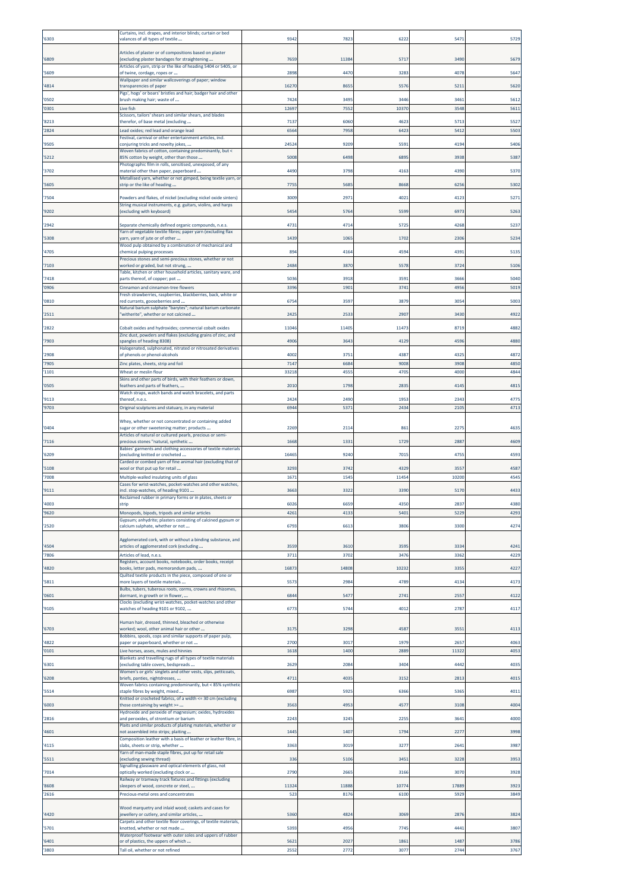| 6303         | Curtains, incl. drapes, and interior blinds; curtain or bed<br>valances of all types of textile                                | 9342          | 782           | 622          | 547           | 5729         |
|--------------|--------------------------------------------------------------------------------------------------------------------------------|---------------|---------------|--------------|---------------|--------------|
| 6809         | Articles of plaster or of compositions based on plaster<br>(excluding plaster bandages for straightening                       | 7659          | 11384         | 5717         | 3490          | 5679         |
| 5609         | Articles of yarn, strip or the like of heading 5404 or 5405, or<br>of twine, cordage, ropes or                                 | 2898          | 4470          | 3283         | 4078          | 5647         |
| 4814         | Wallpaper and similar wallcoverings of paper; window<br>ransparencies of paper                                                 | 16270         | 8655          | 5576         | 521           | 5620         |
| 0502         | Pigs', hogs' or boars' bristles and hair; badger hair and other<br>brush making hair; waste of                                 | 7424          | 3495          | 344          | 3461          | 5612         |
| 0301         | Live fish<br>Scissors, tailors' shears and similar shears, and blades                                                          | 12697         | 7552          | 10370        | 3548          | 5611         |
| 8213         | therefor, of base metal (excluding                                                                                             | 7137          | 6060          | 462          | 5713          | 5527         |
| 2824         | ead oxides; red lead and orange lead<br>Festival, carnival or other entertainment articles, incl.                              | 6564          | 7951          | 642          | 541           | 5503         |
| 9505         | conjuring tricks and novelty jokes,<br>Woven fabrics of cotton, containing predominantly, but <                                | 24524         | 9209          | 5593         | 4194          | 5406         |
| 5212         | 85% cotton by weight, other than those<br>Photographic film in rolls, sensitised, unexposed, of any                            | 5008          | 6498          | 689          | 3938          | 5387         |
| 3702         | material other than paper, paperboard<br>Metallised yarn, whether or not gimped, being textile yarn, or                        | 4490          | 3798          | 416          | 4390          | 5370         |
| 5605<br>7504 | strip or the like of heading                                                                                                   | 7755<br>3009  | 5685<br>2971  | 8668<br>4021 | 6256<br>4123  | 5302<br>5271 |
| 9202         | Powders and flakes, of nickel (excluding nickel oxide sinters)<br>String musical instruments, e.g. guitars, violins, and harps | 5454          | 5764          | 5599         | 6973          | 5263         |
| 2942         | (excluding with keyboard)<br>Separate chemically defined organic compounds, n.e.s.                                             | 4731          | 4714          | 5725         | 4268          | 5237         |
| 5308         | Yarn of vegetable textile fibres; paper yarn (excluding flax<br>yarn, yarn of jute or of other                                 | 1439          | 1065          | 170          | 2306          | 5234         |
| 4705         | Wood pulp obtained by a combination of mechanical and<br>chemical pulping processes                                            | 894           | 4164          | 4594         | 4391          | 5135         |
| 7103         | Precious stones and semi-precious stones, whether or not<br>worked or graded, but not strung,                                  | 2484          | 3870          | 5578         | 372           | 5106         |
| 7418         | Table, kitchen or other household articles, sanitary ware, and<br>parts thereof, of copper; pot                                | 5036          | 3918          | 3591         | 3666          | 5040         |
| 0906         | Cinnamon and cinnamon-tree flowers                                                                                             | 3396          | 1901          | 3741         | 4956          | 5019         |
| '0810        | Fresh strawberries, raspberries, blackberries, back, white or<br>red currants, gooseberries and                                | 6754          | 3597          | 3879         | 3054          | 5003         |
| 2511         | Natural barium sulphate "barytes"; natural barium carbonate<br>'witherite", whether or not calcined                            | 2425          | 2533          | 2907         | 3430          | 4922         |
| 2822         | Cobalt oxides and hydroxides; commercial cobalt oxides                                                                         | 11046         | 11405         | 11473        | 8719          | 4882         |
| 7903         | Zinc dust, powders and flakes (excluding grains of zinc, and<br>spangles of heading 8308)                                      | 4906          | 3643          | 4129         | 459           | 4880         |
| 2908         | Halogenated, sulphonated, nitrated or nitrosated derivatives<br>of phenols or phenol-alcohols                                  | 4002          | 3751          | 4387         | 4325          | 4872         |
| 7905<br>1101 | Zinc plates, sheets, strip and foil<br>Wheat or meslin flour                                                                   | 7147<br>33218 | 6684<br>4555  | 9008<br>470  | 3908<br>4000  | 4850<br>4844 |
| 0505         | Skins and other parts of birds, with their feathers or down,<br>feathers and parts of feathers,                                | 2010          | 1798          | 283          | 414           | 4815         |
| 9113         | Watch straps, watch bands and watch bracelets, and parts<br>thereof, n.e.s.                                                    | 2424          | 2490          | 1953         | 2343          | 4775         |
| 9703         | Original sculptures and statuary, in any material                                                                              | 6944          | 5371          | 2434         | 2105          | 4713         |
| 0404         | Whey, whether or not concentrated or containing added<br>sugar or other sweetening matter; products                            | 2269          | 2114          | 861          | 2275          | 4635         |
| 7116         | Articles of natural or cultured pearls, precious or semi-<br>precious stones "natural, synthetic                               | 1668          | 1331          | 1729         | 288           | 4609         |
| 6209         | Babies' garments and clothing accessories of textile materials<br>excluding knitted or crocheted                               | 16465         | 9240          | 7015         | 4755          | 4593         |
| 5108         | Carded or combed yarn of fine animal hair (excluding that of<br>wool or that put up for retail                                 | 3293          | 3742          | 4329         | 355           | 4587         |
| 7008         | Multiple-walled insulating units of glass<br>Cases for wrist-watches, pocket-watches and other watches,                        | 1671          | 1545          | 11454        | 10200         | 4545         |
| 9111<br>4003 | incl. stop-watches, of heading 9101<br>Reclaimed rubber in primary forms or in plates, sheets or<br>strip                      | 3663<br>602   | 3322<br>6659  | 339<br>4350  | 5170<br>2837  | 4433<br>4380 |
| 9620         | Monopods, bipods, tripods and similar articles                                                                                 | 4261          | 4133          | 5401         | 522           | 4293         |
| 2520         | Gypsum; anhydrite; plasters consisting of calcined gypsum or<br>calcium sulphate, whether or not                               | 6793          | 6613          | 3806         | 3300          | 4274         |
|              | Agglomerated cork, with or without a binding substance, and                                                                    | 3559          |               | 359          | 333           |              |
| 4504<br>7806 | articles of agglomerated cork (excluding<br>Articles of lead, n.e.s.                                                           | 3711          | 3610<br>3702  | 3476         | 3362          | 4241<br>4229 |
| 4820         | Registers, account books, notebooks, order books, receipt<br>books, letter pads, memorandum pads,                              | 16873         | 14808         | 1023         | 3355          | 4227         |
| 5811         | Quilted textile products in the piece, composed of one or<br>more layers of textile materials                                  | 5573          | 2984          | 4789         | 4134          | 4173         |
| 0601         | Bulbs, tubers, tuberous roots, corms, crowns and rhizomes,<br>dormant, in growth or in flower,                                 | 6844          | 5477          | 2741         | 2557          | 4122         |
| 9105         | Clocks (excluding wrist-watches, pocket-watches and other<br>watches of heading 9101 or 9102,                                  | 6773          | 5744          | 4012         | 2787          | 4117         |
| '6703        | Human hair, dressed, thinned, bleached or otherwise<br>worked; wool, other animal hair or other                                | 3175          | 3298          | 4587         | 355           | 4113         |
| 4822         | Bobbins, spools, cops and similar supports of paper pulp,<br>paper or paperboard, whether or not                               | 2700          | 3017          | 1979         | 2657          | 4063         |
| '0101        | Live horses, asses, mules and hinnies<br>Blankets and travelling rugs of all types of textile materials                        | 1618          | 1400          | 2889         | 11322         | 4053         |
| 6301         | excluding table covers, bedspreads<br>Women's or girls' singlets and other vests, slips, petticoats,                           | 2629          | 2084          | 3404         | 4442          | 4035         |
| 6208         | briefs, panties, nightdresses,<br>Woven fabrics containing predominantly, but < 85% synthetic                                  | 4711          | 4035          | 3152         | 281           | 4015         |
| 5514         | staple fibres by weight, mixed<br>Knitted or crocheted fabrics, of a width <= 30 cm (excluding                                 | 6987          | 5925          | 6366         | 5365          | 4011         |
| 6003         | those containing by weight >=<br>Hydroxide and peroxide of magnesium; oxides, hydroxides                                       | 3563          | 4953          | 4577         | 3108          | 4004         |
| 2816         | and peroxides, of strontium or barium<br>Plaits and similar products of plaiting materials, whether or                         | 2243          | 3245          | 2255         | 3641          | 4000         |
| 4601         | not assembled into strips; plaiting<br>Composition leather with a basis of leather or leather fibre, in                        | 1445          | 1407          | 1794         | 2277          | 3998         |
| 4115         | slabs, sheets or strip, whether<br>Yarn of man-made staple fibres, put up for retail sale                                      | 3363          | 3019          | 3277         | 2641          | 3987         |
| 5511         | (excluding sewing thread)<br>Signalling glassware and optical elements of glass, not                                           | 336           | 5106          | 3451         | 3228          | 3953         |
| 7014         | optically worked (excluding clock or<br>Railway or tramway track fixtures and fittings (excluding                              | 2790          | 2665          | 3166         | 3070          | 3928         |
| 8608<br>2616 | sleepers of wood, concrete or steel,<br>Precious-metal ores and concentrates                                                   | 11324<br>523  | 11888<br>8176 | 10774<br>610 | 17889<br>5929 | 3923<br>3849 |
|              | Wood marquetry and inlaid wood; caskets and cases for                                                                          |               |               |              |               |              |
| 4420         | jewellery or cutlery, and similar articles,<br>Carpets and other textile floor coverings, of textile materials,                | 5360          | 4824          | 3069         | 2876          | 3824         |
| 5701         | knotted, whether or not made<br>Waterproof footwear with outer soles and uppers of rubber                                      | 5393          | 4956          | 7745         | 4441          | 3807         |
| 6401<br>3803 | or of plastics, the uppers of which<br>Tall oil, whether or not refined                                                        | 5621<br>2552  | 2027<br>2772  | 1861<br>3077 | 1487<br>2744  | 3786<br>3767 |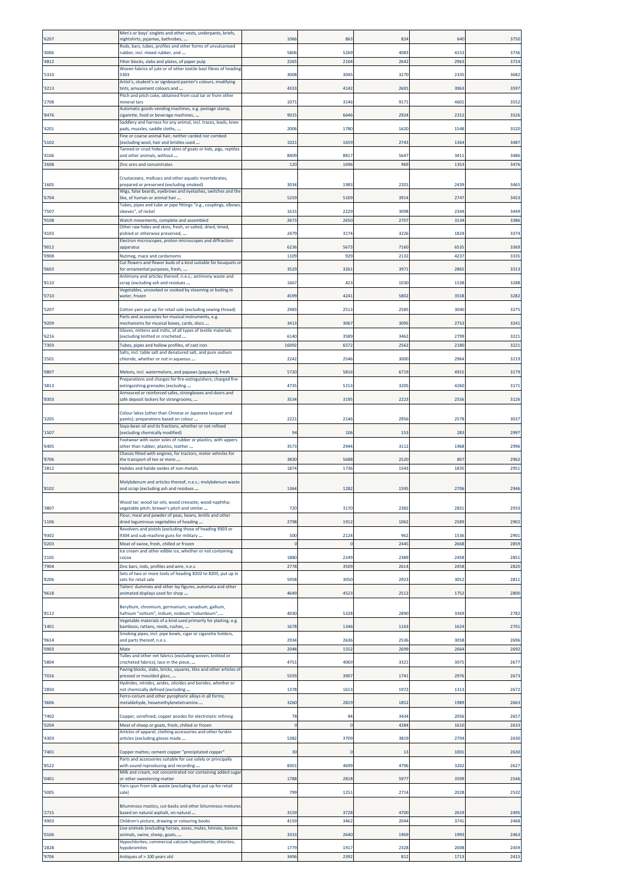| '6207          | Men's or boys' singlets and other vests, underpants, briefs,<br>nightshirts, pyjamas, bathrobes,                         | 106              | 863               | 824          | 640          | 375C         |
|----------------|--------------------------------------------------------------------------------------------------------------------------|------------------|-------------------|--------------|--------------|--------------|
| '4006          | Rods, bars, tubes, profiles and other forms of unvulcanised<br>ubber, incl. mixed rubber, and                            | 5806             | 5269              | 408          | 4153         | 3736         |
| '4812          | ilter blocks, slabs and plates, of paper pulp                                                                            | 2265             | 2104              | 2642         | 2963         | 3724         |
| '5310          | Woven fabrics of jute or of other textile bast fibres of heading<br>5303                                                 | 3008             | 3045              | 3270         | 2335         | 3682         |
| '3213          | Artist's, student's or signboard painter's colours, modifying<br>tints, amusement colours and                            | 4333             | 4142              | 269          | 3963         | 3597         |
| '2708          | Pitch and pitch coke, obtained from coal tar or from other<br>mineral tars                                               | 1071             | 3146              | 9171         | 4601         | 3552         |
|                | Automatic goods-vending machines, e.g. postage stamp,                                                                    |                  |                   |              |              |              |
| '8476          | cigarette, food or beverage machines,<br>Saddlery and harness for any animal, incl. traces, leads, knee                  | 901              | 6646              | 2924         | 231          | 3526         |
| '4201          | pads, muzzles, saddle cloths,<br>Fine or coarse animal hair, neither carded nor combed                                   | 2006             | 1780              | 1620         | 1548         | 3520         |
| '5102          | excluding wool, hair and bristles used<br>anned or crust hides and skins of goats or kids, pigs, reptiles                | 1021             | 1659              | 2743         | 1364         | 3487         |
| '4106<br>'2608 | ind other animals, without<br>Zinc ores and concentrates                                                                 | 8409<br>120      | 8817<br>1696      | 564<br>969   | 3411<br>1353 | 3486<br>3476 |
|                | Crustaceans, molluscs and other aquatic invertebrates,                                                                   |                  |                   |              |              |              |
| '1605          | prepared or preserved (excluding smoked)                                                                                 | 3034             | 1983              | 220          | 2439         | 3465         |
| '6704          | Wigs, false beards, eyebrows and eyelashes, switches and the<br>like, of human or animal hair                            | 5259             | 5169              | 391          | 2747         | 3453         |
| '7507          | Tubes, pipes and tube or pipe fittings "e.g., couplings, elbows,<br>sleeves", of nickel                                  | 161              | 2229              | 3098         | 2344         | 3449         |
| '9108          | Watch movements, complete and assembled<br>Other raw hides and skins, fresh, or salted, dried, limed,                    | 2673             | 2650              | 2707         | 3134         | 3386         |
| '4103          | bickled or otherwise preserved,<br>Electron microscopes, proton microscopes and diffraction                              | 2479             | 3174              | 322          | 1824         | 3374         |
| '9012          | apparatus                                                                                                                | 6236             | 5673              | 7160         | 6535         | 3369         |
| '0908          | Nutmeg, mace and cardamoms<br>Cut flowers and flower buds of a kind suitable for bouquets or                             | 1109             | 929               | 213          | 4237         | 3335         |
| '0603          | for ornamental purposes, fresh,<br>Antimony and articles thereof, n.e.s.; antimony waste and                             | 3529             | 3261              | 397          | 2865         | 3313         |
| '8110          | crap (excluding ash and residues<br>/egetables, uncooked or cooked by steaming or boiling in                             | 1667             | 423               | 103          | 1538         | 3288         |
| '0710'         | water, frozen                                                                                                            | 4599             | 4241              | 5802         | 3558         | 3282         |
| '5207          | Cotton yarn put up for retail sale (excluding sewing thread)<br>Parts and accessories for musical instruments, e.g.      | 298              | 2513              | 258          | 3040         | 3275         |
| '9209          | mechanisms for musical boxes, cards, discs<br>Gloves, mittens and mitts, of all types of textile materials               | 341              | 3067              | 309          | 2753         | 3241         |
| '6216          | excluding knitted or crocheted                                                                                           | 6140             | 3589              | 346          | 2799         | 3221         |
| '7303          | Tubes, pipes and hollow profiles, of cast iron<br>alts, incl. table salt and denatured salt, and pure sodium             | 16092            | 6572              | 256          | 2180         | 3221         |
| '2501          | chloride, whether or not in aqueous                                                                                      | 2242             | 2546              | 3000         | 2964         | 3219         |
| '0807          | Melons, incl. watermelons, and papaws (papayas), fresh<br>Preparations and charges for fire-extinguishers; charged fire- | 5720             | 5816              | 6719         | 4915         | 3179         |
| '3813          | extinguishing grenades (excluding<br>Armoured or reinforced safes, strongboxes and doors and                             | 4735             | 5153              | 320          | 4260         | 3171         |
| '8303          | safe deposit lockers for strongrooms,                                                                                    | 353              | 3195              | 2223         | 2556         | 3126         |
| '3205          | Colour lakes (other than Chinese or Japanese lacquer and<br>paints); preparations based on colour                        | 222              | 2146              | 295          | 2578         | 3037         |
| '1507          | Soya-bean oil and its fractions, whether or not refined<br>(excluding chemically modified)                               | 94               | 106               | 153          | 283          | 2997         |
|                | ootwear with outer soles of rubber or plastics, with uppers                                                              |                  |                   |              |              |              |
| '6405          | other than rubber, plastics, leather<br>Chassis fitted with engines, for tractors, motor vehicles for                    | 3573             | 2944              | 3112         | 1968         | 2996         |
| '8706<br>'2812 | the transport of ten or more<br>lalides and halide oxides of non-metals                                                  | 3830<br>1874     | 5688<br>1736      | 2520<br>154  | 807<br>1835  | 2962<br>2951 |
|                | Molybdenum and articles thereof, n.e.s.; molybdenum waste                                                                |                  |                   |              |              |              |
| '8102          | and scrap (excluding ash and residues                                                                                    | 1364             | 1282              | 159          | 2706         | 2946         |
| '3807          | Wood tar; wood tar oils; wood creosote; wood naphtha;<br>regetable pitch; brewer's pitch and similar                     | 720              | 3170              | 2382         | 2831         | 2933         |
| '1106          | lour, meal and powder of peas, beans, lentils and other<br>dried leguminous vegetables of heading                        | 2798             | 1912              | 1062         | 2589         | 2902         |
|                | Revolvers and pistols (excluding those of heading 9303 or<br>9304 and sub-machine guns for military                      |                  |                   |              |              |              |
| '9302<br>'0203 | Meat of swine, fresh, chilled or frozen                                                                                  | 500<br>-C        | 2124<br>$\Omega$  | 962<br>244   | 1536<br>2668 | 2901<br>2859 |
| '2105          | Ice cream and other edible ice, whether or not containing<br>cocoa                                                       | 1880             | 2249              | 238          | 2458         | 2851         |
| '7904          | Zinc bars, rods, profiles and wire, n.e.s.                                                                               | 2778             | 3509              | 2614         | 2458         | 2820         |
| '8206          | Sets of two or more tools of heading 8202 to 8205, put up in<br>ets for retail sale                                      | 5958             | 3050              | 292          | 3052         | 2811         |
| '9618          | Tailors' dummies and other lay figures, automata and other<br>animated displays used for shop                            | 4649             | 4523              | 251          | 1752         | 2800         |
|                | Beryllium, chromium, germanium, vanadium, gallium,                                                                       |                  |                   |              |              |              |
| '8112          | nafnium "celtium", indium, niobium "columbium",<br>/egetable materials of a kind used primarily for plaiting, e.g.       | 4030             | 5328              | 2890         | 3369         | 2782         |
| '1401          | bamboos, rattans, reeds, rushes,<br>Smoking pipes, incl. pipe bowls, cigar or cigarette holders,                         | 1678             | 1346              | 1163         | 1624         | 2701         |
| '9614<br>'0903 | and parts thereof, n.e.s.<br>Mate                                                                                        | 2934<br>2048     | 2636<br>1552      | 253<br>2699  | 3058<br>2664 | 2696<br>2692 |
| '5804          | Tulles and other net fabrics (excluding woven, knitted or<br>crocheted fabrics); lace in the piece,                      | 475              | 4069              | 332          | 3075         | 2677         |
|                | Paving blocks, slabs, bricks, squares, tiles and other articles of                                                       |                  |                   |              |              |              |
| '7016          | pressed or moulded glass,<br>lydrides, nitrides, azides, silicides and borides, whether or                               | 5593             | 3907              | 1741         | 2976         | 2673         |
| '2850          | not chemically defined (excluding<br>erro-cerium and other pyrophoric alloys in all forms;                               | 1378             | 1613              | 1972         | 1313         | 2672         |
| '3606          | metaldehyde, hexamethylenetetramine                                                                                      | 3260             | 2819              | 1852         | 1989         | 2663         |
| '7402<br>'0204 | Copper, unrefined; copper anodes for electrolytic refining<br>Meat of sheep or goats, fresh, chilled or frozen           | 78<br>$\epsilon$ | 84<br>$\mathbf 0$ | 3434<br>4284 | 2056<br>1610 | 2657<br>2633 |
| '4303          | Articles of apparel, clothing accessories and other furskin<br>articles (excluding gloves made                           | 5382             | 3709              | 3819         | 2704         | 2630         |
| '7401          |                                                                                                                          | 30               | $\Omega$          | 13           | 1001         | 2630         |
|                | Copper mattes; cement copper "precipitated copper"<br>Parts and accessories suitable for use solely or principally       |                  |                   |              |              |              |
| '8522          | vith sound reproducing and recording<br>Ailk and cream, not concentrated nor containing added sugar                      | 8301             | 4699              | 479          | 3202         | 2627         |
| '0401          | or other sweetening matter<br>Yarn spun from silk waste (excluding that put up for retail                                | 1788             | 2818              | 597          | 3599         | 2546         |
| '5005          | sale)                                                                                                                    | 799              | 1251              | 2714         | 2028         | 2532         |
| '2715          | Bituminous mastics, cut-backs and other bituminous mixtures<br>based on natural asphalt, on natural                      | 3159             | 3728              | 4700         | 2619         | 2495         |
| '4903          | Children's picture, drawing or colouring books                                                                           | 4159             | 3462              | 2044         | 3741         | 2468         |
| '0106          | Live animals (excluding horses, asses, mules, hinnies, bovine<br>animals, swine, sheep, goats,                           | 3333             | 2640              | 1969         | 1993         | 2463         |
| '2828          | lypochlorites; commercial calcium hypochlorite; chlorites;<br><b>ypobromites</b>                                         | 1779             | 1917              | 2328         | 2008         | 2459         |
| '9706          | Antiques of > 100 years old                                                                                              | 3496             | 2392              | 812          | 1713         | 2415         |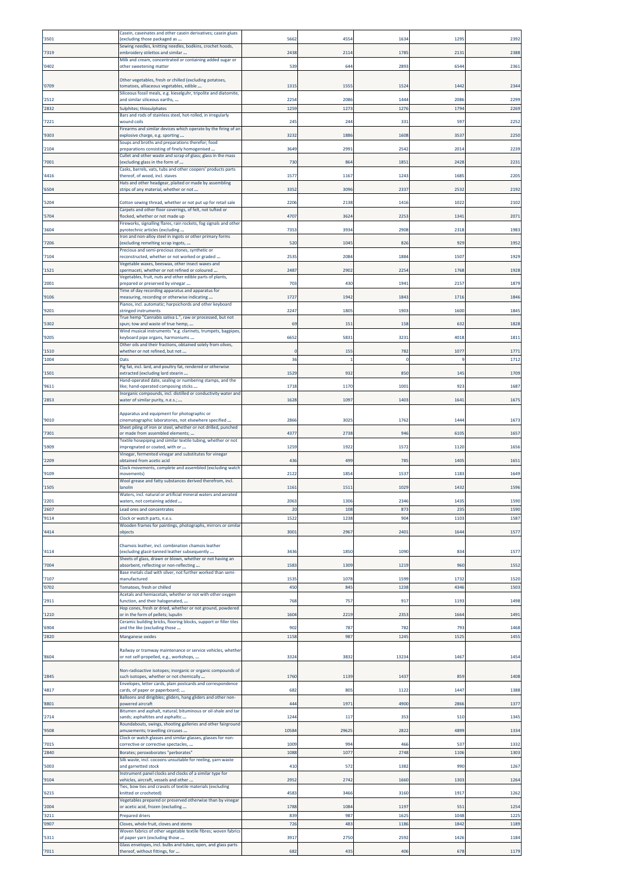| '3501          | Casein, caseinates and other casein derivatives; casein glues<br>(excluding those packaged as                            | 5662         | 4554        | 1634         | 129         | 2392         |
|----------------|--------------------------------------------------------------------------------------------------------------------------|--------------|-------------|--------------|-------------|--------------|
| '7319          | Sewing needles, knitting needles, bodkins, crochet hoods,<br>embroidery stilettos and similar                            | 2438         | 2114        | 1785         | 2131        | 2388         |
| '0402          | Milk and cream, concentrated or containing added sugar or                                                                | 539          | 644         | 2893         | 6544        | 2361         |
|                | other sweetening matter                                                                                                  |              |             |              |             |              |
| '0709          | Other vegetables, fresh or chilled (excluding potatoes,<br>tomatoes, alliaceous vegetables, edible                       | 1315         | 1555        | 1524         | 1442        | 2344         |
| '2512          | Siliceous fossil meals, e.g. kieselguhr, tripolite and diatomite,<br>and similar siliceous earths,                       | 2254         | 2086        | 1444         | 2086        | 2299         |
| '2832          | Sulphites; thiosulphates<br>Bars and rods of stainless steel, hot-rolled, in irregularly                                 | 1259         | 1273        | 1276         | 1794        | 2269         |
| '7221          | wound coils                                                                                                              | 245          | 244         | 331          | 597         | 2252         |
| '9303          | Firearms and similar devices which operate by the firing of an<br>explosive charge, e.g. sporting                        | 3232         | 1886        | 1608         | 3537        | 2250         |
| '2104          | Soups and broths and preparations therefor; food<br>oreparations consisting of finely homogenised                        | 3649         | 2991        | 2542         | 2014        | 2239         |
| '7001          | Cullet and other waste and scrap of glass; glass in the mass<br>excluding glass in the form of                           | 730          | 864         | 1851         | 2428        | 2231         |
| '4416          | Casks, barrels, vats, tubs and other coopers' products parts<br>thereof, of wood, incl. staves                           | 1577         | 1167        | 1243         | 1685        | 2205         |
| '6504          | Hats and other headgear, plaited or made by assembling<br>strips of any material, whether or not                         | 3352         | 3096        | 2337         | 2532        | 2192         |
|                |                                                                                                                          |              |             |              |             |              |
| '5204          | Cotton sewing thread, whether or not put up for retail sale<br>Carpets and other floor coverings, of felt, not tufted or | 2206         | 2138        | 1416         | 1022        | 2102         |
| '5704          | flocked, whether or not made up<br>Fireworks, signalling flares, rain rockets, fog signals and other                     | 4707         | 3624        | 2253         | 1341        | 2071         |
| '3604          | pyrotechnic articles (excluding<br>Iron and non-alloy steel in ingots or other primary forms                             | 7353         | 3934        | 2908         | 2318        | 1983         |
| '7206          | excluding remelting scrap ingots,<br>Precious and semi-precious stones, synthetic or                                     | 520          | 1045        | 826          | 929         | 1952         |
| '7104          | reconstructed, whether or not worked or graded<br>Vegetable waxes, beeswax, other insect waxes and                       | 2535         | 2084        | 1884         | 1507        | 1929         |
| '1521          | spermaceti, whether or not refined or coloured                                                                           | 2487         | 2902        | 2254         | 1768        | 1928         |
| '2001          | Vegetables, fruit, nuts and other edible parts of plants,<br>prepared or preserved by vinegar                            | 703          | 430         | 1941         | 2157        | 1879         |
| '9106          | Time of day recording apparatus and apparatus for<br>measuring, recording or otherwise indicating                        | 1727         | 1942        | 1843         | 1716        | 1846         |
| '9201          | Pianos, incl. automatic; harpsichords and other keyboard<br>stringed instruments                                         | 2247         | 1805        | 1903         | 1600        | 1845         |
| '5302          | True hemp "Cannabis sativa L.", raw or processed, but not<br>spun; tow and waste of true hemp,                           | 69           | 151         | 158          | 632         | 1828         |
| '9205          | Wind musical instruments "e.g. clarinets, trumpets, bagpipes,<br>keyboard pipe organs, harmoniums                        | 6652         | 5831        | 3233         | 4018        | 181          |
|                | Other oils and their fractions, obtained solely from olives,                                                             |              |             |              |             |              |
| '1510<br>'1004 | whether or not refined, but not<br>Oats                                                                                  | 36           | 155         | 782          | 107<br>٩    | 177<br>1712  |
| '1501          | Pig fat, incl. lard, and poultry fat, rendered or otherwise<br>extracted (excluding lard stearin                         | 1529         | 932         | 850          | 145         | 1709         |
|                | Hand-operated date, sealing or numbering stamps, and the                                                                 |              |             |              |             |              |
| '9611          | ike; hand-operated composing sticks<br>Inorganic compounds, incl. distilled or conductivity water and                    | 1718         | 1170        | 1001         | 923         | 1687         |
| '2853          | water of similar purity, n.e.s.;                                                                                         | 1628         | 1097        | 1403         | 1641        | 1675         |
| '9010          | Apparatus and equipment for photographic or<br>cinematographic laboratories, not elsewhere specified                     | 2866         | 3025        | 1762         | 1444        | 167          |
| '7301          | Sheet piling of iron or steel, whether or not drilled, punched<br>or made from assembled elements;                       | 4377         | 2738        | 946          | 6105        | 1657         |
| '5909          | Textile hosepiping and similar textile tubing, whether or not<br>impregnated or coated, with or                          | 1259         | 1922        | 1572         | 1120        | 1656         |
|                | Vinegar, fermented vinegar and substitutes for vinegar                                                                   |              |             |              |             |              |
| '2209          | obtained from acetic acid<br>Clock movements, complete and assembled (excluding watch                                    | 436          | 499         | 785          | 1405        | 1651         |
| '9109          | movements)<br>Wool grease and fatty substances derived therefrom, incl.                                                  | 2122         | 1854        | 1537         | 1183        | 1649         |
| '1505          | lanolin<br>Waters, incl. natural or artificial mineral waters and aerated                                                | 1161         | 1511        | 1029         | 1432        | 1596         |
| '2201          | waters, not containing added                                                                                             | 2063         | 1306        | 2346         | 1435        | 1590         |
| '2607<br>'9114 | Lead ores and concentrates<br>Clock or watch parts, n.e.s.                                                               | 20<br>1522   | 108<br>1238 | 873<br>904   | 235<br>1103 | 1590<br>1587 |
| '4414          | Wooden frames for paintings, photographs, mirrors or similar<br>objects                                                  | 3001         | 2967        | 2401         | 1644        | 1577         |
|                | Chamois leather, incl. combination chamois leather                                                                       |              |             |              |             |              |
| '4114          | (excluding glacé-tanned leather subsequently<br>Sheets of glass, drawn or blown, whether or not having an                | 3436         | 1850        | 1090         | 834         | 1577         |
| '7004          | absorbent, reflecting or non-reflecting                                                                                  | 1583         | 1309        | 1219         | 960         | 1552         |
| '7107          | Base metals clad with silver, not further worked than semi-<br>manufactured                                              | 1535         | 1078        | 1599         | 1732        | 1520         |
| '0702          | Tomatoes, fresh or chilled<br>Acetals and hemiacetals, whether or not with other oxygen                                  | 450          | 845         | 1238         | 4346        | 1503         |
| '2911          | function, and their halogenated,<br>Hop cones, fresh or dried, whether or not ground, powdered                           | 768          | 757         | 917          | 1193        | 1498         |
| '1210          | or in the form of pellets; lupulin                                                                                       | 1604         | 2219        | 2353         | 1664        | 1491         |
| '6904          | Ceramic building bricks, flooring blocks, support or filler tiles<br>and the like (excluding those                       | 902          | 787         | 782          | 793         | 1468         |
| '2820          | Manganese oxides                                                                                                         | 1158         | 987         | 1245         | 1525        | 1455         |
| '8604          | Railway or tramway maintenance or service vehicles, whether<br>or not self-propelled, e.g., workshops,                   | 3324         | 3832        | 13234        | 1467        | 1454         |
|                |                                                                                                                          |              |             |              |             |              |
| '2845          | Non-radioactive isotopes; inorganic or organic compounds of<br>such isotopes, whether or not chemically                  | 1760         | 1139        | 1437         | 859         | 1408         |
| '4817          | Envelopes, letter cards, plain postcards and correspondence<br>cards, of paper or paperboard;                            | 682          | 805         | 1122         | 1447        | 1388         |
| '8801          | Balloons and dirigibles; gliders, hang gliders and other non-<br>powered aircraft                                        | 444          | 1971        | 4900         | 2866        | 1377         |
| '2714          | Bitumen and asphalt, natural; bituminous or oil-shale and tar<br>sands; asphaltites and asphaltic                        | 1244         | 117         | 353          | 510         | 1345         |
| '9508          | Roundabouts, swings, shooting galleries and other fairground<br>amusements; travelling circuses                          | 10584        | 29625       | 2822         | 4899        | 1334         |
|                | Clock or watch glasses and similar glasses, glasses for non-                                                             |              |             |              |             |              |
| '7015<br>'2840 | corrective or corrective spectacles,<br>Borates; peroxoborates "perborates"                                              | 1009<br>1088 | 994<br>1077 | 466<br>2748  | 537<br>1106 | 1332<br>1303 |
| '5003          | Silk waste, incl. cocoons unsuitable for reeling, yarn waste<br>and garnetted stock                                      | 410          | 572         | 1382         | 990         | 1267         |
|                | Instrument panel clocks and clocks of a similar type for                                                                 |              | 2742        |              |             |              |
| '9104          | vehicles, aircraft, vessels and other<br>Ties, bow ties and cravats of textile materials (excluding                      | 2952         |             | 1660         | 1303        | 1264         |
| '6215          | knitted or crocheted)<br>Vegetables prepared or preserved otherwise than by vinegar                                      | 4583         | 3466        | 3160         | 1917        | 1262         |
| '2004<br>'3211 | or acetic acid, frozen (excluding<br><b>Prepared driers</b>                                                              | 1788<br>839  | 1084<br>987 | 1197<br>1625 | 551<br>1048 | 1254<br>1225 |
| '0907          | Cloves, whole fruit, cloves and stems                                                                                    | 726          | 483         | 1186         | 1842        | 1189         |
| '5311          | Woven fabrics of other vegetable textile fibres; woven fabrics<br>of paper yarn (excluding those                         | 3917         | 2750        | 2592         | 1426        | 1184         |
| '7011          | Glass envelopes, incl. bulbs and tubes, open, and glass parts<br>thereof, without fittings, for                          | 682          | 435         | 406          | 678         | 1179         |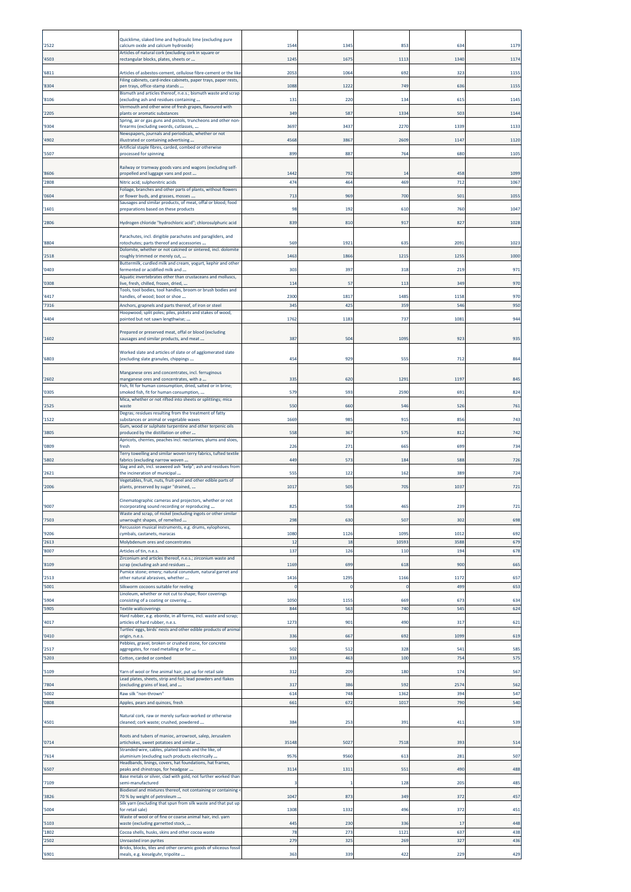| 2522         | Quicklime, slaked lime and hydraulic lime (excluding pure<br>calcium oxide and calcium hydroxide)                                                                         | 1544       | 1345       | 853         | 634         | 1179         |
|--------------|---------------------------------------------------------------------------------------------------------------------------------------------------------------------------|------------|------------|-------------|-------------|--------------|
| 4503         | Articles of natural cork (excluding cork in square or<br>rectangular blocks, plates, sheets or                                                                            | 1245       | 1675       | 1113        | 1340        | 1174         |
| 6811         | Articles of asbestos-cement, cellulose fibre-cement or the lik                                                                                                            | 2053       | 1064       | 692         | 323         | 1155         |
| 8304         | Filing cabinets, card-index cabinets, paper trays, paper rests,<br>pen trays, office-stamp stands                                                                         | 1088       | 1222       | 749         | 636         | 1155         |
| 8106         | Bismuth and articles thereof, n.e.s.; bismuth waste and scrap<br>(excluding ash and residues containing                                                                   | 131        | 220        | 134         | 615         | 1145         |
| 2205         | Vermouth and other wine of fresh grapes, flavoured with<br>plants or aromatic substances                                                                                  | 349        | 587        | 1334        | 503         | 1144         |
| 9304         | Spring, air or gas guns and pistols, truncheons and other non-<br>firearms (excluding swords, cutlasses,                                                                  | 3697       | 3437       | 2270        | 1339        | 1133         |
| 4902         | Newspapers, journals and periodicals, whether or not<br>illustrated or containing advertising                                                                             | 4568       | 3867       | 2609        | 1147        | 1120         |
| 5507         | Artificial staple fibres, carded, combed or otherwise<br>processed for spinning                                                                                           | 899        | 887        | 764         | 680         | 1105         |
|              | Railway or tramway goods vans and wagons (excluding self-                                                                                                                 |            |            |             |             |              |
| 8606         | propelled and luggage vans and post                                                                                                                                       | 1442       | 792        | 14          | 458         | 1099         |
| 2808         | Nitric acid; sulphonitric acids<br>Foliage, branches and other parts of plants, without flowers                                                                           | 474        | 464        | 469         | 712         | 1067         |
| 0604         | or flower buds, and grasses, mosses<br>Sausages and similar products, of meat, offal or blood; food                                                                       | 713        | 969        | <b>700</b>  | 501         | 1055         |
| 1601<br>2806 | preparations based on these products                                                                                                                                      | 98<br>839  | 192<br>810 | 610<br>917  | 760<br>827  | 1047<br>1028 |
|              | Hydrogen chloride "hydrochloric acid"; chlorosulphuric acid                                                                                                               |            |            |             |             |              |
| 8804         | Parachutes, incl. dirigible parachutes and paragliders, and<br>rotochutes; parts thereof and accessories<br>Dolomite, whether or not calcined or sintered, incl. dolomite | 569        | 1921       | 635         | 2091        | 1023         |
| 2518         | roughly trimmed or merely cut,                                                                                                                                            | 1463       | 1866       | 1215        | 125         | 1000         |
| 0403         | Buttermilk, curdled milk and cream, yogurt, kephir and other<br>fermented or acidified milk and                                                                           | 303        | 397        | 318         | 219         | 971          |
| '0308        | Aquatic invertebrates other than crustaceans and molluscs,<br>ive, fresh, chilled, frozen, dried,<br>Tools, tool bodies, tool handles, broom or brush bodies and          | 114        | 57         | 113         | 349         | 970          |
| 4417         | handles, of wood; boot or shoe                                                                                                                                            | 2300       | 1817       | 1485        | 115         | 970          |
| 7316         | Anchors, grapnels and parts thereof, of iron or steel<br>Hoopwood; split poles; piles, pickets and stakes of wood,                                                        | 345        | 425        | 359         | 546         | 950          |
| 4404         | pointed but not sawn lengthwise;<br>Prepared or preserved meat, offal or blood (excluding                                                                                 | 1762       | 1183       | 737         | 1081        | 944          |
| 1602         | sausages and similar products, and meat                                                                                                                                   | 387        | 504        | 1095        | 923         | 935          |
| 6803         | Worked slate and articles of slate or of agglomerated slate<br>(excluding slate granules, chippings                                                                       | 454        | 929        | 555         | 712         | 864          |
| 2602         | Manganese ores and concentrates, incl. ferruginous<br>manganese ores and concentrates, with a                                                                             | 335        | 620        | 1291        | 1197        | 845          |
| '0305        | Fish, fit for human consumption, dried, salted or in brine;<br>smoked fish, fit for human consumption,                                                                    | 579        | 593        | 2590        | 691         | 824          |
| 2525         | Mica, whether or not rifted into sheets or splittings; mica<br>waste                                                                                                      | 550        | 660        | 546         | 526         | 761          |
| 1522         | Degras; residues resulting from the treatment of fatty<br>substances or animal or vegetable waxes                                                                         | 1669       | 985        | 915         | 856         | 743          |
| 3805         | Gum, wood or sulphate turpentine and other terpenic oils<br>produced by the distillation or other                                                                         | 558        | 367        | 575         | 812         | 742          |
| '0809        | Apricots, cherries, peaches incl. nectarines, plums and sloes,<br>fresh                                                                                                   | 226        | 271        | 665         | 699         | 734          |
| 5802         | Terry towelling and similar woven terry fabrics, tufted textile<br>fabrics (excluding narrow woven                                                                        | 449        | 573        | 184         | 588         | 726          |
| 2621         | Slag and ash, incl. seaweed ash "kelp"; ash and residues from<br>the incineration of municipal                                                                            | 555        | 122        | 162         | 389         | 724          |
| 2006         | Vegetables, fruit, nuts, fruit-peel and other edible parts of<br>plants, preserved by sugar "drained,                                                                     | 1017       | 505        | 705         | 1037        | 721          |
| 9007         | Cinematographic cameras and projectors, whether or not<br>incorporating sound recording or reproducing                                                                    | 825        | 558        | 465         | 239         | 721          |
| '7503        | Waste and scrap, of nickel (excluding ingots or other similar<br>unwrought shapes, of remelted                                                                            | 298        | 630        | 507         | 302         | 698          |
| 9206         | Percussion musical instruments, e.g. drums, xylophones,<br>cymbals, castanets, maracas                                                                                    | 1080       | 1126       | 1095        | 1012        | 692          |
| 2613         | Molybdenum ores and concentrates                                                                                                                                          | 12         | 18         | 1059        | 3588        | 679          |
| 8007         | Articles of tin, n.e.s.<br>Zirconium and articles thereof, n.e.s.; zirconium waste and                                                                                    | 137        | 126        | 110         | 194         | 678          |
| 8109         | scrap (excluding ash and residues<br>Pumice stone; emery; natural corundum, natural garnet and                                                                            | 1169       | 699        | 618         | 900         | 665          |
| 2513<br>5001 | other natural abrasives, whether<br>Silkworm cocoons suitable for reeling                                                                                                 | 1416       | 1295       | 1166        | 1172<br>499 | 657<br>653   |
| 5904         | Linoleum, whether or not cut to shape; floor coverings<br>consisting of a coating or covering                                                                             | 1050       | 1155       | 669         | 673         | 634          |
| 5905         | <b>Textile wallcoverings</b><br>Hard rubber, e.g. ebonite, in all forms, incl. waste and scrap;                                                                           | 844        | 563        | 740         | 545         | 624          |
| 4017         | articles of hard rubber, n.e.s.<br>Turtles' eggs, birds' nests and other edible products of animal                                                                        | 1273       | 901        | 490         | 317         | 621          |
| '0410        | origin, n.e.s.<br>Pebbles, gravel, broken or crushed stone, for concrete                                                                                                  | 336        | 667        | 692         | 1099        | 619          |
| 2517         | aggregates, for road metalling or for                                                                                                                                     | 502        | 512        | 328         | 54          | 585          |
| 5203         | Cotton, carded or combed                                                                                                                                                  | 333        | 463        | 100         | 754         | 575          |
| 5109         | Yarn of wool or fine animal hair, put up for retail sale<br>Lead plates, sheets, strip and foil; lead powders and flakes                                                  | 312        | 209        | 180         | 174         | 567          |
| 7804<br>5002 | (excluding grains of lead, and<br>Raw silk "non-thrown"                                                                                                                   | 317<br>614 | 386<br>748 | 592<br>1362 | 2574<br>394 | 562<br>547   |
| 0808         | Apples, pears and quinces, fresh                                                                                                                                          | 661        | 672        | 1017        | 790         | 540          |
| 4501         | Natural cork, raw or merely surface-worked or otherwise<br>cleaned; cork waste; crushed, powdered                                                                         | 384        | 253        | 391         | 411         | 539          |
| '0714        | Roots and tubers of manioc, arrowroot, salep, Jerusalem<br>artichokes, sweet potatoes and similar                                                                         | 35148      | 5027       | 7518        | 393         | 514          |
| 7614         | Stranded wire, cables, plaited bands and the like, of<br>aluminium (excluding such products electrically                                                                  | 9576       | 9560       | 613         | 281         | 507          |
| 6507         | Headbands, linings, covers, hat foundations, hat frames,<br>peaks and chinstraps, for headgear                                                                            | 3114       | 1311       | 551         | 490         | 488          |
| 7109         | Base metals or silver, clad with gold, not further worked than<br>semi-manufactured                                                                                       |            |            | 128         | 205         | 485          |
| 3826         | Biodiesel and mixtures thereof, not containing or containing <<br>70 % by weight of petroleum                                                                             | 1047       | 873        | 349         | 372         | 457          |
| 5004         | Silk yarn (excluding that spun from silk waste and that put up<br>for retail sale)                                                                                        | 1308       | 1332       | 496         | 372         | 451          |
| 5103         | Waste of wool or of fine or coarse animal hair, incl. yarn<br>waste (excluding garnetted stock,                                                                           | 445        | 230        | 336         | 17          | 448          |
| 1802<br>2502 | Cocoa shells, husks, skins and other cocoa waste<br>Unroasted iron pyrites                                                                                                | 78<br>279  | 273<br>325 | 1121<br>269 | 637<br>327  | 438<br>436   |
| 6901         | Bricks, blocks, tiles and other ceramic goods of siliceous fossil<br>meals, e.g. kieselguhr, tripolite                                                                    | 363        | 339        | 422         | 229         | 429          |
|              |                                                                                                                                                                           |            |            |             |             |              |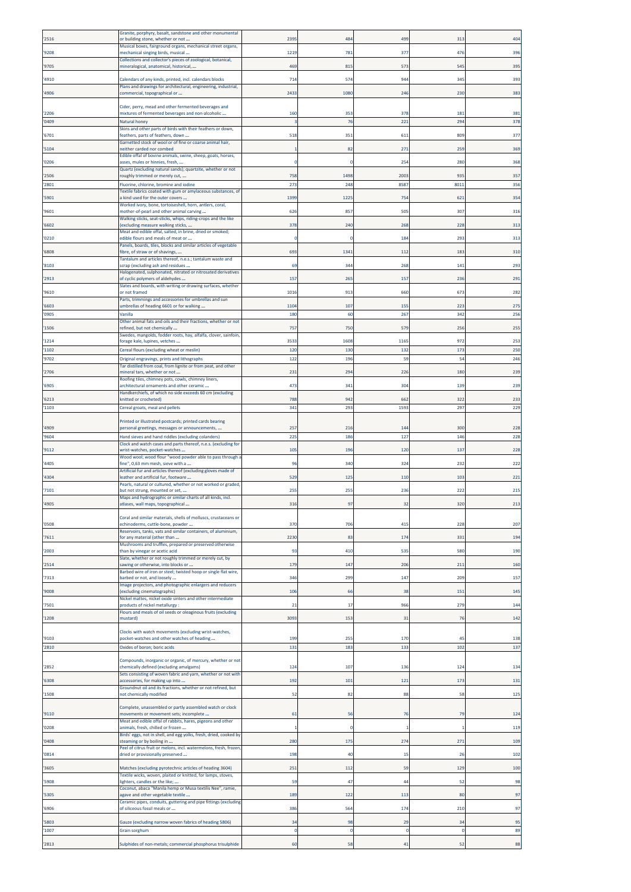| 2516          | Granite, porphyry, basalt, sandstone and other monumental<br>or building stone, whether or not            | 2395                   | 484         | 499         | 313        | 404        |
|---------------|-----------------------------------------------------------------------------------------------------------|------------------------|-------------|-------------|------------|------------|
| 9208          | Musical boxes, fairground organs, mechanical street organs,<br>mechanical singing birds, musical          | 1219                   | 781         | 377         | 476        | 396        |
| 9705          | Collections and collector's pieces of zoological, botanical,<br>mineralogical, anatomical, historical,    | 469                    | 815         | 573         | 545        | 395        |
| 4910          | Calendars of any kinds, printed, incl. calendars blocks                                                   | 714                    | 574         | 944         | 345        | 393        |
| 4906          | Plans and drawings for architectural, engineering, industrial,<br>commercial, topographical or            | 2433                   | 1080        | 246         | 230        | 383        |
|               |                                                                                                           |                        |             |             |            |            |
| 2206          | Cider, perry, mead and other fermented beverages and<br>mixtures of fermented beverages and non-alcoholic | 160                    | 353         | 378         | 181        | 381        |
| 0409          | Natural honey<br>Skins and other parts of birds with their feathers or down,                              |                        | 76          | 221         | 294        | 378        |
| 6701          | feathers, parts of feathers, down<br>Garnetted stock of wool or of fine or coarse animal hair,            | 518                    | 351         | 611         | 809        | 377        |
| 5104          | neither carded nor combed<br>Edible offal of bovine animals, swine, sheep, goats, horses,                 |                        | 82          | 271         | 259        | 369        |
| 0206          | asses, mules or hinnies, fresh,<br>Quartz (excluding natural sands); quartzite, whether or not            |                        |             | 254         | 280        | 368        |
| 2506          | roughly trimmed or merely cut,                                                                            | 758                    | 1498        | 2003        | 935        | 357        |
| 2801          | Fluorine, chlorine, bromine and iodine<br>Textile fabrics coated with gum or amylaceous substances, of    | 273                    | 248         | 8587        | 801        | 356        |
| 5901          | a kind used for the outer covers<br>Worked ivory, bone, tortoiseshell, horn, antlers, coral,              | 1399                   | 1225        | 754         | 621        | 354        |
| 9601          | mother-of-pearl and other animal carving<br>Walking sticks, seat-sticks, whips, riding-crops and the like | 626                    | 857         | 505         | 307        | 316        |
| 6602          | [excluding measure walking sticks,<br>Meat and edible offal, salted, in brine, dried or smoked;           | 378                    | 240         | 268         | 228        | 313        |
| 0210          | edible flours and meals of meat or<br>Panels, boards, tiles, blocks and similar articles of vegetable     | n                      |             | 184         | 293        | 313        |
| 6808          | fibre, of straw or of shavings,<br>Tantalum and articles thereof, n.e.s.; tantalum waste and              | 693                    | 1341        | 112         | 183        | 310        |
| 8103          | scrap (excluding ash and residues<br>Halogenated, sulphonated, nitrated or nitrosated derivatives         | 69                     | 344         | 268         | 141        | 293        |
| 2913          | of cyclic polymers of aldehydes<br>Slates and boards, with writing or drawing surfaces, whether           | 157                    | 265         | 157         | 236        | 291        |
| '9610         | or not framed<br>Parts, trimmings and accessories for umbrellas and sun                                   | 1016                   | 913         | 660         | 673        | 282        |
| 6603          | umbrellas of heading 6601 or for walking                                                                  | 1104                   | 107         | 155         | 223        | 275        |
| '0905         | Vanilla<br>Other animal fats and oils and their fractions, whether or not                                 | 180                    | 60          | 267         | 342        | 256        |
| 1506          | refined, but not chemically<br>Swedes, mangolds, fodder roots, hay, alfalfa, clover, sainfoin,            | 757                    | 750         | 579         | 256        | 255        |
| '1214<br>1102 | forage kale, lupines, vetches<br>Cereal flours (excluding wheat or meslin)                                | 3533<br>120            | 1608<br>130 | 1165<br>132 | 972<br>173 | 253<br>250 |
| 9702          | Original engravings, prints and lithographs                                                               | 122                    | 196         | 59          | 54         | 246        |
| 2706          | Tar distilled from coal, from lignite or from peat, and other<br>mineral tars, whether or not             | 231                    | 294         | 226         | 180        | 239        |
| 6905          | Roofing tiles, chimney pots, cowls, chimney liners,<br>architectural ornaments and other ceramic          | 473                    | 341         | 304         | 139        | 239        |
| 6213          | Handkerchiefs, of which no side exceeds 60 cm (excluding<br>knitted or crocheted)                         | 788                    | 942         | 662         | 322        | 233        |
| 1103          | Cereal groats, meal and pellets                                                                           | 341                    | 293         | 1593        | 297        | 229        |
|               | Printed or illustrated postcards; printed cards bearing                                                   |                        |             |             |            |            |
| 4909<br>9604  | personal greetings, messages or announcements,<br>Hand sieves and hand riddles (excluding colanders)      | 25 <sub>1</sub><br>225 | 216<br>186  | 144<br>127  | 300<br>146 | 228<br>228 |
| 9112          | Clock and watch cases and parts thereof, n.e.s. (excluding for<br>wrist-watches, pocket-watches           | 105                    | 196         | 120         | 137        | 228        |
| 4405          | Wood wool; wood flour "wood powder able to pass through a<br>fine", 0,63 mm mesh, sieve with a            | 96                     | 340         | 324         | 232        | 222        |
| 4304          | Artificial fur and articles thereof (excluding gloves made of<br>leather and artificial fur, footware     | 529                    | 125         | 110         | 103        | 221        |
| 7101          | Pearls, natural or cultured, whether or not worked or graded,<br>but not strung, mounted or set,          | 255                    | 255         | 236         | 222        | 215        |
| 4905          | Maps and hydrographic or similar charts of all kinds, incl.<br>atlases, wall maps, topographical          | 316                    | 97          | 32          | 320        | 213        |
|               | Coral and similar materials, shells of molluscs, crustaceans or                                           |                        |             |             |            |            |
| '0508         | echinoderms, cuttle-bone, powder<br>Reservoirs, tanks, vats and similar containers, of aluminium,         | 370                    | 706         | 415         | 228        | 207        |
| 7611          | for any material (other than<br>Mushrooms and truffles, prepared or preserved otherwise                   | 2230                   | 83          | 174         | 331        | 194        |
| 2003          | than by vinegar or acetic acid<br>Slate, whether or not roughly trimmed or merely cut, by                 | 93                     | 410         | 535         | 580        | 190        |
| 2514          | sawing or otherwise, into blocks or                                                                       | 179                    | 147         | 206         | 211        | 160        |
| 7313          | Barbed wire of iron or steel; twisted hoop or single flat wire,<br>barbed or not, and loosely             | 346                    | 290         | 147         | 209        | 157        |
| 9008          | Image projectors, and photographic enlargers and reducers<br>(excluding cinematographic)                  | 106                    | 66          | 38          | 151        | 145        |
| 7501          | Nickel mattes, nickel oxide sinters and other intermediate<br>products of nickel metallurgy :             | 21                     | 17          | 966         | 279        | 144        |
| 1208          | Flours and meals of oil seeds or oleaginous fruits (excluding<br>mustard)                                 | 3093                   | 153         | 31          | 76         | 142        |
|               | Clocks with watch movements (excluding wrist-watches,                                                     |                        |             |             |            |            |
| 9103<br>2810  | pocket-watches and other watches of heading<br>Oxides of boron; boric acids                               | 199<br>131             | 255<br>183  | 170<br>133  | 45<br>102  | 138<br>137 |
|               | Compounds, inorganic or organic, of mercury, whether or not                                               |                        |             |             |            |            |
| 2852          | chemically defined (excluding amalgams)<br>Sets consisting of woven fabric and yarn, whether or not with  | 124                    | 107         | 136         | 124        | 134        |
| 6308          | accessories, for making up into                                                                           | 192                    | 101         | 121         | 173        | 131        |
| 1508          | Groundnut oil and its fractions, whether or not refined, but<br>not chemically modified                   | 52                     | 82          | 88          | 58         | 125        |
| 9110          | Complete, unassembled or partly assembled watch or clock<br>movements or movement sets; incomplete        | 61                     | 56          | 76          | 79         | 124        |
| '0208         | Meat and edible offal of rabbits, hares, pigeons and other<br>animals, fresh, chilled or frozen           |                        | $\Omega$    |             |            | 119        |
| 0408          | Birds' eggs, not in shell, and egg yolks, fresh, dried, cooked by<br>steaming or by boiling in            | 280                    | 175         | 274         | 271        | 109        |
| '0814         | Peel of citrus fruit or melons, incl. watermelons, fresh, frozen,<br>dried or provisionally preserved     | 198                    | 40          | -15         | 26         | 102        |
| 3605          | Matches (excluding pyrotechnic articles of heading 3604)                                                  | 251                    | 112         | 59          | 129        | 100        |
| 5908          | Textile wicks, woven, plaited or knitted, for lamps, stoves,<br>lighters, candles or the like;            | 59                     | 47          | 44          | 52         | 98         |
| 5305          | Coconut, abaca "Manila hemp or Musa textilis Nee", ramie,<br>agave and other vegetable textile            | 189                    | 122         | 113         | 80         | 97         |
| 6906          | Ceramic pipes, conduits, guttering and pipe fittings (excluding<br>of siliceous fossil meals or           | 386                    | 564         | 174         | 210        | 97         |
| 5803          | Gauze (excluding narrow woven fabrics of heading 5806)                                                    | 34                     | 98          | 29          | 34         | 95         |
| 1007          | Grain sorghum                                                                                             | $\Omega$               | -C          | $\epsilon$  | $\Omega$   | 89         |
| 2813          | Sulphides of non-metals; commercial phosphorus trisulphide                                                | 60                     | 58          | 41          | 52         | 88         |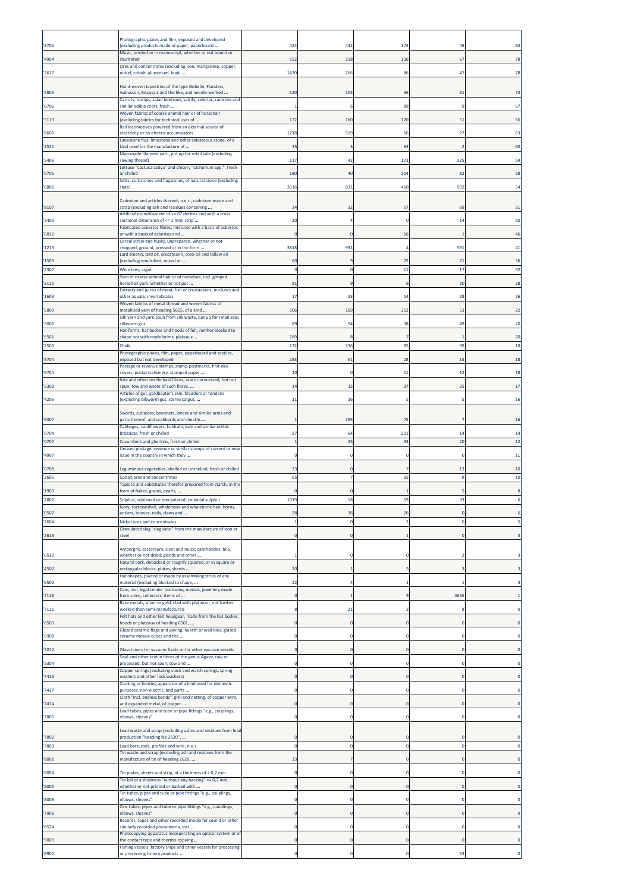|                | Photographic plates and film, exposed and developed                                                                     |      |                |     |          |                |
|----------------|-------------------------------------------------------------------------------------------------------------------------|------|----------------|-----|----------|----------------|
| '3705          | (excluding products made of paper, paperboard<br>Music, printed or in manuscript, whether or not bound or               | 424  | 442            | 174 | 49       |                |
| '4904          | illustrated<br>Ores and concentrates (excluding iron, manganese, copper,                                                | 152  | 118            | 136 | 67       | 78             |
| '2617          | nickel, cobalt, aluminium, lead,                                                                                        | 1430 | 266            | 86  | 47       | 78             |
| '5805          | Hand-woven tapestries of the type Gobelin, Flanders,<br>Aubusson, Beauvais and the like, and needle-worked              | 12(  | 105            | 36  | 81       |                |
| '0706          | Carrots, turnips, salad beetroot, salsify, celeriac, radishes and<br>similar edible roots, fresh                        |      |                | 89  |          |                |
| '5113          | Woven fabrics of coarse animal hair or of horsehair<br>(excluding fabrics for technical uses of                         | 172  | 160            | 120 | 51       |                |
| '8601          | Rail locomotives powered from an external source of<br>electricity or by electric accumulators                          | 1218 | 519            | 16  | 27       |                |
| '2521          | Limestone flux; limestone and other calcareous stone, of a<br>kind used for the manufacture of                          | 25   | 3              | -63 |          | <b>60</b>      |
| '5406          | Man-made filament yarn, put up for retail sale (excluding<br>sewing thread)                                             | 117  | 43             | 173 | 125      |                |
| '0705          | Lettuce "Lactuca sativa" and chicory "Cichorium spp.", fresh<br>or chilled                                              | 180  | 40             | 304 | 82       | 58             |
| '6801          | Setts, curbstones and flagstones, of natural stone (excluding<br>slate)                                                 | 2616 | 831            | 460 | 932      |                |
|                |                                                                                                                         |      |                |     |          |                |
| '8107          | Cadmium and articles thereof, n.e.s.; cadmium waste and<br>scrap (excluding ash and residues containing                 | 34   | 32             | -57 | 69       |                |
| '5405          | Artificial monofilament of >= 67 decitex and with a cross<br>sectional dimension of <= 1 mm; strip                      | 20   |                |     | 14       |                |
| '6812          | Fabricated asbestos fibres; mixtures with a basis of asbestos<br>or with a basis of asbestos and                        |      | $\Omega$       | 16  |          |                |
| '1213          | Cereal straw and husks, unprepared, whether or not<br>chopped, ground, pressed or in the form                           | 3818 | 931            |     | 591      |                |
| '1503          | Lard stearin, lard oil, oleostearin, oleo-oil and tallow oil<br>(excluding emulsified, mixed or                         | 60   | 9              | 25  | 21       | 36             |
| '2307          | Wine lees; argol<br>Yarn of coarse animal hair or of horsehair, incl. gimped                                            |      | $\mathbf 0$    | 11  | 17       | 32             |
| '5110          | horsehair yarn, whether or not put<br>Extracts and juices of meat, fish or crustaceans, molluscs and                    | 91   | ٠q             |     | 20       | 28             |
| '1603          | other aquatic invertebrates<br>Woven fabrics of metal thread and woven fabrics of                                       | 17   | 23             | 14  | 28       |                |
| '5809          | metallised yarn of heading 5605, of a kind<br>Silk yarn and yarn spun from silk waste, put up for retail sale;          | 306  | 169            | 212 | 53       | 22             |
| '5006          | silkworm gut<br>Hat-forms, hat bodies and hoods of felt, neither blocked to                                             | 89   | 94             | 38  | 49       |                |
| '6501          | shape nor with made brims; plateaux                                                                                     | 189  |                |     |          | <b>20</b>      |
| '2509          | Chalk<br>Photographic plates, film, paper, paperboard and textiles,                                                     | 132  | 136            | 85  | 99       |                |
| '3704          | exposed but not developed<br>Postage or revenue stamps, stamp-postmarks, first-day                                      | 283  | 61             | 28  | 15       | -18            |
| '9704          | covers, postal stationery, stamped paper<br>Jute and other textile bast fibres, raw or processed, but not               | 10   | $\mathbf 0$    | 11  | 12       |                |
| '5303          | spun; tow and waste of such fibres,<br>Articles of gut, goldbeater's skin, bladders or tendons                          | 14   | 15             | 37  | 25       |                |
| '4206          | (excluding silkworm gut, sterile catgut,                                                                                | 11   | 16             |     |          |                |
| '9307          | Swords, cutlasses, bayonets, lances and similar arms and<br>parts thereof, and scabbards and sheaths                    |      | 195            | 75  |          | 16             |
| '0704          | Cabbages, cauliflowers, kohlrabi, kale and similar edible<br>brassicas, fresh or chilled                                | 27   | 64             | 201 | 14       | 1 <sup>2</sup> |
| '0707          | Cucumbers and gherkins, fresh or chilled                                                                                |      | 25             | 93  | 20       | 12             |
| '4907          | Unused postage, revenue or similar stamps of current or new<br>issue in the country in which they                       |      | $\mathbf 0$    |     | C        |                |
| '0708          | Leguminous vegetables, shelled or unshelled, fresh or chilled                                                           | 33   | $\mathbf 0$    |     | 13       | 10             |
| '2605          | Cobalt ores and concentrates<br>Tapioca and substitutes therefor prepared from starch, in the                           | 65   | 7              | 65  | 8        | 10             |
| '1903<br>'2802 | form of flakes, grains, pearls,<br>Sulphur, sublimed or precipitated; colloidal sulphur                                 | 1019 | $\Omega$<br>18 | 19  | 33       |                |
| '0507          | Ivory, tortoiseshell, whalebone and whalebone hair, horns,                                                              |      | 36             | 26  |          |                |
| '2604          | antlers, hooves, nails, claws and<br>Nickel ores and concentrates                                                       |      | $^{\circ}$     |     | 0        |                |
| '2618          | Granulated slag "slag sand" from the manufacture of iron or<br>steel                                                    |      |                |     |          |                |
|                | Ambergris, castoreum, civet and musk; cantharides; bile,                                                                |      |                |     |          |                |
| '0510          | whether or not dried; glands and other<br>Natural cork, debacked or roughly squared, or in square or                    |      |                |     |          |                |
| '4502          | rectangular blocks, plates, sheets<br>Hat-shapes, plaited or made by assembling strips of any                           | 20   |                |     |          |                |
| '6502          | material (excluding blocked to shape,<br>Coin, incl. legal tender (excluding medals, jewellery made                     | 22   |                |     |          |                |
| '7118          | from coins, collectors' items of<br>Base metals, silver or gold, clad with platinum, not further                        |      |                |     | 4665     |                |
| '7111          | worked than semi-manufactured<br>Felt hats and other felt headgear, made from the hat bodies,                           |      | 21             |     |          |                |
| '6503          | hoods or plateaux of heading 6501,<br>Glazed ceramic flags and paving, hearth or wall tiles; glazed                     |      | $\mathbf 0$    |     |          |                |
| '6908          | ceramic mosaic cubes and the                                                                                            |      | $\Omega$       |     |          |                |
| '7012          | Glass inners for vacuum flasks or for other vacuum vessels<br>Sisal and other textile fibres of the genus Agave, raw or |      | $\overline{0}$ |     |          |                |
| '5304          | processed, but not spun; tow and                                                                                        |      | $^{\circ}$     |     | O        |                |
| '7416          | Copper springs (excluding clock and watch springs, spring<br>washers and other lock washers)                            |      | $\overline{0}$ |     |          |                |
| '7417          | Cooking or heating apparatus of a kind used for domestic<br>purposes, non-electric, and parts                           |      | $\Omega$       |     |          |                |
| '7414          | Cloth "incl. endless bands", grill and netting, of copper wire,<br>and expanded metal, of copper                        |      | $\overline{0}$ |     |          |                |
| '7805          | Lead tubes, pipes and tube or pipe fittings "e.g., couplings,<br>elbows, sleeves"                                       |      | $\Omega$       |     |          |                |
|                | Lead waste and scrap (excluding ashes and residues from lead                                                            |      |                |     |          |                |
| '7802<br>'7803 | production "heading No 2620",<br>Lead bars, rods, profiles and wire, n.e.s.                                             |      | $\mathbf 0$    |     | $\Omega$ |                |
| '8002          | Tin waste and scrap (excluding ash and residues from the<br>manufacture of tin of heading 2620,                         | 33   |                |     |          |                |
| '8004          | Tin plates, sheets and strip, of a thickness of > 0,2 mm                                                                |      | $\Omega$       |     | $\Omega$ |                |
| '8005          | Tin foil of a thickness "without any backing" <= 0,2 mm,<br>whether or not printed or backed with                       |      | $\overline{0}$ |     |          |                |
|                | Tin tubes, pipes and tube or pipe fittings "e.g., couplings,                                                            |      |                |     |          |                |
| '8006          | elbows, sleeves"<br>Zinc tubes, pipes and tube or pipe fittings "e.g., couplings,                                       |      | $\Omega$       |     |          |                |
| '7906          | elbows, sleeves"<br>Records, tapes and other recorded media for sound or other                                          |      | $\mathbf 0$    |     |          |                |
| '8524          | similarly recorded phenomena, incl.<br>Photocopying apparatus incorporating an optical system or of                     |      | $^{\circ}$     |     | $\Omega$ |                |
| '9009          | the contact type and thermo-copying<br>Fishing vessels; factory ships and other vessels for processing                  |      | $\overline{0}$ |     |          |                |
| '8902          | or preserving fishery products                                                                                          |      | $\Omega$       |     | 53       |                |